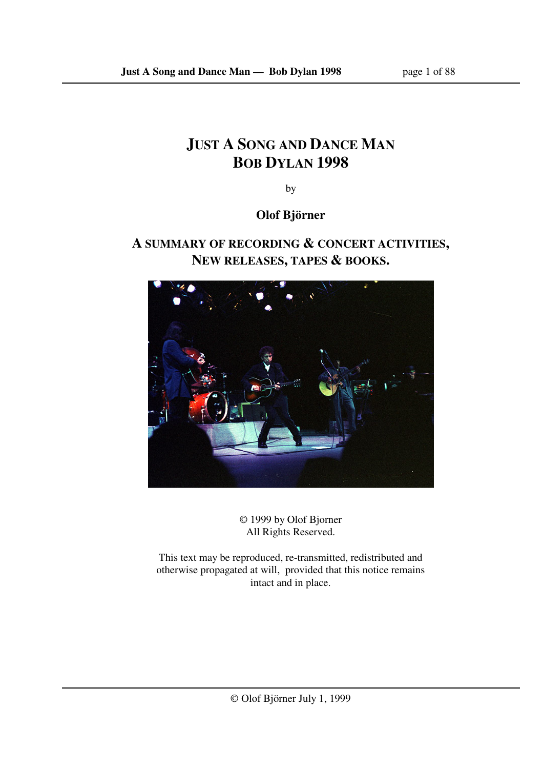# **JUST A SONG AND DANCE MAN BOB DYLAN 1998**

by

**Olof Björner** 

## **A SUMMARY OF RECORDING & CONCERT ACTIVITIES, NEW RELEASES, TAPES & BOOKS.**



© 1999 by Olof Bjorner All Rights Reserved.

This text may be reproduced, re-transmitted, redistributed and otherwise propagated at will, provided that this notice remains intact and in place.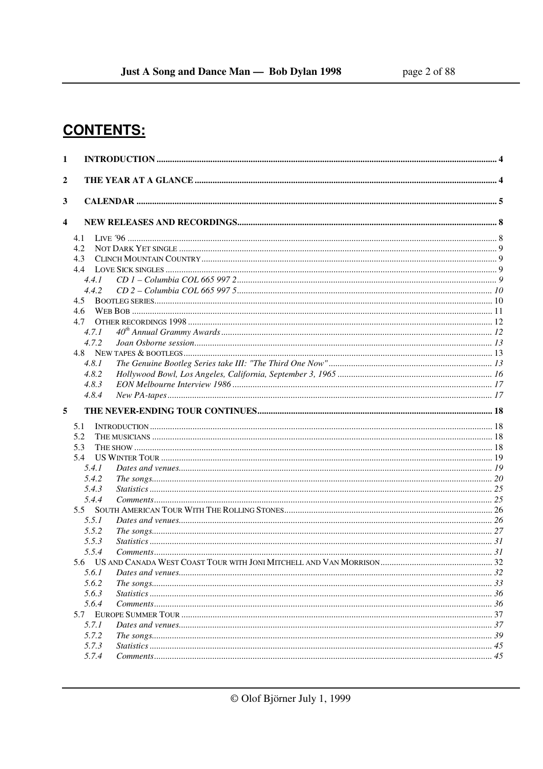# **CONTENTS:**

| 1                |                |  |
|------------------|----------------|--|
| $\boldsymbol{2}$ |                |  |
| 3                |                |  |
| 4                |                |  |
|                  | 4.1            |  |
|                  | 4.2            |  |
|                  | 4.3            |  |
|                  | 4.4            |  |
|                  | 4.4.1          |  |
|                  | 4.4.2          |  |
|                  | 4.5            |  |
|                  | 4.6            |  |
|                  | 4.7            |  |
|                  | 4.7.1          |  |
|                  | 4.7.2          |  |
|                  |                |  |
|                  | 4.8.1          |  |
|                  | 4.8.2          |  |
|                  | 4.8.3          |  |
|                  | 4.8.4          |  |
| 5                |                |  |
|                  | 5.1            |  |
|                  | 5.2            |  |
|                  | 5.3            |  |
|                  | 5.4            |  |
|                  | 5.4.1          |  |
|                  | 5.4.2          |  |
|                  | 5.4.3          |  |
|                  | 5.4.4          |  |
|                  | 5.5            |  |
|                  | 5.5.1          |  |
|                  | 5.5.2          |  |
|                  | 5.5.3          |  |
|                  | 5.5.4          |  |
|                  |                |  |
|                  | 5.6.1<br>5.6.2 |  |
|                  | 5.6.3          |  |
|                  | 5.6.4          |  |
|                  |                |  |
|                  | 5.7.1          |  |
|                  | 5.7.2          |  |
|                  | 5.7.3          |  |
|                  | 5.7.4          |  |
|                  |                |  |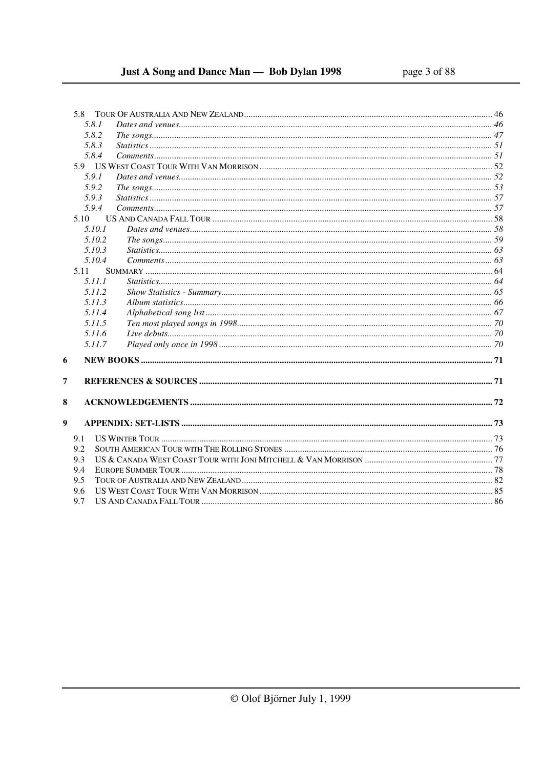## Just A Song and Dance Man - Bob Dylan 1998

|                  | 5.8    |  |  |
|------------------|--------|--|--|
|                  | 5.8.1  |  |  |
|                  | 5.8.2  |  |  |
|                  | 5.8.3  |  |  |
|                  | 5.8.4  |  |  |
|                  |        |  |  |
|                  | 5.9.1  |  |  |
|                  | 5.9.2  |  |  |
|                  | 5.9.3  |  |  |
|                  | 5.9.4  |  |  |
|                  | 5.10   |  |  |
|                  | 5.10.1 |  |  |
|                  | 5.10.2 |  |  |
|                  | 5.10.3 |  |  |
|                  | 5.10.4 |  |  |
|                  | 5.11   |  |  |
|                  | 5.11.1 |  |  |
|                  | 5.11.2 |  |  |
|                  | 5.11.3 |  |  |
|                  | 5.11.4 |  |  |
|                  | 5.11.5 |  |  |
|                  | 5.11.6 |  |  |
|                  | 5.11.7 |  |  |
| 6                |        |  |  |
| 7                |        |  |  |
| 8                |        |  |  |
| $\boldsymbol{9}$ |        |  |  |
|                  | 9.1    |  |  |
|                  | 9.2    |  |  |
|                  | 9.3    |  |  |
|                  | 9.4    |  |  |
| 9.5              |        |  |  |
|                  | 9.6    |  |  |
|                  | 9.7    |  |  |
|                  |        |  |  |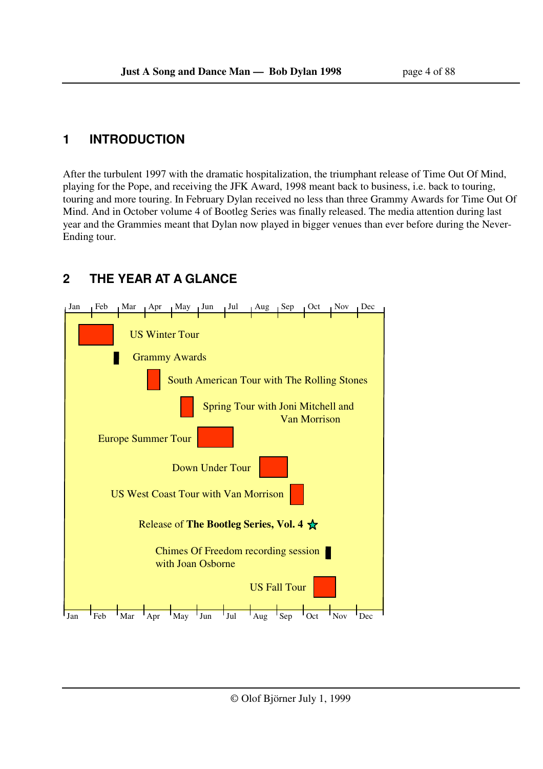## **1 INTRODUCTION**

After the turbulent 1997 with the dramatic hospitalization, the triumphant release of Time Out Of Mind, playing for the Pope, and receiving the JFK Award, 1998 meant back to business, i.e. back to touring, touring and more touring. In February Dylan received no less than three Grammy Awards for Time Out Of Mind. And in October volume 4 of Bootleg Series was finally released. The media attention during last year and the Grammies meant that Dylan now played in bigger venues than ever before during the Never-Ending tour.

## **2 THE YEAR AT A GLANCE**

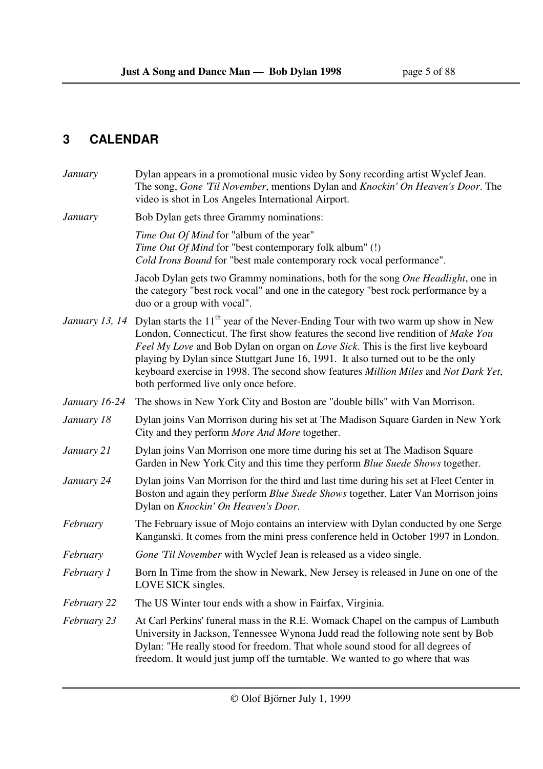## **3 CALENDAR**

| January                                                                                                                                                                                                                          | Dylan appears in a promotional music video by Sony recording artist Wyclef Jean.<br>The song, Gone 'Til November, mentions Dylan and Knockin' On Heaven's Door. The<br>video is shot in Los Angeles International Airport.                                                                                                                                                                                                                                                                                         |  |  |  |
|----------------------------------------------------------------------------------------------------------------------------------------------------------------------------------------------------------------------------------|--------------------------------------------------------------------------------------------------------------------------------------------------------------------------------------------------------------------------------------------------------------------------------------------------------------------------------------------------------------------------------------------------------------------------------------------------------------------------------------------------------------------|--|--|--|
| <b>January</b>                                                                                                                                                                                                                   | Bob Dylan gets three Grammy nominations:                                                                                                                                                                                                                                                                                                                                                                                                                                                                           |  |  |  |
|                                                                                                                                                                                                                                  | Time Out Of Mind for "album of the year"<br>Time Out Of Mind for "best contemporary folk album" (!)<br>Cold Irons Bound for "best male contemporary rock vocal performance".                                                                                                                                                                                                                                                                                                                                       |  |  |  |
|                                                                                                                                                                                                                                  | Jacob Dylan gets two Grammy nominations, both for the song One Headlight, one in<br>the category "best rock vocal" and one in the category "best rock performance by a<br>duo or a group with vocal".                                                                                                                                                                                                                                                                                                              |  |  |  |
|                                                                                                                                                                                                                                  | <i>January 13, 14</i> Dylan starts the 11 <sup>th</sup> year of the Never-Ending Tour with two warm up show in New<br>London, Connecticut. The first show features the second live rendition of Make You<br>Feel My Love and Bob Dylan on organ on Love Sick. This is the first live keyboard<br>playing by Dylan since Stuttgart June 16, 1991. It also turned out to be the only<br>keyboard exercise in 1998. The second show features Million Miles and Not Dark Yet,<br>both performed live only once before. |  |  |  |
| January 16-24                                                                                                                                                                                                                    | The shows in New York City and Boston are "double bills" with Van Morrison.                                                                                                                                                                                                                                                                                                                                                                                                                                        |  |  |  |
| January 18                                                                                                                                                                                                                       | Dylan joins Van Morrison during his set at The Madison Square Garden in New York<br>City and they perform More And More together.                                                                                                                                                                                                                                                                                                                                                                                  |  |  |  |
| January 21                                                                                                                                                                                                                       | Dylan joins Van Morrison one more time during his set at The Madison Square<br>Garden in New York City and this time they perform Blue Suede Shows together.                                                                                                                                                                                                                                                                                                                                                       |  |  |  |
| January 24<br>Dylan joins Van Morrison for the third and last time during his set at Fleet Center in<br>Boston and again they perform Blue Suede Shows together. Later Van Morrison joins<br>Dylan on Knockin' On Heaven's Door. |                                                                                                                                                                                                                                                                                                                                                                                                                                                                                                                    |  |  |  |
| The February issue of Mojo contains an interview with Dylan conducted by one Serge<br>February<br>Kanganski. It comes from the mini press conference held in October 1997 in London.                                             |                                                                                                                                                                                                                                                                                                                                                                                                                                                                                                                    |  |  |  |
| February                                                                                                                                                                                                                         | Gone 'Til November with Wyclef Jean is released as a video single.                                                                                                                                                                                                                                                                                                                                                                                                                                                 |  |  |  |
| February 1                                                                                                                                                                                                                       | Born In Time from the show in Newark, New Jersey is released in June on one of the<br>LOVE SICK singles.                                                                                                                                                                                                                                                                                                                                                                                                           |  |  |  |
| February 22                                                                                                                                                                                                                      | The US Winter tour ends with a show in Fairfax, Virginia.                                                                                                                                                                                                                                                                                                                                                                                                                                                          |  |  |  |
| February 23                                                                                                                                                                                                                      | At Carl Perkins' funeral mass in the R.E. Womack Chapel on the campus of Lambuth<br>University in Jackson, Tennessee Wynona Judd read the following note sent by Bob<br>Dylan: "He really stood for freedom. That whole sound stood for all degrees of<br>freedom. It would just jump off the turntable. We wanted to go where that was                                                                                                                                                                            |  |  |  |
|                                                                                                                                                                                                                                  |                                                                                                                                                                                                                                                                                                                                                                                                                                                                                                                    |  |  |  |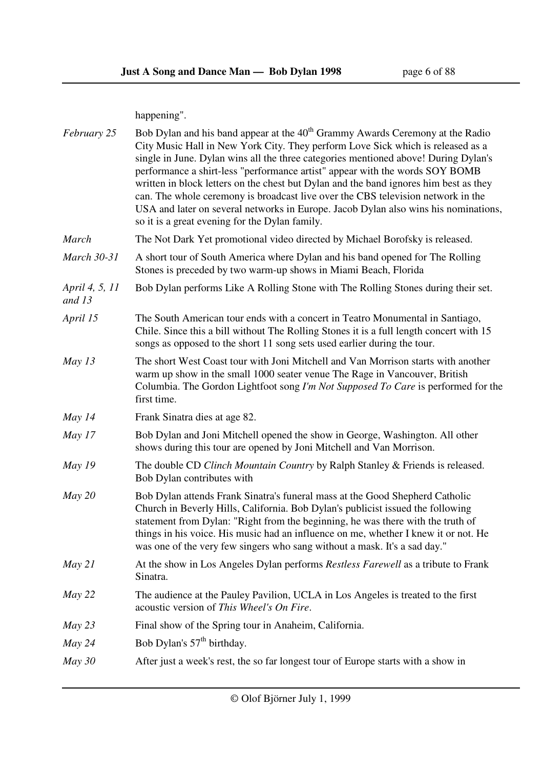happening".

| February 25              | Bob Dylan and his band appear at the 40 <sup>th</sup> Grammy Awards Ceremony at the Radio<br>City Music Hall in New York City. They perform Love Sick which is released as a<br>single in June. Dylan wins all the three categories mentioned above! During Dylan's<br>performance a shirt-less "performance artist" appear with the words SOY BOMB<br>written in block letters on the chest but Dylan and the band ignores him best as they<br>can. The whole ceremony is broadcast live over the CBS television network in the<br>USA and later on several networks in Europe. Jacob Dylan also wins his nominations,<br>so it is a great evening for the Dylan family. |  |  |  |  |
|--------------------------|---------------------------------------------------------------------------------------------------------------------------------------------------------------------------------------------------------------------------------------------------------------------------------------------------------------------------------------------------------------------------------------------------------------------------------------------------------------------------------------------------------------------------------------------------------------------------------------------------------------------------------------------------------------------------|--|--|--|--|
| <b>March</b>             | The Not Dark Yet promotional video directed by Michael Borofsky is released.                                                                                                                                                                                                                                                                                                                                                                                                                                                                                                                                                                                              |  |  |  |  |
| <b>March 30-31</b>       | A short tour of South America where Dylan and his band opened for The Rolling<br>Stones is preceded by two warm-up shows in Miami Beach, Florida                                                                                                                                                                                                                                                                                                                                                                                                                                                                                                                          |  |  |  |  |
| April 4, 5, 11<br>and 13 | Bob Dylan performs Like A Rolling Stone with The Rolling Stones during their set.                                                                                                                                                                                                                                                                                                                                                                                                                                                                                                                                                                                         |  |  |  |  |
| April 15                 | The South American tour ends with a concert in Teatro Monumental in Santiago,<br>Chile. Since this a bill without The Rolling Stones it is a full length concert with 15<br>songs as opposed to the short 11 song sets used earlier during the tour.                                                                                                                                                                                                                                                                                                                                                                                                                      |  |  |  |  |
| May $13$                 | The short West Coast tour with Joni Mitchell and Van Morrison starts with another<br>warm up show in the small 1000 seater venue The Rage in Vancouver, British<br>Columbia. The Gordon Lightfoot song I'm Not Supposed To Care is performed for the<br>first time.                                                                                                                                                                                                                                                                                                                                                                                                       |  |  |  |  |
| May $14$                 | Frank Sinatra dies at age 82.                                                                                                                                                                                                                                                                                                                                                                                                                                                                                                                                                                                                                                             |  |  |  |  |
| May $17$                 | Bob Dylan and Joni Mitchell opened the show in George, Washington. All other<br>shows during this tour are opened by Joni Mitchell and Van Morrison.                                                                                                                                                                                                                                                                                                                                                                                                                                                                                                                      |  |  |  |  |
| May $19$                 | The double CD Clinch Mountain Country by Ralph Stanley & Friends is released.<br>Bob Dylan contributes with                                                                                                                                                                                                                                                                                                                                                                                                                                                                                                                                                               |  |  |  |  |
| May 20                   | Bob Dylan attends Frank Sinatra's funeral mass at the Good Shepherd Catholic<br>Church in Beverly Hills, California. Bob Dylan's publicist issued the following<br>statement from Dylan: "Right from the beginning, he was there with the truth of<br>things in his voice. His music had an influence on me, whether I knew it or not. He<br>was one of the very few singers who sang without a mask. It's a sad day."                                                                                                                                                                                                                                                    |  |  |  |  |
| May 21                   | At the show in Los Angeles Dylan performs Restless Farewell as a tribute to Frank<br>Sinatra.                                                                                                                                                                                                                                                                                                                                                                                                                                                                                                                                                                             |  |  |  |  |
| May 22                   | The audience at the Pauley Pavilion, UCLA in Los Angeles is treated to the first<br>acoustic version of This Wheel's On Fire.                                                                                                                                                                                                                                                                                                                                                                                                                                                                                                                                             |  |  |  |  |
| May 23                   | Final show of the Spring tour in Anaheim, California.                                                                                                                                                                                                                                                                                                                                                                                                                                                                                                                                                                                                                     |  |  |  |  |
| May 24                   | Bob Dylan's 57 <sup>th</sup> birthday.                                                                                                                                                                                                                                                                                                                                                                                                                                                                                                                                                                                                                                    |  |  |  |  |
| $May\,30$                | After just a week's rest, the so far longest tour of Europe starts with a show in                                                                                                                                                                                                                                                                                                                                                                                                                                                                                                                                                                                         |  |  |  |  |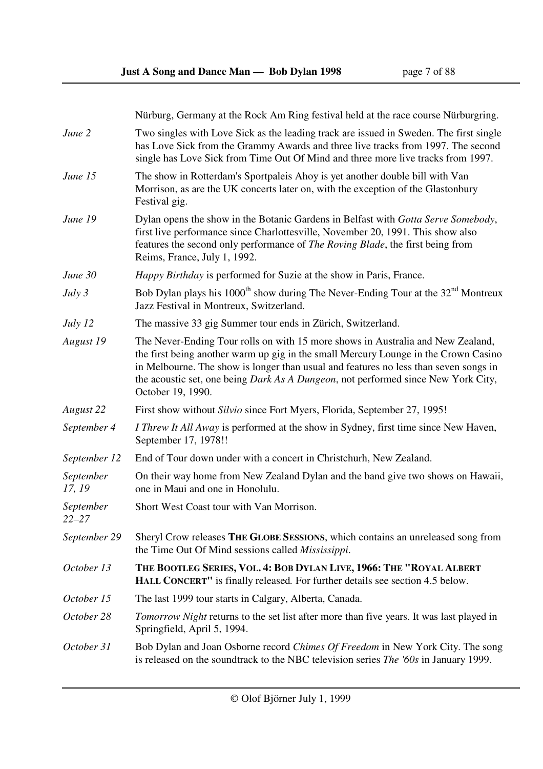Nürburg, Germany at the Rock Am Ring festival held at the race course Nürburgring.

has Love Sick from the Grammy Awards and three live tracks from 1997. The second

*June 2* Two singles with Love Sick as the leading track are issued in Sweden. The first single

|                        | single has Love Sick from Time Out Of Mind and three more live tracks from 1997.                                                                                                                                                                                                                                                                                                 |
|------------------------|----------------------------------------------------------------------------------------------------------------------------------------------------------------------------------------------------------------------------------------------------------------------------------------------------------------------------------------------------------------------------------|
| June 15                | The show in Rotterdam's Sportpaleis Ahoy is yet another double bill with Van<br>Morrison, as are the UK concerts later on, with the exception of the Glastonbury<br>Festival gig.                                                                                                                                                                                                |
| June 19                | Dylan opens the show in the Botanic Gardens in Belfast with Gotta Serve Somebody,<br>first live performance since Charlottesville, November 20, 1991. This show also<br>features the second only performance of <i>The Roving Blade</i> , the first being from<br>Reims, France, July 1, 1992.                                                                                   |
| June 30                | Happy Birthday is performed for Suzie at the show in Paris, France.                                                                                                                                                                                                                                                                                                              |
| July 3                 | Bob Dylan plays his $1000^{\text{th}}$ show during The Never-Ending Tour at the $32^{\text{nd}}$ Montreux<br>Jazz Festival in Montreux, Switzerland.                                                                                                                                                                                                                             |
| July 12                | The massive 33 gig Summer tour ends in Zürich, Switzerland.                                                                                                                                                                                                                                                                                                                      |
| August 19              | The Never-Ending Tour rolls on with 15 more shows in Australia and New Zealand,<br>the first being another warm up gig in the small Mercury Lounge in the Crown Casino<br>in Melbourne. The show is longer than usual and features no less than seven songs in<br>the acoustic set, one being <i>Dark As A Dungeon</i> , not performed since New York City,<br>October 19, 1990. |
| August 22              | First show without <i>Silvio</i> since Fort Myers, Florida, September 27, 1995!                                                                                                                                                                                                                                                                                                  |
| September 4            | I Threw It All Away is performed at the show in Sydney, first time since New Haven,<br>September 17, 1978!!                                                                                                                                                                                                                                                                      |
| September 12           | End of Tour down under with a concert in Christchurh, New Zealand.                                                                                                                                                                                                                                                                                                               |
| September<br>17, 19    | On their way home from New Zealand Dylan and the band give two shows on Hawaii,<br>one in Maui and one in Honolulu.                                                                                                                                                                                                                                                              |
| September<br>$22 - 27$ | Short West Coast tour with Van Morrison.                                                                                                                                                                                                                                                                                                                                         |
| September 29           | Sheryl Crow releases THE GLOBE SESSIONS, which contains an unreleased song from<br>the Time Out Of Mind sessions called <i>Mississippi</i> .                                                                                                                                                                                                                                     |
| October 13             | THE BOOTLEG SERIES, VOL. 4: BOB DYLAN LIVE, 1966: THE "ROYAL ALBERT<br><b>HALL CONCERT"</b> is finally released. For further details see section 4.5 below.                                                                                                                                                                                                                      |
| October 15             | The last 1999 tour starts in Calgary, Alberta, Canada.                                                                                                                                                                                                                                                                                                                           |
| October 28             | <i>Tomorrow Night</i> returns to the set list after more than five years. It was last played in<br>Springfield, April 5, 1994.                                                                                                                                                                                                                                                   |
| October 31             | Bob Dylan and Joan Osborne record <i>Chimes Of Freedom</i> in New York City. The song<br>is released on the soundtrack to the NBC television series The '60s in January 1999.                                                                                                                                                                                                    |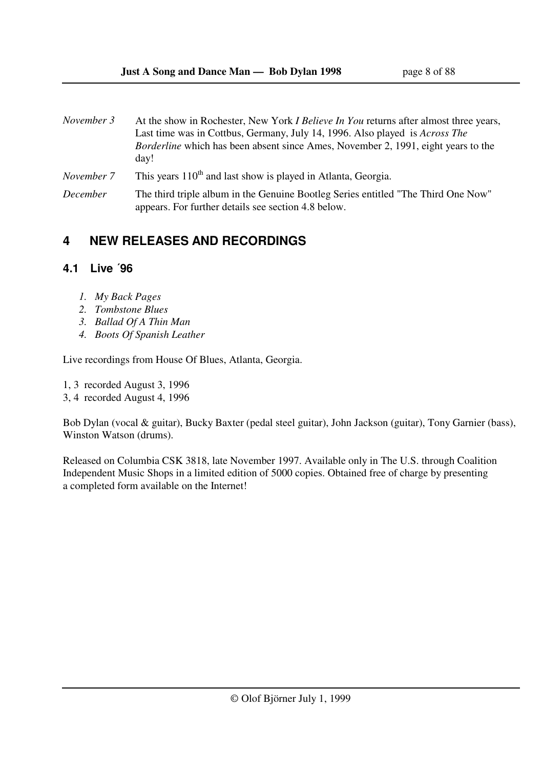| November 3      | At the show in Rochester, New York <i>I Believe In You</i> returns after almost three years,<br>Last time was in Cottbus, Germany, July 14, 1996. Also played is <i>Across The</i><br><i>Borderline</i> which has been absent since Ames, November 2, 1991, eight years to the<br>day! |
|-----------------|----------------------------------------------------------------------------------------------------------------------------------------------------------------------------------------------------------------------------------------------------------------------------------------|
| November 7      | This years 110 <sup>th</sup> and last show is played in Atlanta, Georgia.                                                                                                                                                                                                              |
| <i>December</i> | The third triple album in the Genuine Bootleg Series entitled "The Third One Now"<br>appears. For further details see section 4.8 below.                                                                                                                                               |

## **4 NEW RELEASES AND RECORDINGS**

## **4.1 Live ´96**

- *1. My Back Pages*
- *2. Tombstone Blues*
- *3. Ballad Of A Thin Man*
- *4. Boots Of Spanish Leather*

Live recordings from House Of Blues, Atlanta, Georgia.

1, 3 recorded August 3, 1996

3, 4 recorded August 4, 1996

Bob Dylan (vocal & guitar), Bucky Baxter (pedal steel guitar), John Jackson (guitar), Tony Garnier (bass), Winston Watson (drums).

Released on Columbia CSK 3818, late November 1997. Available only in The U.S. through Coalition Independent Music Shops in a limited edition of 5000 copies. Obtained free of charge by presenting a completed form available on the Internet!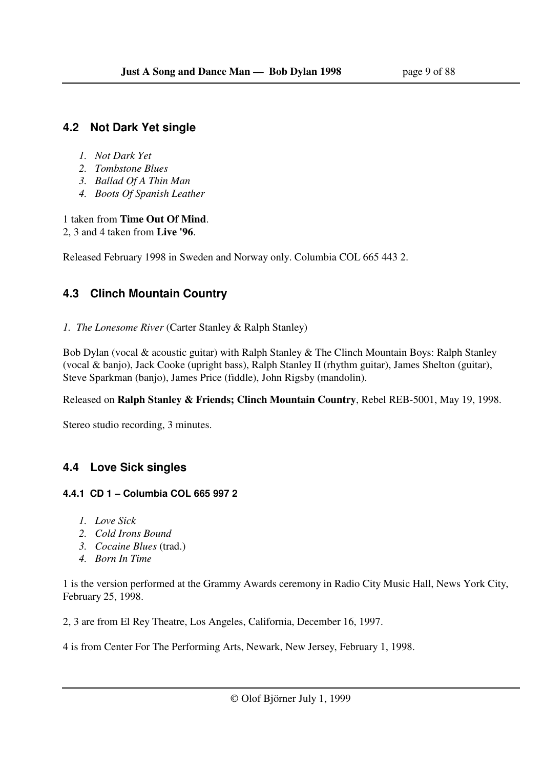## **4.2 Not Dark Yet single**

- *1. Not Dark Yet*
- *2. Tombstone Blues*
- *3. Ballad Of A Thin Man*
- *4. Boots Of Spanish Leather*

1 taken from **Time Out Of Mind**.

2, 3 and 4 taken from **Live '96**.

Released February 1998 in Sweden and Norway only. Columbia COL 665 443 2.

## **4.3 Clinch Mountain Country**

*1. The Lonesome River* (Carter Stanley & Ralph Stanley)

Bob Dylan (vocal & acoustic guitar) with Ralph Stanley & The Clinch Mountain Boys: Ralph Stanley (vocal & banjo), Jack Cooke (upright bass), Ralph Stanley II (rhythm guitar), James Shelton (guitar), Steve Sparkman (banjo), James Price (fiddle), John Rigsby (mandolin).

Released on **Ralph Stanley & Friends; Clinch Mountain Country**, Rebel REB-5001, May 19, 1998.

Stereo studio recording, 3 minutes.

## **4.4 Love Sick singles**

## **4.4.1 CD 1 – Columbia COL 665 997 2**

- *1. Love Sick*
- *2. Cold Irons Bound*
- *3. Cocaine Blues* (trad.)
- *4. Born In Time*

1 is the version performed at the Grammy Awards ceremony in Radio City Music Hall, News York City, February 25, 1998.

2, 3 are from El Rey Theatre, Los Angeles, California, December 16, 1997.

4 is from Center For The Performing Arts, Newark, New Jersey, February 1, 1998.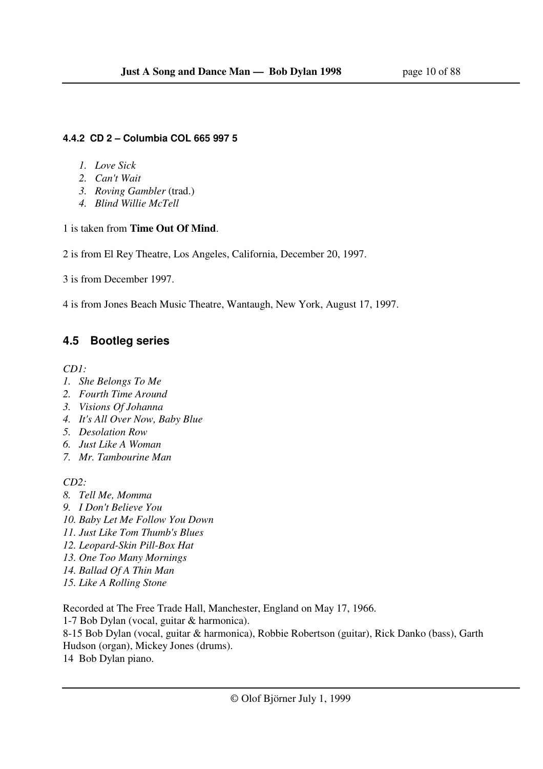#### **4.4.2 CD 2 – Columbia COL 665 997 5**

- *1. Love Sick*
- *2. Can't Wait*
- *3. Roving Gambler* (trad.)
- *4. Blind Willie McTell*

### 1 is taken from **Time Out Of Mind**.

2 is from El Rey Theatre, Los Angeles, California, December 20, 1997.

3 is from December 1997.

4 is from Jones Beach Music Theatre, Wantaugh, New York, August 17, 1997.

## **4.5 Bootleg series**

*CD1:* 

- *1. She Belongs To Me*
- *2. Fourth Time Around*
- *3. Visions Of Johanna*
- *4. It's All Over Now, Baby Blue*
- *5. Desolation Row*
- *6. Just Like A Woman*
- *7. Mr. Tambourine Man*

*CD2:* 

- *8. Tell Me, Momma*
- *9. I Don't Believe You*
- *10. Baby Let Me Follow You Down*
- *11. Just Like Tom Thumb's Blues*
- *12. Leopard-Skin Pill-Box Hat*
- *13. One Too Many Mornings*
- *14. Ballad Of A Thin Man*
- *15. Like A Rolling Stone*

Recorded at The Free Trade Hall, Manchester, England on May 17, 1966.

1-7 Bob Dylan (vocal, guitar & harmonica).

8-15 Bob Dylan (vocal, guitar & harmonica), Robbie Robertson (guitar), Rick Danko (bass), Garth Hudson (organ), Mickey Jones (drums).

14 Bob Dylan piano.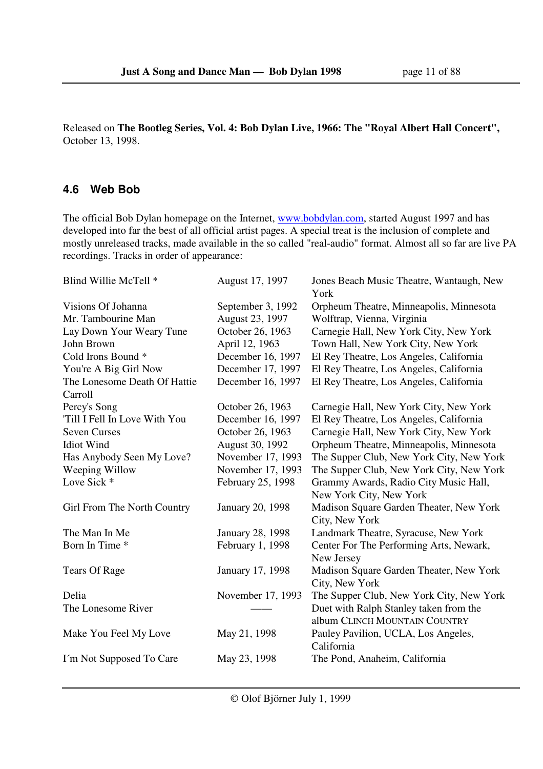Released on **The Bootleg Series, Vol. 4: Bob Dylan Live, 1966: The "Royal Albert Hall Concert",**  October 13, 1998.

### **4.6 Web Bob**

The official Bob Dylan homepage on the Internet, www.bobdylan.com, started August 1997 and has developed into far the best of all official artist pages. A special treat is the inclusion of complete and mostly unreleased tracks, made available in the so called "real-audio" format. Almost all so far are live PA recordings. Tracks in order of appearance:

| Blind Willie McTell *         | August 17, 1997         | Jones Beach Music Theatre, Wantaugh, New<br>York                        |
|-------------------------------|-------------------------|-------------------------------------------------------------------------|
| Visions Of Johanna            | September 3, 1992       | Orpheum Theatre, Minneapolis, Minnesota                                 |
| Mr. Tambourine Man            | August 23, 1997         | Wolftrap, Vienna, Virginia                                              |
| Lay Down Your Weary Tune      | October 26, 1963        | Carnegie Hall, New York City, New York                                  |
| John Brown                    | April 12, 1963          | Town Hall, New York City, New York                                      |
| Cold Irons Bound <sup>*</sup> | December 16, 1997       | El Rey Theatre, Los Angeles, California                                 |
| You're A Big Girl Now         | December 17, 1997       | El Rey Theatre, Los Angeles, California                                 |
| The Lonesome Death Of Hattie  | December 16, 1997       | El Rey Theatre, Los Angeles, California                                 |
| Carroll                       |                         |                                                                         |
| Percy's Song                  | October 26, 1963        | Carnegie Hall, New York City, New York                                  |
| 'Till I Fell In Love With You | December 16, 1997       | El Rey Theatre, Los Angeles, California                                 |
| <b>Seven Curses</b>           | October 26, 1963        | Carnegie Hall, New York City, New York                                  |
| <b>Idiot Wind</b>             | August 30, 1992         | Orpheum Theatre, Minneapolis, Minnesota                                 |
| Has Anybody Seen My Love?     | November 17, 1993       | The Supper Club, New York City, New York                                |
| Weeping Willow                | November 17, 1993       | The Supper Club, New York City, New York                                |
| Love Sick *                   | February 25, 1998       | Grammy Awards, Radio City Music Hall,                                   |
|                               |                         | New York City, New York                                                 |
| Girl From The North Country   | January 20, 1998        | Madison Square Garden Theater, New York<br>City, New York               |
| The Man In Me                 | <b>January 28, 1998</b> | Landmark Theatre, Syracuse, New York                                    |
| Born In Time *                | February 1, 1998        | Center For The Performing Arts, Newark,<br>New Jersey                   |
| <b>Tears Of Rage</b>          | January 17, 1998        | Madison Square Garden Theater, New York                                 |
|                               |                         | City, New York                                                          |
| Delia                         | November 17, 1993       | The Supper Club, New York City, New York                                |
| The Lonesome River            |                         | Duet with Ralph Stanley taken from the<br>album CLINCH MOUNTAIN COUNTRY |
| Make You Feel My Love         | May 21, 1998            | Pauley Pavilion, UCLA, Los Angeles,                                     |
|                               |                         | California                                                              |
| I'm Not Supposed To Care      | May 23, 1998            | The Pond, Anaheim, California                                           |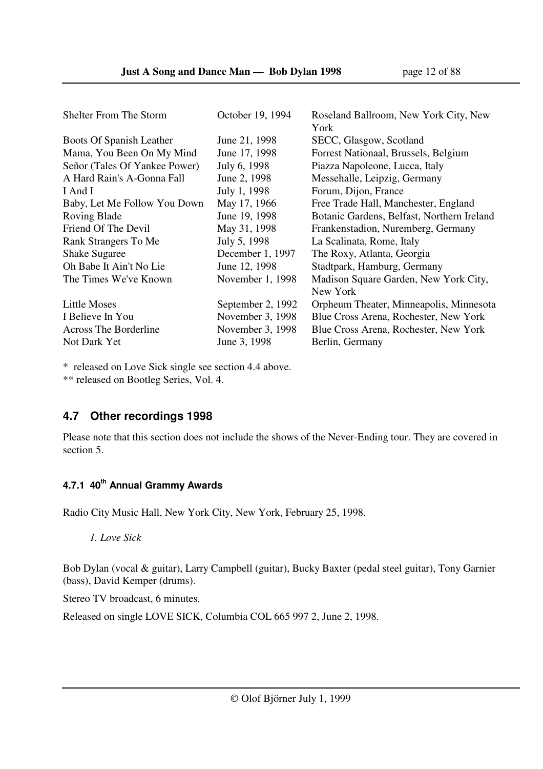| <b>Shelter From The Storm</b> | October 19, 1994  | Roseland Ballroom, New York City, New      |
|-------------------------------|-------------------|--------------------------------------------|
|                               |                   | York                                       |
| Boots Of Spanish Leather      | June 21, 1998     | SECC, Glasgow, Scotland                    |
| Mama, You Been On My Mind     | June 17, 1998     | Forrest Nationaal, Brussels, Belgium       |
| Señor (Tales Of Yankee Power) | July 6, 1998      | Piazza Napoleone, Lucca, Italy             |
| A Hard Rain's A-Gonna Fall    | June 2, 1998      | Messehalle, Leipzig, Germany               |
| I And I                       | July 1, 1998      | Forum, Dijon, France                       |
| Baby, Let Me Follow You Down  | May 17, 1966      | Free Trade Hall, Manchester, England       |
| Roving Blade                  | June 19, 1998     | Botanic Gardens, Belfast, Northern Ireland |
| Friend Of The Devil           | May 31, 1998      | Frankenstadion, Nuremberg, Germany         |
| Rank Strangers To Me          | July 5, 1998      | La Scalinata, Rome, Italy                  |
| <b>Shake Sugaree</b>          | December 1, 1997  | The Roxy, Atlanta, Georgia                 |
| Oh Babe It Ain't No Lie       | June 12, 1998     | Stadtpark, Hamburg, Germany                |
| The Times We've Known         | November 1, 1998  | Madison Square Garden, New York City,      |
|                               |                   | New York                                   |
| <b>Little Moses</b>           | September 2, 1992 | Orpheum Theater, Minneapolis, Minnesota    |
| I Believe In You              | November 3, 1998  | Blue Cross Arena, Rochester, New York      |
| <b>Across The Borderline</b>  | November 3, 1998  | Blue Cross Arena, Rochester, New York      |
| Not Dark Yet                  | June 3, 1998      | Berlin, Germany                            |

\* released on Love Sick single see section 4.4 above.

\*\* released on Bootleg Series, Vol. 4.

## **4.7 Other recordings 1998**

Please note that this section does not include the shows of the Never-Ending tour. They are covered in section 5.

## **4.7.1 40th Annual Grammy Awards**

Radio City Music Hall, New York City, New York, February 25, 1998.

 *1. Love Sick* 

Bob Dylan (vocal & guitar), Larry Campbell (guitar), Bucky Baxter (pedal steel guitar), Tony Garnier (bass), David Kemper (drums).

Stereo TV broadcast, 6 minutes.

Released on single LOVE SICK, Columbia COL 665 997 2, June 2, 1998.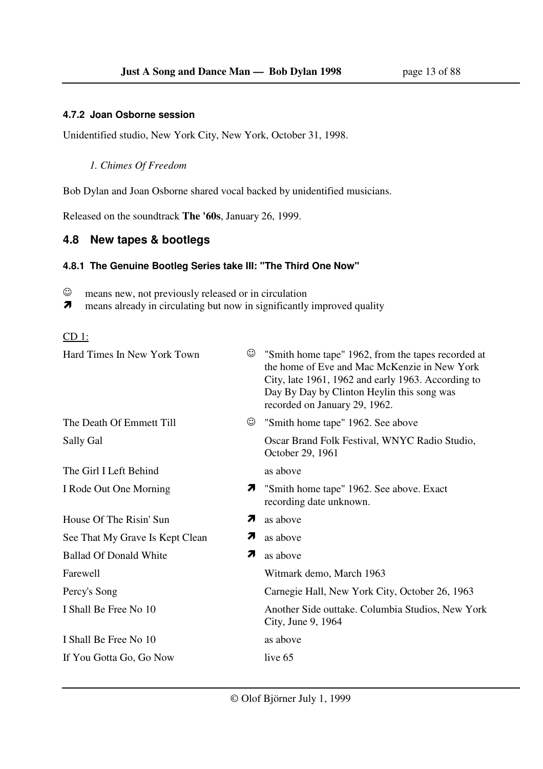#### **4.7.2 Joan Osborne session**

Unidentified studio, New York City, New York, October 31, 1998.

#### *1. Chimes Of Freedom*

Bob Dylan and Joan Osborne shared vocal backed by unidentified musicians.

Released on the soundtrack **The '60s**, January 26, 1999.

#### **4.8 New tapes & bootlegs**

#### **4.8.1 The Genuine Bootleg Series take III: "The Third One Now"**

☺ means new, not previously released or in circulation

 $\overline{\mathbf{z}}$ means already in circulating but now in significantly improved quality

#### CD 1:

| Hard Times In New York Town     | ☺  | "Smith home tape" 1962, from the tapes recorded at<br>the home of Eve and Mac McKenzie in New York<br>City, late 1961, 1962 and early 1963. According to<br>Day By Day by Clinton Heylin this song was<br>recorded on January 29, 1962. |
|---------------------------------|----|-----------------------------------------------------------------------------------------------------------------------------------------------------------------------------------------------------------------------------------------|
| The Death Of Emmett Till        | ٣  | "Smith home tape" 1962. See above                                                                                                                                                                                                       |
| Sally Gal                       |    | Oscar Brand Folk Festival, WNYC Radio Studio,<br>October 29, 1961                                                                                                                                                                       |
| The Girl I Left Behind          |    | as above                                                                                                                                                                                                                                |
| I Rode Out One Morning          |    | "Smith home tape" 1962. See above. Exact<br>recording date unknown.                                                                                                                                                                     |
| House Of The Risin' Sun         | 7  | as above                                                                                                                                                                                                                                |
| See That My Grave Is Kept Clean | 71 | as above                                                                                                                                                                                                                                |
| <b>Ballad Of Donald White</b>   | 71 | as above                                                                                                                                                                                                                                |
| Farewell                        |    | Witmark demo, March 1963                                                                                                                                                                                                                |
| Percy's Song                    |    | Carnegie Hall, New York City, October 26, 1963                                                                                                                                                                                          |
| I Shall Be Free No 10           |    | Another Side outtake. Columbia Studios, New York<br>City, June 9, 1964                                                                                                                                                                  |
| I Shall Be Free No 10           |    | as above                                                                                                                                                                                                                                |
| If You Gotta Go, Go Now         |    | live 65                                                                                                                                                                                                                                 |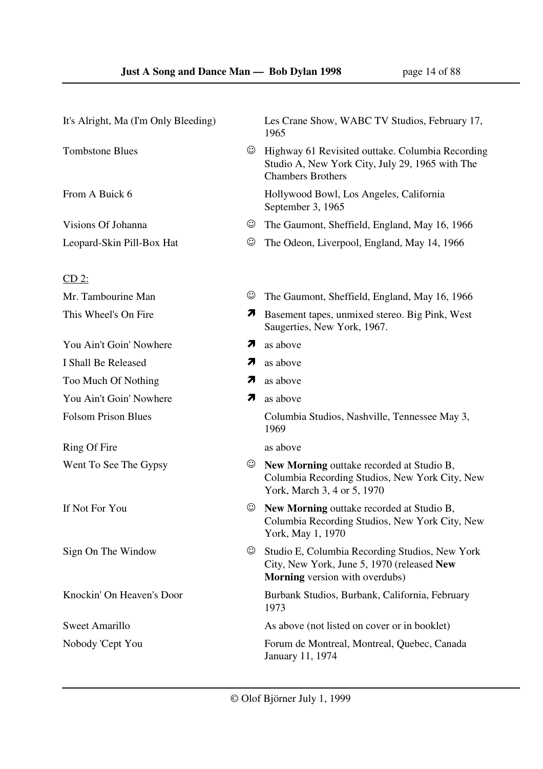| It's Alright, Ma (I'm Only Bleeding) |                               | Les Crane Show, WABC TV Studios, February 17,<br>1965                                                                           |
|--------------------------------------|-------------------------------|---------------------------------------------------------------------------------------------------------------------------------|
| <b>Tombstone Blues</b>               | ☺                             | Highway 61 Revisited outtake. Columbia Recording<br>Studio A, New York City, July 29, 1965 with The<br><b>Chambers Brothers</b> |
| From A Buick 6                       |                               | Hollywood Bowl, Los Angeles, California<br>September 3, 1965                                                                    |
| Visions Of Johanna                   | $_{\mathord{\odot}}$          | The Gaumont, Sheffield, England, May 16, 1966                                                                                   |
| Leopard-Skin Pill-Box Hat            | ☺                             | The Odeon, Liverpool, England, May 14, 1966                                                                                     |
| $CD2$ :                              |                               |                                                                                                                                 |
| Mr. Tambourine Man                   | ☺                             | The Gaumont, Sheffield, England, May 16, 1966                                                                                   |
| This Wheel's On Fire                 | $\overline{\boldsymbol{\pi}}$ | Basement tapes, unmixed stereo. Big Pink, West<br>Saugerties, New York, 1967.                                                   |
| You Ain't Goin' Nowhere              | 71                            | as above                                                                                                                        |
| I Shall Be Released                  | 7                             | as above                                                                                                                        |
| Too Much Of Nothing                  | 7                             | as above                                                                                                                        |
| You Ain't Goin' Nowhere              | 71                            | as above                                                                                                                        |
| <b>Folsom Prison Blues</b>           |                               | Columbia Studios, Nashville, Tennessee May 3,<br>1969                                                                           |
| Ring Of Fire                         |                               | as above                                                                                                                        |
| Went To See The Gypsy                | $_{\odot}$                    | New Morning outtake recorded at Studio B,<br>Columbia Recording Studios, New York City, New<br>York, March 3, 4 or 5, 1970      |
| If Not For You                       | $_{\odot}$                    | New Morning outtake recorded at Studio B,<br>Columbia Recording Studios, New York City, New<br>York, May 1, 1970                |
| Sign On The Window                   | ☺                             | Studio E, Columbia Recording Studios, New York<br>City, New York, June 5, 1970 (released New<br>Morning version with overdubs)  |
| Knockin' On Heaven's Door            |                               | Burbank Studios, Burbank, California, February<br>1973                                                                          |
| <b>Sweet Amarillo</b>                |                               | As above (not listed on cover or in booklet)                                                                                    |
| Nobody 'Cept You                     |                               | Forum de Montreal, Montreal, Quebec, Canada<br>January 11, 1974                                                                 |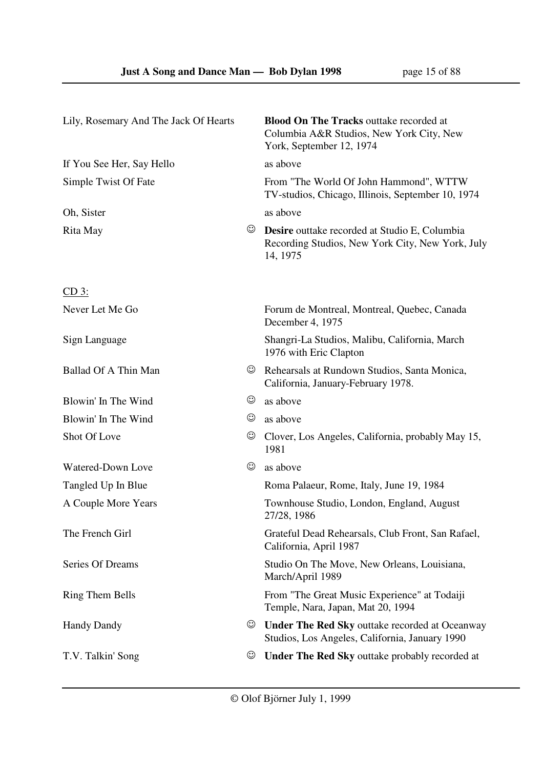| Lily, Rosemary And The Jack Of Hearts |                      | <b>Blood On The Tracks outtake recorded at</b><br>Columbia A&R Studios, New York City, New<br>York, September 12, 1974 |
|---------------------------------------|----------------------|------------------------------------------------------------------------------------------------------------------------|
| If You See Her, Say Hello             |                      | as above                                                                                                               |
| Simple Twist Of Fate                  |                      | From "The World Of John Hammond", WTTW<br>TV-studios, Chicago, Illinois, September 10, 1974                            |
| Oh, Sister                            |                      | as above                                                                                                               |
| Rita May                              | ٣                    | <b>Desire</b> outtake recorded at Studio E, Columbia<br>Recording Studios, New York City, New York, July<br>14, 1975   |
| $CD_3$ :                              |                      |                                                                                                                        |
| Never Let Me Go                       |                      | Forum de Montreal, Montreal, Quebec, Canada<br>December 4, 1975                                                        |
| Sign Language                         |                      | Shangri-La Studios, Malibu, California, March<br>1976 with Eric Clapton                                                |
| Ballad Of A Thin Man                  | ☺                    | Rehearsals at Rundown Studios, Santa Monica,<br>California, January-February 1978.                                     |
| Blowin' In The Wind                   | ☺                    | as above                                                                                                               |
| Blowin' In The Wind                   | $_{\mathord{\odot}}$ | as above                                                                                                               |
| Shot Of Love                          | ☺                    | Clover, Los Angeles, California, probably May 15,<br>1981                                                              |
| Watered-Down Love                     | ☺                    | as above                                                                                                               |
| Tangled Up In Blue                    |                      | Roma Palaeur, Rome, Italy, June 19, 1984                                                                               |
| A Couple More Years                   |                      | Townhouse Studio, London, England, August<br>27/28, 1986                                                               |
| The French Girl                       |                      | Grateful Dead Rehearsals, Club Front, San Rafael,<br>California, April 1987                                            |
| Series Of Dreams                      |                      | Studio On The Move, New Orleans, Louisiana,<br>March/April 1989                                                        |
| <b>Ring Them Bells</b>                |                      | From "The Great Music Experience" at Todaiji<br>Temple, Nara, Japan, Mat 20, 1994                                      |
| <b>Handy Dandy</b>                    | ☺                    | <b>Under The Red Sky outtake recorded at Oceanway</b><br>Studios, Los Angeles, California, January 1990                |
| T.V. Talkin' Song                     | $_{\odot}$           | <b>Under The Red Sky outtake probably recorded at</b>                                                                  |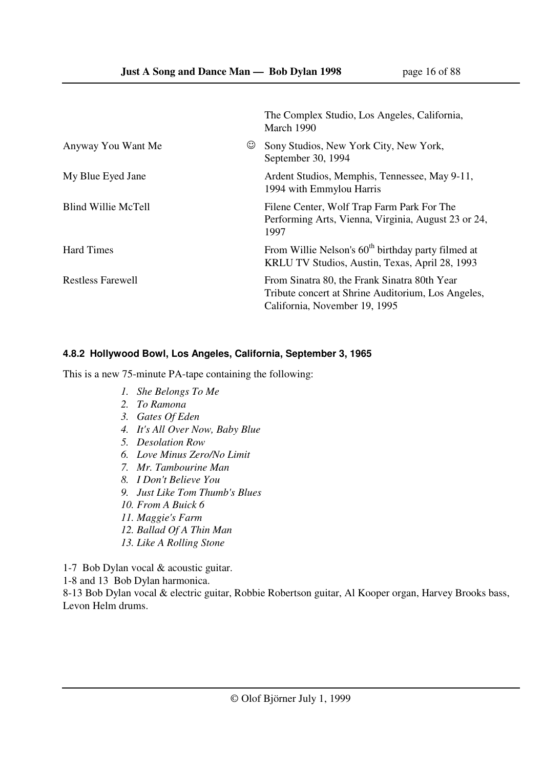|                          | The Complex Studio, Los Angeles, California,<br>March 1990                                                                          |
|--------------------------|-------------------------------------------------------------------------------------------------------------------------------------|
| ن)<br>Anyway You Want Me | Sony Studios, New York City, New York,<br>September 30, 1994                                                                        |
| My Blue Eyed Jane        | Ardent Studios, Memphis, Tennessee, May 9-11,<br>1994 with Emmylou Harris                                                           |
| Blind Willie McTell      | Filene Center, Wolf Trap Farm Park For The<br>Performing Arts, Vienna, Virginia, August 23 or 24,<br>1997                           |
| <b>Hard Times</b>        | From Willie Nelson's 60 <sup>th</sup> birthday party filmed at<br>KRLU TV Studios, Austin, Texas, April 28, 1993                    |
| <b>Restless Farewell</b> | From Sinatra 80, the Frank Sinatra 80th Year<br>Tribute concert at Shrine Auditorium, Los Angeles,<br>California, November 19, 1995 |

#### **4.8.2 Hollywood Bowl, Los Angeles, California, September 3, 1965**

This is a new 75-minute PA-tape containing the following:

- *1. She Belongs To Me*
- *2. To Ramona*
- *3. Gates Of Eden*
- *4. It's All Over Now, Baby Blue*
- *5. Desolation Row*
- *6. Love Minus Zero/No Limit*
- *7. Mr. Tambourine Man*
- *8. I Don't Believe You*
- *9. Just Like Tom Thumb's Blues*
- *10. From A Buick 6*
- *11. Maggie's Farm*
- *12. Ballad Of A Thin Man*
- *13. Like A Rolling Stone*

1-7 Bob Dylan vocal & acoustic guitar.

1-8 and 13 Bob Dylan harmonica.

8-13 Bob Dylan vocal & electric guitar, Robbie Robertson guitar, Al Kooper organ, Harvey Brooks bass, Levon Helm drums.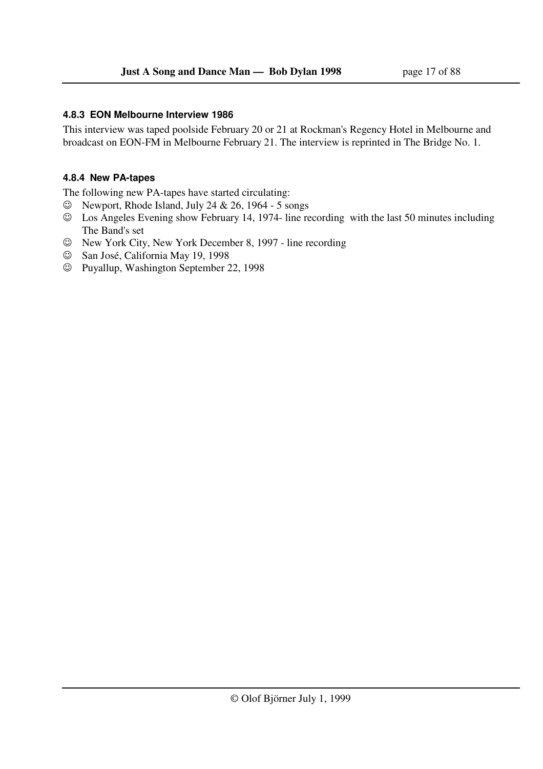#### **4.8.3 EON Melbourne Interview 1986**

This interview was taped poolside February 20 or 21 at Rockman's Regency Hotel in Melbourne and broadcast on EON-FM in Melbourne February 21. The interview is reprinted in The Bridge No. 1.

#### **4.8.4 New PA-tapes**

The following new PA-tapes have started circulating:

- $\heartsuit$  Newport, Rhode Island, July 24 & 26, 1964 5 songs
- ☺ Los Angeles Evening show February 14, 1974- line recording with the last 50 minutes including The Band's set
- ☺ New York City, New York December 8, 1997 line recording
- ☺ San José, California May 19, 1998
- ☺ Puyallup, Washington September 22, 1998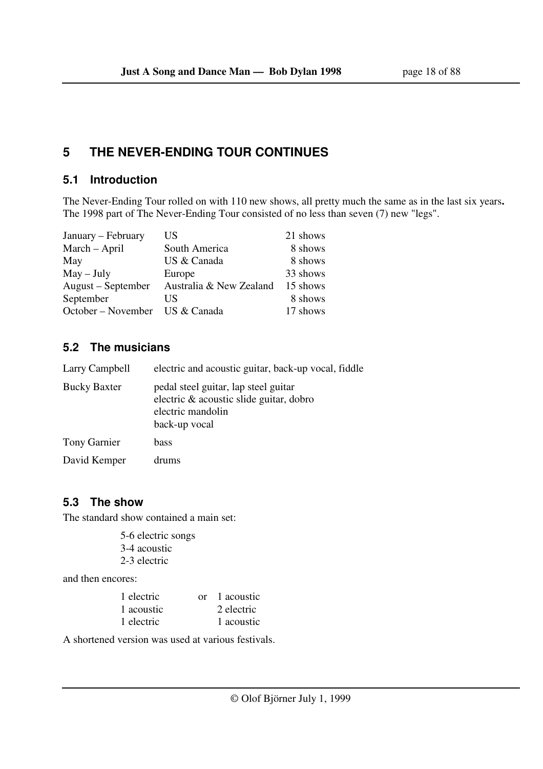## **5 THE NEVER-ENDING TOUR CONTINUES**

## **5.1 Introduction**

The Never-Ending Tour rolled on with 110 new shows, all pretty much the same as in the last six years**.**  The 1998 part of The Never-Ending Tour consisted of no less than seven (7) new "legs".

| January – February             | US                      | 21 shows |
|--------------------------------|-------------------------|----------|
| March - April                  | South America           | 8 shows  |
| May                            | US & Canada             | 8 shows  |
| $May - July$                   | Europe                  | 33 shows |
| August – September             | Australia & New Zealand | 15 shows |
| September                      | US                      | 8 shows  |
| October – November US & Canada |                         | 17 shows |

## **5.2 The musicians**

| Larry Campbell      | electric and acoustic guitar, back-up vocal, fiddle                                                                   |
|---------------------|-----------------------------------------------------------------------------------------------------------------------|
| <b>Bucky Baxter</b> | pedal steel guitar, lap steel guitar<br>electric & acoustic slide guitar, dobro<br>electric mandolin<br>back-up vocal |
| Tony Garnier        | bass                                                                                                                  |
| David Kemper        | drums                                                                                                                 |

## **5.3 The show**

The standard show contained a main set:

 5-6 electric songs 3-4 acoustic 2-3 electric

and then encores:

| 1 electric | or 1 acoustic |
|------------|---------------|
| 1 acoustic | 2 electric    |
| 1 electric | 1 acoustic    |

A shortened version was used at various festivals.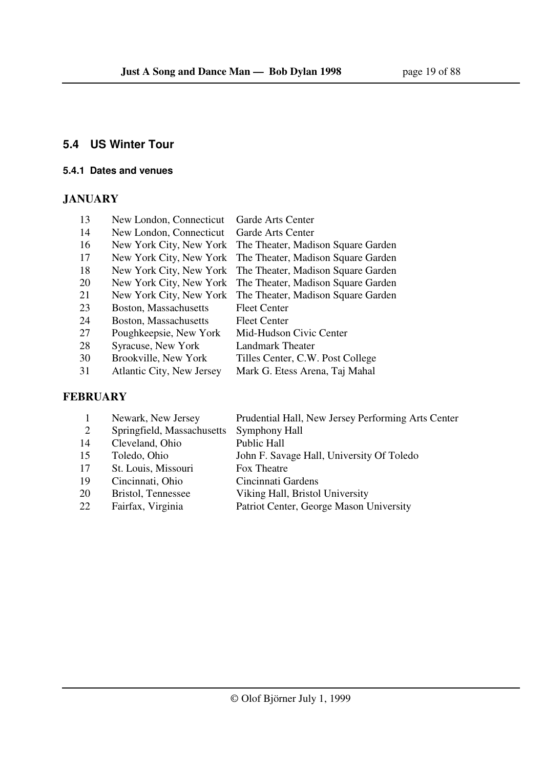## **5.4 US Winter Tour**

#### **5.4.1 Dates and venues**

## **JANUARY**

| 13 | New London, Connecticut   | Garde Arts Center                                          |
|----|---------------------------|------------------------------------------------------------|
| 14 | New London, Connecticut   | Garde Arts Center                                          |
| 16 | New York City, New York   | The Theater, Madison Square Garden                         |
| 17 | New York City, New York   | The Theater, Madison Square Garden                         |
| 18 |                           | New York City, New York The Theater, Madison Square Garden |
| 20 |                           | New York City, New York The Theater, Madison Square Garden |
| 21 |                           | New York City, New York The Theater, Madison Square Garden |
| 23 | Boston, Massachusetts     | <b>Fleet Center</b>                                        |
| 24 | Boston, Massachusetts     | <b>Fleet Center</b>                                        |
| 27 | Poughkeepsie, New York    | Mid-Hudson Civic Center                                    |
| 28 | Syracuse, New York        | Landmark Theater                                           |
| 30 | Brookville, New York      | Tilles Center, C.W. Post College                           |
| 31 | Atlantic City, New Jersey | Mark G. Etess Arena, Taj Mahal                             |

### **FEBRUARY**

|    | Newark, New Jersey         | Prudential Hall, New Jersey Performing Arts Center |
|----|----------------------------|----------------------------------------------------|
| 2  | Springfield, Massachusetts | Symphony Hall                                      |
| 14 | Cleveland, Ohio            | <b>Public Hall</b>                                 |
| 15 | Toledo, Ohio               | John F. Savage Hall, University Of Toledo          |
| 17 | St. Louis, Missouri        | Fox Theatre                                        |
| 19 | Cincinnati, Ohio           | Cincinnati Gardens                                 |
| 20 | Bristol, Tennessee         | Viking Hall, Bristol University                    |
| 22 | Fairfax, Virginia          | Patriot Center, George Mason University            |
|    |                            |                                                    |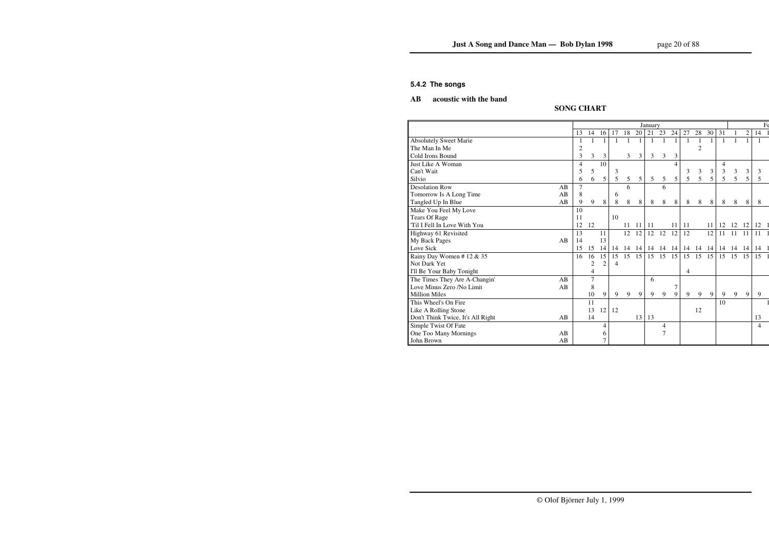#### **5.4.2 The songs**

## **AB acoustic with the band**

## **SONG CHART**

|                                         |    | January        |                |                |                |    |    |     |                |                |    |                |       |    | $F_6$        |                |    |  |
|-----------------------------------------|----|----------------|----------------|----------------|----------------|----|----|-----|----------------|----------------|----|----------------|-------|----|--------------|----------------|----|--|
|                                         | 13 |                | 14             | 16             | 17             | 18 | 20 | 21  | 23             | 24             | 27 | 28             | 30    | 31 | $\mathbf{1}$ | $\overline{2}$ | 14 |  |
| <b>Absolutely Sweet Marie</b>           |    |                |                |                | 1              |    |    |     |                |                | -1 |                |       |    |              |                |    |  |
| The Man In Me                           |    | 2              |                |                |                |    |    |     |                |                |    | $\overline{2}$ |       |    |              |                |    |  |
| Cold Irons Bound                        |    | 3              | 3              | 3              |                | 3  | 3  | 3   | 3              | 3              |    |                |       |    |              |                |    |  |
| Just Like A Woman                       |    | 4              |                | 10             |                |    |    |     |                | 4              |    |                |       | 4  |              |                |    |  |
| Can't Wait                              |    | 5              | 5              |                | 3              |    |    |     |                |                | 3  | $\mathfrak{Z}$ | 3     | 3  | 3            | 3              | 3  |  |
| Silvio                                  |    | 6              | 6              | 5              | 5              | 5  | 5  | 5   | 5              | 5              | 5  | 5              | 5     | 5  | 5            | 5              | 5  |  |
| <b>Desolation Row</b><br>AB             |    | $\overline{7}$ |                |                |                | 6  |    |     | 6              |                |    |                |       |    |              |                |    |  |
| Tomorrow Is A Long Time<br>AB           |    | 8              |                |                | 6              |    |    |     |                |                |    |                |       |    |              |                |    |  |
| Tangled Up In Blue<br>AB                |    | 9              | 9              | 8              | 8              | 8  | 8  | 8   | 8              | 8              | 8  | 8              | 8     | 8  | 8            | 8              | 8  |  |
| Make You Feel My Love                   | 10 |                |                |                |                |    |    |     |                |                |    |                |       |    |              |                |    |  |
| <b>Tears Of Rage</b>                    | 11 |                |                |                | 10             |    |    |     |                |                |    |                |       |    |              |                |    |  |
| 'Til I Fell In Love With You            | 12 | 12             |                |                |                | 11 | 11 | -11 |                | 11             | 11 |                | 11    | 12 | 12           | 12             | 12 |  |
| Highway 61 Revisited                    | 13 |                |                | 11             |                | 12 | 12 | 12  | 12             | 12             | 12 |                | 12    | 11 | 11           | 11             | 11 |  |
| My Back Pages<br>AB                     | 14 |                |                | 13             |                |    |    |     |                |                |    |                |       |    |              |                |    |  |
| Love Sick                               | 15 |                | 15             | 14             | 14             | 14 | 14 | 14  | 14             | 14             | 14 |                | 14 14 |    | 14 14 14     |                | 14 |  |
| Rainy Day Women #12 & 35                | 16 |                | 16             | 15             | 15             | 15 | 15 | 15  | 15             | 15             | 15 | 15             | 15    | 15 | 15           | 15             | 15 |  |
| Not Dark Yet                            |    |                | $\overline{c}$ | $\overline{2}$ | $\overline{4}$ |    |    |     |                |                |    |                |       |    |              |                |    |  |
| I'll Be Your Baby Tonight               |    |                | 4              |                |                |    |    |     |                |                | 4  |                |       |    |              |                |    |  |
| The Times They Are A-Changin'<br>AB     |    |                | 7              |                |                |    |    | 6   |                |                |    |                |       |    |              |                |    |  |
| Love Minus Zero /No Limit<br>AB         |    |                | 8              |                |                |    |    |     |                | $\overline{7}$ |    |                |       |    |              |                |    |  |
| <b>Million Miles</b>                    |    |                | 10             | 9              | 9              | 9  | 9  | 9   | 9              | 9              | 9  | 9              | 9     | 9  | 9            | 9              | 9  |  |
| This Wheel's On Fire                    |    | 11             |                |                |                |    |    |     |                |                |    |                |       | 10 |              |                |    |  |
| Like A Rolling Stone                    |    | 13             |                | 12             | 12             |    |    |     |                |                |    | 12             |       |    |              |                |    |  |
| Don't Think Twice, It's All Right<br>AB |    | 14             |                |                |                |    | 13 | 13  |                |                |    |                |       |    |              |                | 13 |  |
| Simple Twist Of Fate                    |    |                |                | 4              |                |    |    |     | 4              |                |    |                |       |    |              |                | 4  |  |
| One Too Many Mornings<br>AB             |    |                |                | 6              |                |    |    |     | $\overline{7}$ |                |    |                |       |    |              |                |    |  |
| John Brown<br>AB                        |    |                |                | 7              |                |    |    |     |                |                |    |                |       |    |              |                |    |  |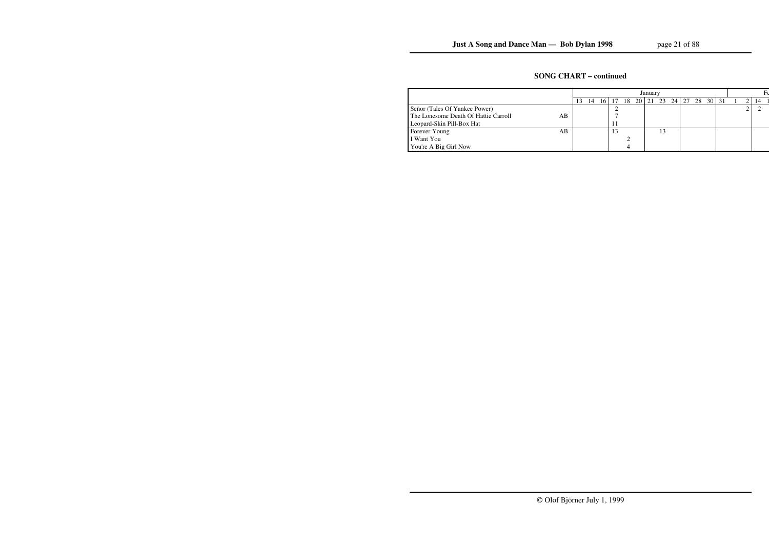## **SONG CHART – continued**

|                                      |    | January |    |  |                                          |  |  |  |  |  |  |  |  |  |  |     |  |
|--------------------------------------|----|---------|----|--|------------------------------------------|--|--|--|--|--|--|--|--|--|--|-----|--|
|                                      |    |         | 14 |  | 16   17 18 20   21 23 24   27 28 30   31 |  |  |  |  |  |  |  |  |  |  | -14 |  |
| Señor (Tales Of Yankee Power)        |    |         |    |  |                                          |  |  |  |  |  |  |  |  |  |  |     |  |
| The Lonesome Death Of Hattie Carroll | АB |         |    |  |                                          |  |  |  |  |  |  |  |  |  |  |     |  |
| Leopard-Skin Pill-Box Hat            |    |         |    |  |                                          |  |  |  |  |  |  |  |  |  |  |     |  |
| Forever Young                        | AВ |         |    |  |                                          |  |  |  |  |  |  |  |  |  |  |     |  |
| I Want You                           |    |         |    |  |                                          |  |  |  |  |  |  |  |  |  |  |     |  |
| You're A Big Girl Now                |    |         |    |  |                                          |  |  |  |  |  |  |  |  |  |  |     |  |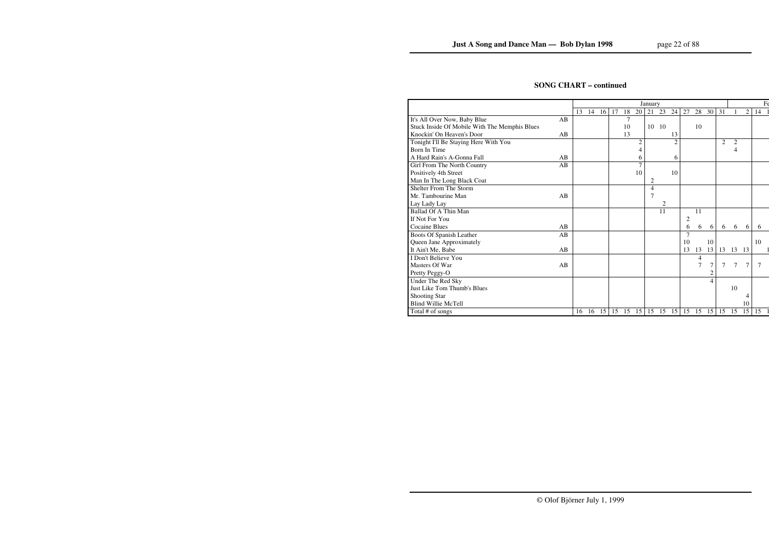## **SONG CHART – continued**

|                                               |    | January |    |    |    |    |                |    |       |    |                |                |                | $F_6$          |                |        |    |
|-----------------------------------------------|----|---------|----|----|----|----|----------------|----|-------|----|----------------|----------------|----------------|----------------|----------------|--------|----|
|                                               |    | 13      | 14 | 16 | 17 | 18 | 20             | 21 | 23    | 24 | 27             | 28             | 30             | 31             |                | 2      | 14 |
| It's All Over Now, Baby Blue                  | AB |         |    |    |    | 7  |                |    |       |    |                |                |                |                |                |        |    |
| Stuck Inside Of Mobile With The Memphis Blues |    |         |    |    |    | 10 |                | 10 | - 10  |    |                | 10             |                |                |                |        |    |
| Knockin' On Heaven's Door                     | AB |         |    |    |    | 13 |                |    |       | 13 |                |                |                |                |                |        |    |
| Tonight I'll Be Staying Here With You         |    |         |    |    |    |    | $\overline{c}$ |    |       | 2  |                |                |                | $\overline{2}$ | $\overline{2}$ |        |    |
| Born In Time                                  |    |         |    |    |    |    | 4              |    |       |    |                |                |                |                | 4              |        |    |
| A Hard Rain's A-Gonna Fall                    | AB |         |    |    |    |    | 6              |    |       | 6  |                |                |                |                |                |        |    |
| Girl From The North Country                   | AB |         |    |    |    |    | 7              |    |       |    |                |                |                |                |                |        |    |
| Positively 4th Street                         |    |         |    |    |    |    | 10             |    |       | 10 |                |                |                |                |                |        |    |
| Man In The Long Black Coat                    |    |         |    |    |    |    |                | 2  |       |    |                |                |                |                |                |        |    |
| <b>Shelter From The Storm</b>                 |    |         |    |    |    |    |                | 4  |       |    |                |                |                |                |                |        |    |
| Mr. Tambourine Man                            | AB |         |    |    |    |    |                | 7  |       |    |                |                |                |                |                |        |    |
| Lay Lady Lay                                  |    |         |    |    |    |    |                |    | 2     |    |                |                |                |                |                |        |    |
| Ballad Of A Thin Man                          |    |         |    |    |    |    |                |    | 11    |    |                | 11             |                |                |                |        |    |
| If Not For You                                |    |         |    |    |    |    |                |    |       |    | $\overline{c}$ |                |                |                |                |        |    |
| Cocaine Blues                                 | AB |         |    |    |    |    |                |    |       |    | 6              | 6              | 6              | 6              | 6              | 6      | 6  |
| Boots Of Spanish Leather                      | AB |         |    |    |    |    |                |    |       |    | $\overline{7}$ |                |                |                |                |        |    |
| Queen Jane Approximately                      |    |         |    |    |    |    |                |    |       |    | 10             |                | 10             |                |                |        | 10 |
| It Ain't Me, Babe                             | AB |         |    |    |    |    |                |    |       |    | 13             | 13             | 13             | 13             | 13             | 13     |    |
| I Don't Believe You                           |    |         |    |    |    |    |                |    |       |    |                | 4              |                |                |                |        |    |
| Masters Of War                                | AB |         |    |    |    |    |                |    |       |    |                | $\overline{7}$ | 7              | $\tau$         | 7              | $\tau$ | 7  |
| Pretty Peggy-O                                |    |         |    |    |    |    |                |    |       |    |                |                | $\overline{c}$ |                |                |        |    |
| Under The Red Sky                             |    |         |    |    |    |    |                |    |       |    |                |                | $\overline{4}$ |                |                |        |    |
| <b>Just Like Tom Thumb's Blues</b>            |    |         |    |    |    |    |                |    |       |    |                |                |                |                | 10             |        |    |
| <b>Shooting Star</b>                          |    |         |    |    |    |    |                |    |       |    |                |                |                |                |                | 4      |    |
| <b>Blind Willie McTell</b>                    |    |         |    |    |    |    |                |    |       |    |                |                |                |                |                | 10     |    |
| Total # of songs                              |    | 16      | 16 | 15 | 15 | 15 | 15             |    | 15 15 | 15 | 15             | 15             | 15             | 15             | 15             | 15     | 15 |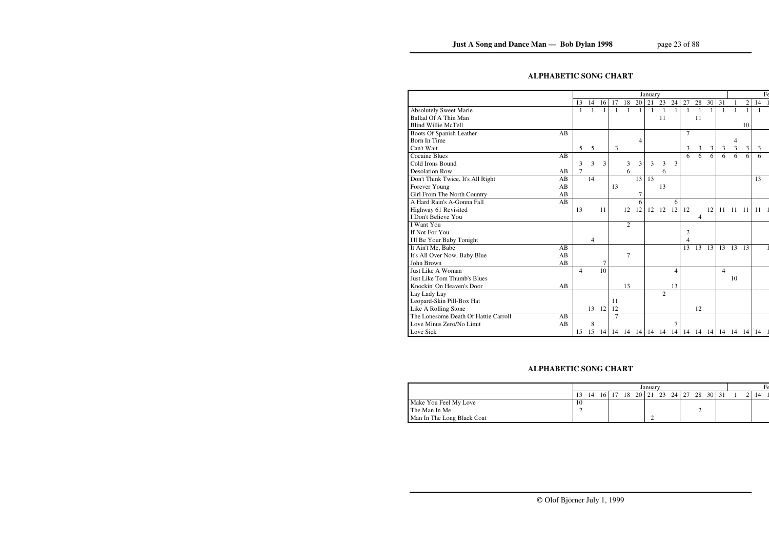## **ALPHABETIC SONG CHART**

|                                      |    | January        |    |    |                |                |    |    |                   |              |    |                |                |                |                | $F_6$          |    |  |
|--------------------------------------|----|----------------|----|----|----------------|----------------|----|----|-------------------|--------------|----|----------------|----------------|----------------|----------------|----------------|----|--|
|                                      |    | 13             | 14 | 16 | 17             | 18             | 20 | 21 | 23                | 24           | 27 | 28             | 30             | 31             |                | $\overline{c}$ | 14 |  |
| <b>Absolutely Sweet Marie</b>        |    | $\mathbf{1}$   | 1  | 1  | 1              |                | 1  |    | 1                 | $\mathbf{1}$ | 1  | $\overline{1}$ | $\mathbf{1}$   | $\mathbf{1}$   | 1              |                | 1  |  |
| Ballad Of A Thin Man                 |    |                |    |    |                |                |    |    | 11                |              |    | 11             |                |                |                |                |    |  |
| <b>Blind Willie McTell</b>           |    |                |    |    |                |                |    |    |                   |              |    |                |                |                |                | 10             |    |  |
| Boots Of Spanish Leather             | AB |                |    |    |                |                |    |    |                   |              | 7  |                |                |                |                |                |    |  |
| Born In Time                         |    |                |    |    |                |                | 4  |    |                   |              |    |                |                |                | 4              |                |    |  |
| Can't Wait                           |    | 5              | 5  |    | 3              |                |    |    |                   |              | 3  | 3              | 3              | 3              | $\mathfrak{Z}$ | 3              | 3  |  |
| <b>Cocaine Blues</b>                 | AB |                |    |    |                |                |    |    |                   |              | 6  | 6              | $\overline{6}$ | 6              | 6              | 6              | 6  |  |
| Cold Irons Bound                     |    | 3              | 3  | 3  |                | 3              | 3  | 3  | 3                 | 3            |    |                |                |                |                |                |    |  |
| <b>Desolation Row</b>                | AB | 7              |    |    |                | 6              |    |    | 6                 |              |    |                |                |                |                |                |    |  |
| Don't Think Twice, It's All Right    | AB |                | 14 |    |                |                | 13 | 13 |                   |              |    |                |                |                |                |                | 13 |  |
| Forever Young                        | AB |                |    |    | 13             |                |    |    | 13                |              |    |                |                |                |                |                |    |  |
| Girl From The North Country          | AB |                |    |    |                |                | 7  |    |                   |              |    |                |                |                |                |                |    |  |
| A Hard Rain's A-Gonna Fall           | AB |                |    |    |                |                | 6  |    |                   | 6            |    |                |                |                |                |                |    |  |
| Highway 61 Revisited                 |    | 13             |    | 11 |                | 12             | 12 | 12 | 12                | 12           | 12 |                | 12             | 11             | 11             | -11            | 11 |  |
| I Don't Believe You                  |    |                |    |    |                |                |    |    |                   |              |    | 4              |                |                |                |                |    |  |
| <b>I</b> Want You                    |    |                |    |    |                | $\overline{2}$ |    |    |                   |              |    |                |                |                |                |                |    |  |
| If Not For You                       |    |                |    |    |                |                |    |    |                   |              | 2  |                |                |                |                |                |    |  |
| I'll Be Your Baby Tonight            |    |                | 4  |    |                |                |    |    |                   |              | 4  |                |                |                |                |                |    |  |
| It Ain't Me, Babe                    | AB |                |    |    |                |                |    |    |                   |              | 13 | 13             | 13             | 13             | 13             | 13             |    |  |
| It's All Over Now, Baby Blue         | AB |                |    |    |                | 7              |    |    |                   |              |    |                |                |                |                |                |    |  |
| John Brown                           | AB |                |    | 7  |                |                |    |    |                   |              |    |                |                |                |                |                |    |  |
| Just Like A Woman                    |    | $\overline{4}$ |    | 10 |                |                |    |    |                   | 4            |    |                |                | $\overline{4}$ |                |                |    |  |
| <b>Just Like Tom Thumb's Blues</b>   |    |                |    |    |                |                |    |    |                   |              |    |                |                |                | 10             |                |    |  |
| Knockin' On Heaven's Door            | AB |                |    |    |                | 13             |    |    |                   | 13           |    |                |                |                |                |                |    |  |
| Lay Lady Lay                         |    |                |    |    |                |                |    |    | $\overline{2}$    |              |    |                |                |                |                |                |    |  |
| Leopard-Skin Pill-Box Hat            |    |                |    |    | 11             |                |    |    |                   |              |    |                |                |                |                |                |    |  |
| Like A Rolling Stone                 |    |                | 13 | 12 | 12             |                |    |    |                   |              |    | 12             |                |                |                |                |    |  |
| The Lonesome Death Of Hattie Carroll | AB |                |    |    | $\overline{7}$ |                |    |    |                   |              |    |                |                |                |                |                |    |  |
| Love Minus Zero/No Limit             | AB |                | 8  |    |                |                |    |    |                   | 7            |    |                |                |                |                |                |    |  |
| Love Sick                            |    | 15             | 15 | 14 |                |                |    |    | 14 14 14 14 14 14 |              |    | 14 14 14       |                | 14 14 14       |                |                | 14 |  |

## **ALPHABETIC SONG CHART**

|                            | January |    |    |  |    |  |                      |  |         |  |          |  |  |  |    |  |  |
|----------------------------|---------|----|----|--|----|--|----------------------|--|---------|--|----------|--|--|--|----|--|--|
|                            |         | 14 | 16 |  | 18 |  | $20 \mid 21 \mid 23$ |  | 24   27 |  | 28 30 31 |  |  |  | 14 |  |  |
| Make You Feel My Love      | 10      |    |    |  |    |  |                      |  |         |  |          |  |  |  |    |  |  |
| The Man In Me              |         |    |    |  |    |  |                      |  |         |  |          |  |  |  |    |  |  |
| Man In The Long Black Coat |         |    |    |  |    |  |                      |  |         |  |          |  |  |  |    |  |  |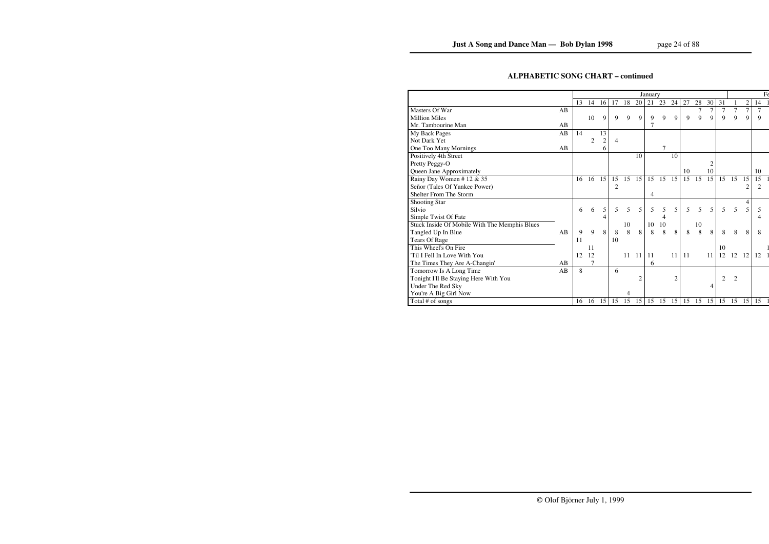## **ALPHABETIC SONG CHART – continued**

|                                               |    | January |    |                |                |    |                |    |    |                |    |    |                | $F_6$          |                |                |                |  |
|-----------------------------------------------|----|---------|----|----------------|----------------|----|----------------|----|----|----------------|----|----|----------------|----------------|----------------|----------------|----------------|--|
|                                               |    | 13      | 14 | 16             | 17             | 18 | 20             | 21 | 23 | 24             | 27 | 28 | 30             | 31             |                | $\overline{c}$ | 14             |  |
| Masters Of War                                | AB |         |    |                |                |    |                |    |    |                |    | 7  | $\tau$         | $\overline{7}$ | $\overline{7}$ | 7              | 7              |  |
| <b>Million Miles</b>                          |    |         | 10 | 9              | 9              | 9  | 9              | 9  | 9  | $\mathbf Q$    | 9  | 9  | 9              | 9              | 9              | 9              | 9              |  |
| Mr. Tambourine Man                            | AB |         |    |                |                |    |                | 7  |    |                |    |    |                |                |                |                |                |  |
| My Back Pages                                 | AB | 14      |    | 13             |                |    |                |    |    |                |    |    |                |                |                |                |                |  |
| Not Dark Yet                                  |    |         | 2  | $\overline{c}$ | $\overline{4}$ |    |                |    |    |                |    |    |                |                |                |                |                |  |
| One Too Many Mornings                         | AB |         |    | 6              |                |    |                |    | 7  |                |    |    |                |                |                |                |                |  |
| Positively 4th Street                         |    |         |    |                |                |    | 10             |    |    | 10             |    |    |                |                |                |                |                |  |
| Pretty Peggy-O                                |    |         |    |                |                |    |                |    |    |                |    |    | $\overline{c}$ |                |                |                |                |  |
| Queen Jane Approximately                      |    |         |    |                |                |    |                |    |    |                | 10 |    | 10             |                |                |                | 10             |  |
| Rainy Day Women # 12 & 35                     |    | 16      | 16 | 15             | 15             | 15 | 15             | 15 | 15 | 15             | 15 | 15 | 15             | 15             | 15             | 15             | 15             |  |
| Señor (Tales Of Yankee Power)                 |    |         |    |                | $\overline{2}$ |    |                |    |    |                |    |    |                |                |                | 2              | $\overline{2}$ |  |
| Shelter From The Storm                        |    |         |    |                |                |    |                | 4  |    |                |    |    |                |                |                |                |                |  |
| <b>Shooting Star</b>                          |    |         |    |                |                |    |                |    |    |                |    |    |                |                |                | 4              |                |  |
| Silvio                                        |    | 6       | 6  | 5              | 5              | 5  | 5              | 5  | 5  | 5              | 5  | 5  | 5              | 5              | 5              | 5              | 5              |  |
| Simple Twist Of Fate                          |    |         |    | 4              |                |    |                |    | 4  |                |    |    |                |                |                |                | 4              |  |
| Stuck Inside Of Mobile With The Memphis Blues |    |         |    |                |                | 10 |                | 10 | 10 |                |    | 10 |                |                |                |                |                |  |
| Tangled Up In Blue                            | AB | 9       | 9  | 8              | 8              | 8  | 8              | 8  | 8  | 8              | 8  | 8  | 8              | 8              | 8              | 8              | 8              |  |
| <b>Tears Of Rage</b>                          |    | 11      |    |                | 10             |    |                |    |    |                |    |    |                |                |                |                |                |  |
| This Wheel's On Fire                          |    |         | 11 |                |                |    |                |    |    |                |    |    |                | 10             |                |                |                |  |
| 'Til I Fell In Love With You                  |    | 12      | 12 |                |                | 11 | 11             | 11 |    | 11             | 11 |    | 11             | 12             | 12             | 12             | 12             |  |
| The Times They Are A-Changin'                 | AB |         | 7  |                |                |    |                | 6  |    |                |    |    |                |                |                |                |                |  |
| Tomorrow Is A Long Time                       | AB | 8       |    |                | 6              |    |                |    |    |                |    |    |                |                |                |                |                |  |
| Tonight I'll Be Staying Here With You         |    |         |    |                |                |    | $\overline{2}$ |    |    | $\overline{2}$ |    |    |                | 2              | $\overline{c}$ |                |                |  |
| Under The Red Sky                             |    |         |    |                |                |    |                |    |    |                |    |    | 4              |                |                |                |                |  |
| You're A Big Girl Now                         |    |         |    |                |                | 4  |                |    |    |                |    |    |                |                |                |                |                |  |
| Total # of songs                              |    | 16      | 16 | 15             | 15             | 15 | 15             | 15 | 15 | 15             | 15 | 15 | 15             | 15             | 15             | 15             | 15             |  |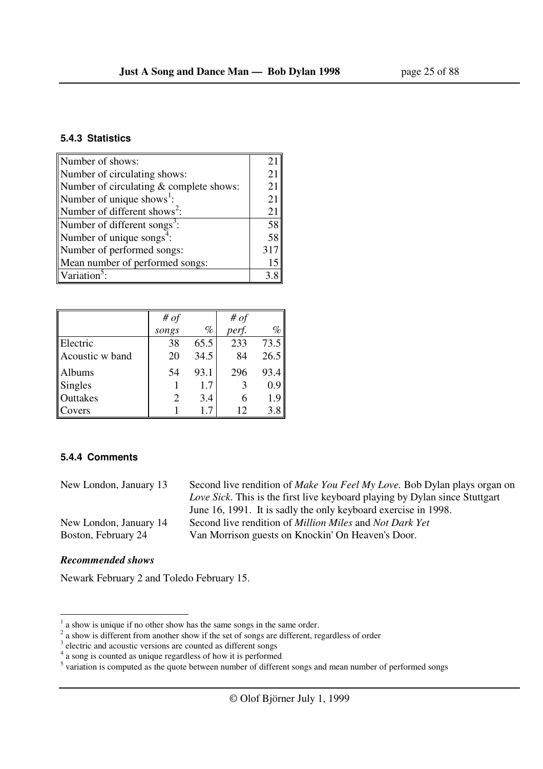| Number of shows:                         | 21  |
|------------------------------------------|-----|
| Number of circulating shows:             | 21  |
| Number of circulating & complete shows:  | 21  |
| Number of unique shows $\cdot$ :         | 21  |
| Number of different shows <sup>2</sup> : | 21  |
| Number of different songs <sup>3</sup> : | 58  |
| Number of unique songs <sup>4</sup> :    | 58  |
| Number of performed songs:               | 317 |
| Mean number of performed songs:          | 15  |
| Variation <sup>5</sup>                   | 3 R |

|                 | # $of$ |      | # $of$ |      |
|-----------------|--------|------|--------|------|
|                 | songs  | %    | perf.  | $\%$ |
| Electric        | 38     | 65.5 | 233    | 73.5 |
| Acoustic w band | 20     | 34.5 | 84     | 26.5 |
| Albums          | 54     | 93.1 | 296    | 93.4 |
| Singles         |        | 1.7  |        | 0.9  |
| Outtakes        |        | 3.4  | 6      | 1.9  |
| Covers          |        | 17   | 12     | 3.8  |

#### **5.4.4 Comments**

| New London, January 13 | Second live rendition of <i>Make You Feel My Love</i> . Bob Dylan plays organ on   |
|------------------------|------------------------------------------------------------------------------------|
|                        | <i>Love Sick.</i> This is the first live keyboard playing by Dylan since Stuttgart |
|                        | June 16, 1991. It is sadly the only keyboard exercise in 1998.                     |
| New London, January 14 | Second live rendition of <i>Million Miles</i> and <i>Not Dark Yet</i>              |
| Boston, February 24    | Van Morrison guests on Knockin' On Heaven's Door.                                  |
|                        |                                                                                    |

## *Recommended shows*

 $\overline{a}$ 

Newark February 2 and Toledo February 15.

 $<sup>1</sup>$  a show is unique if no other show has the same songs in the same order.</sup>

 $2$  a show is different from another show if the set of songs are different, regardless of order

<sup>&</sup>lt;sup>3</sup> electric and acoustic versions are counted as different songs

 $\frac{4}{3}$  a song is counted as unique regardless of how it is performed<br>  $\frac{5}{3}$  variation is computed as the quote between number of different songs and mean number of performed songs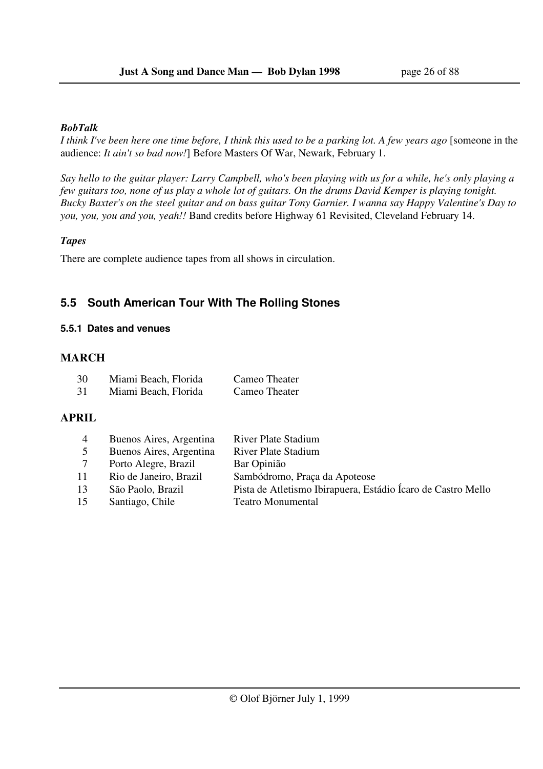#### *BobTalk*

*I think I've been here one time before, I think this used to be a parking lot. A few years ago* [someone in the audience: *It ain't so bad now!*] Before Masters Of War, Newark, February 1.

*Say hello to the guitar player: Larry Campbell, who's been playing with us for a while, he's only playing a few guitars too, none of us play a whole lot of guitars. On the drums David Kemper is playing tonight. Bucky Baxter's on the steel guitar and on bass guitar Tony Garnier. I wanna say Happy Valentine's Day to you, you, you and you, yeah!!* Band credits before Highway 61 Revisited, Cleveland February 14.

### *Tapes*

There are complete audience tapes from all shows in circulation.

## **5.5 South American Tour With The Rolling Stones**

### **5.5.1 Dates and venues**

## **MARCH**

| 30 | Miami Beach, Florida | Cameo Theater |
|----|----------------------|---------------|
| 31 | Miami Beach, Florida | Cameo Theater |

## **APRIL**

| 4  | Buenos Aires, Argentina | <b>River Plate Stadium</b>                                   |
|----|-------------------------|--------------------------------------------------------------|
|    | Buenos Aires, Argentina | <b>River Plate Stadium</b>                                   |
|    | Porto Alegre, Brazil    | Bar Opinião                                                  |
| 11 | Rio de Janeiro, Brazil  | Sambódromo, Praça da Apoteose                                |
| 13 | São Paolo, Brazil       | Pista de Atletismo Ibirapuera, Estádio Ícaro de Castro Mello |
| 15 | Santiago, Chile         | <b>Teatro Monumental</b>                                     |
|    |                         |                                                              |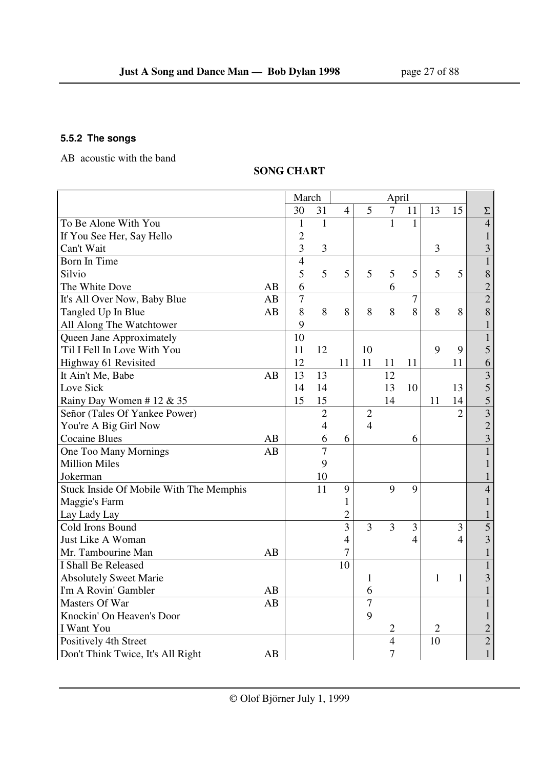## **5.5.2 The songs**

AB acoustic with the band

## **SONG CHART**

|                                         |    | March          |                |                |                | April          |                |                |                |                         |
|-----------------------------------------|----|----------------|----------------|----------------|----------------|----------------|----------------|----------------|----------------|-------------------------|
|                                         |    | 30             | 31             | $\overline{4}$ | 5              | $\tau$         | 11             | 13             | 15             | $\Sigma$                |
| To Be Alone With You                    |    | $\mathbf{1}$   | $\mathbf{1}$   |                |                | 1              | 1              |                |                | $\overline{4}$          |
| If You See Her, Say Hello               |    | $\overline{2}$ |                |                |                |                |                |                |                | $\mathbf{1}$            |
| Can't Wait                              |    | 3              | 3              |                |                |                |                | 3              |                | $\overline{\mathbf{3}}$ |
| Born In Time                            |    | $\overline{4}$ |                |                |                |                |                |                |                | $\mathbf{1}$            |
| Silvio                                  |    | 5              | 5              | 5              | 5              | 5              | 5              | 5              | 5              | $8\,$                   |
| The White Dove                          | AB | 6              |                |                |                | 6              |                |                |                | $\frac{2}{2}$           |
| It's All Over Now, Baby Blue            | AB | $\overline{7}$ |                |                |                |                | 7              |                |                |                         |
| Tangled Up In Blue                      | AB | 8              | 8              | 8              | 8              | 8              | 8              | 8              | 8              | 8                       |
| All Along The Watchtower                |    | 9              |                |                |                |                |                |                |                | $\mathbf 1$             |
| Queen Jane Approximately                |    | 10             |                |                |                |                |                |                |                | $\mathbf{1}$            |
| 'Til I Fell In Love With You            |    | 11             | 12             |                | 10             |                |                | 9              | 9              | 5                       |
| Highway 61 Revisited                    |    | 12             |                | 11             | 11             | 11             | 11             |                | 11             | 6                       |
| It Ain't Me, Babe                       | AB | 13             | 13             |                |                | 12             |                |                |                | $\overline{\mathbf{3}}$ |
| Love Sick                               |    | 14             | 14             |                |                | 13             | 10             |                | 13             | 5                       |
| Rainy Day Women # 12 & 35               |    | 15             | 15             |                |                | 14             |                | 11             | 14             | 5                       |
| Señor (Tales Of Yankee Power)           |    |                | $\overline{2}$ |                | $\overline{2}$ |                |                |                | $\overline{2}$ | $\overline{\mathbf{3}}$ |
| You're A Big Girl Now                   |    |                | 4              |                | $\overline{4}$ |                |                |                |                | $\overline{2}$          |
| <b>Cocaine Blues</b>                    | AB |                | 6              | 6              |                |                | 6              |                |                | $\overline{\mathbf{3}}$ |
| One Too Many Mornings                   | AB |                | $\overline{7}$ |                |                |                |                |                |                | $\mathbf{1}$            |
| <b>Million Miles</b>                    |    |                | 9              |                |                |                |                |                |                | $\mathbf{1}$            |
| Jokerman                                |    |                | 10             |                |                |                |                |                |                | $\mathbf{1}$            |
| Stuck Inside Of Mobile With The Memphis |    |                | 11             | 9              |                | 9              | 9              |                |                | $\overline{4}$          |
| Maggie's Farm                           |    |                |                | 1              |                |                |                |                |                | $\mathbf{1}$            |
| Lay Lady Lay                            |    |                |                | $\overline{2}$ |                |                |                |                |                | $\mathbf{1}$            |
| Cold Irons Bound                        |    |                |                | $\overline{3}$ | $\overline{3}$ | $\overline{3}$ | 3              |                | $\overline{3}$ | $\overline{5}$          |
| Just Like A Woman                       |    |                |                | $\overline{4}$ |                |                | $\overline{4}$ |                | $\overline{4}$ | $\overline{3}$          |
| Mr. Tambourine Man                      | AB |                |                | 7              |                |                |                |                |                | $\mathbf{1}$            |
| I Shall Be Released                     |    |                |                | 10             |                |                |                |                |                | $\mathbf{1}$            |
| <b>Absolutely Sweet Marie</b>           |    |                |                |                | 1              |                |                | 1              | 1              | $\overline{3}$          |
| I'm A Rovin' Gambler                    | AB |                |                |                | 6              |                |                |                |                | $\mathbf{1}$            |
| Masters Of War                          | AB |                |                |                | $\overline{7}$ |                |                |                |                | $\mathbf{1}$            |
| Knockin' On Heaven's Door               |    |                |                |                | 9              |                |                |                |                | $\mathbf{1}$            |
| I Want You                              |    |                |                |                |                | 2              |                | $\overline{2}$ |                | $\overline{c}$          |
| Positively 4th Street                   |    |                |                |                |                | $\overline{4}$ |                | 10             |                | $\overline{2}$          |
| Don't Think Twice, It's All Right       | AB |                |                |                |                | $\overline{7}$ |                |                |                | $\mathbf{1}$            |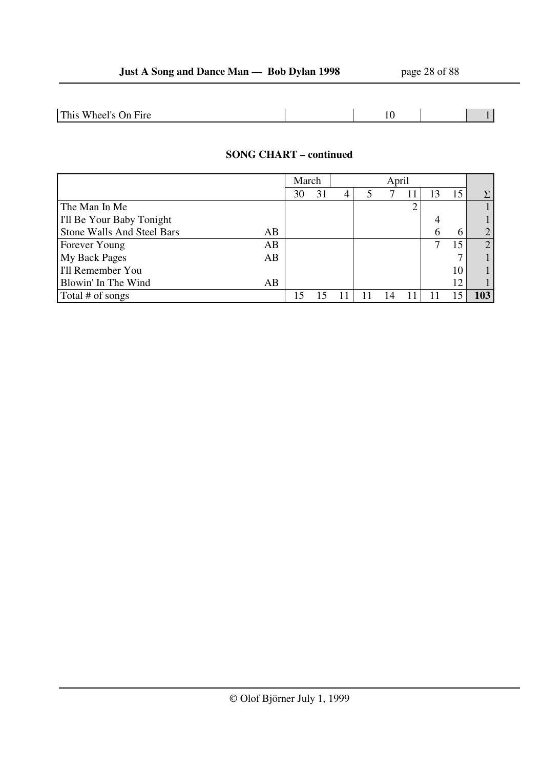| $\mathsf{This}$<br>$\! \cdot$<br>Fire<br>Wheel's Q<br>)n<br>$\sim$ $\sim$ |  |  |
|---------------------------------------------------------------------------|--|--|
|                                                                           |  |  |

## **SONG CHART – continued**

|                                  | March |    | April |  |  |  |    |                |
|----------------------------------|-------|----|-------|--|--|--|----|----------------|
|                                  | 30    | 31 | 4     |  |  |  | 15 | Σ              |
| The Man In Me                    |       |    |       |  |  |  |    |                |
| I'll Be Your Baby Tonight        |       |    |       |  |  |  |    |                |
| Stone Walls And Steel Bars<br>AB |       |    |       |  |  |  | h  | $\overline{2}$ |
| AB<br>Forever Young              |       |    |       |  |  |  | 15 | 2              |
| <b>My Back Pages</b><br>AB       |       |    |       |  |  |  |    |                |
| I'll Remember You                |       |    |       |  |  |  | 10 |                |
| Blowin' In The Wind<br>AB        |       |    |       |  |  |  | 12 |                |
| Total # of songs                 |       |    |       |  |  |  |    | 103            |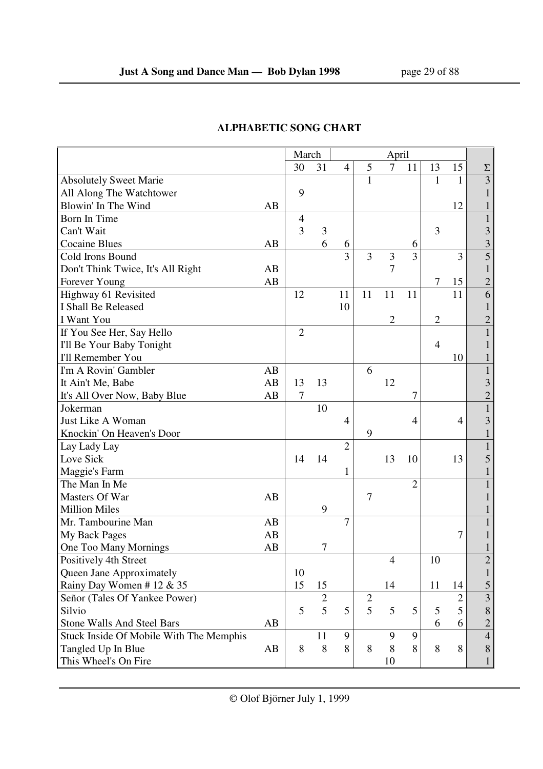|                                         |    | March          |            |                |                | April          |                |                |                |                         |
|-----------------------------------------|----|----------------|------------|----------------|----------------|----------------|----------------|----------------|----------------|-------------------------|
|                                         |    | 30             | 31         | $\overline{4}$ | 5              | $\tau$         | 11             | 13             | 15             |                         |
| <b>Absolutely Sweet Marie</b>           |    |                |            |                | $\mathbf{1}$   |                |                | 1              | $\mathbf{1}$   | $rac{\Sigma}{3}$        |
| All Along The Watchtower                |    | 9              |            |                |                |                |                |                |                |                         |
| Blowin' In The Wind                     | AB |                |            |                |                |                |                |                | 12             |                         |
| Born In Time                            |    | 4              |            |                |                |                |                |                |                | $\mathbf{1}$            |
| Can't Wait                              |    | 3              | 3          |                |                |                |                | 3              |                | 3                       |
| <b>Cocaine Blues</b>                    | AB |                | 6          | 6              |                |                | 6              |                |                | 3                       |
| Cold Irons Bound                        |    |                |            | $\overline{3}$ | 3              | 3              | $\overline{3}$ |                | 3              | $\overline{5}$          |
| Don't Think Twice, It's All Right       | AB |                |            |                |                | 7              |                |                |                | 1                       |
| Forever Young                           | AB |                |            |                |                |                |                | $\tau$         | 15             | $\overline{c}$          |
| Highway 61 Revisited                    |    | 12             |            | 11             | 11             | 11             | 11             |                | 11             | 6                       |
| I Shall Be Released                     |    |                |            | 10             |                |                |                |                |                |                         |
| I Want You                              |    |                |            |                |                | $\overline{2}$ |                | $\overline{2}$ |                | $\overline{2}$          |
| If You See Her, Say Hello               |    | $\overline{2}$ |            |                |                |                |                |                |                | $\mathbf{1}$            |
| I'll Be Your Baby Tonight               |    |                |            |                |                |                |                | $\overline{4}$ |                |                         |
| <b>I'll Remember You</b>                |    |                |            |                |                |                |                |                | 10             |                         |
| I'm A Rovin' Gambler                    | AB |                |            |                | 6              |                |                |                |                | 1                       |
| It Ain't Me, Babe                       | AB | 13             | 13         |                |                | 12             |                |                |                | 3                       |
| It's All Over Now, Baby Blue            | AB | $\tau$         |            |                |                |                | 7              |                |                | $\overline{c}$          |
| Jokerman                                |    |                | 10         |                |                |                |                |                |                | $\mathbf{1}$            |
| Just Like A Woman                       |    |                |            | 4              |                |                | $\overline{4}$ |                | 4              | 3                       |
| Knockin' On Heaven's Door               |    |                |            |                | 9              |                |                |                |                | 1                       |
| Lay Lady Lay                            |    |                |            | $\overline{2}$ |                |                |                |                |                |                         |
| Love Sick                               |    | 14             | 14         |                |                | 13             | 10             |                | 13             | 5                       |
| Maggie's Farm                           |    |                |            | 1              |                |                |                |                |                |                         |
| The Man In Me                           |    |                |            |                |                |                | $\overline{2}$ |                |                |                         |
| Masters Of War                          | AB |                |            |                | $\overline{7}$ |                |                |                |                |                         |
| <b>Million Miles</b>                    |    |                | 9          |                |                |                |                |                |                |                         |
| Mr. Tambourine Man                      | AB |                |            | 7              |                |                |                |                |                |                         |
| My Back Pages                           | AB |                |            |                |                |                |                |                | 7              |                         |
| One Too Many Mornings                   | AB |                | 7          |                |                |                |                |                |                |                         |
| Positively 4th Street                   |    |                |            |                |                | $\overline{4}$ |                | 10             |                | $\overline{c}$          |
| Queen Jane Approximately                |    | 10             |            |                |                |                |                |                |                | $\mathbf{1}$            |
| Rainy Day Women #12 & 35                |    | 15             | 15         |                |                | 14             |                | 11             | 14             | 5                       |
| Señor (Tales Of Yankee Power)           |    |                | $\sqrt{2}$ |                | $\mathbf{2}$   |                |                |                | $\overline{c}$ | $\overline{\mathbf{3}}$ |
| Silvio                                  |    | 5              | 5          | 5              | 5              | 5              | 5              | 5              | 5              | 8                       |
| <b>Stone Walls And Steel Bars</b>       | AB |                |            |                |                |                |                | 6              | 6              | $\overline{2}$          |
| Stuck Inside Of Mobile With The Memphis |    |                | 11         | 9              |                | 9              | 9              |                |                | $\overline{4}$          |
| Tangled Up In Blue                      | AB | 8              | 8          | 8              | 8              | 8              | 8              | 8              | 8              | 8                       |
| This Wheel's On Fire                    |    |                |            |                |                | 10             |                |                |                | $\mathbf{1}$            |

## **ALPHABETIC SONG CHART**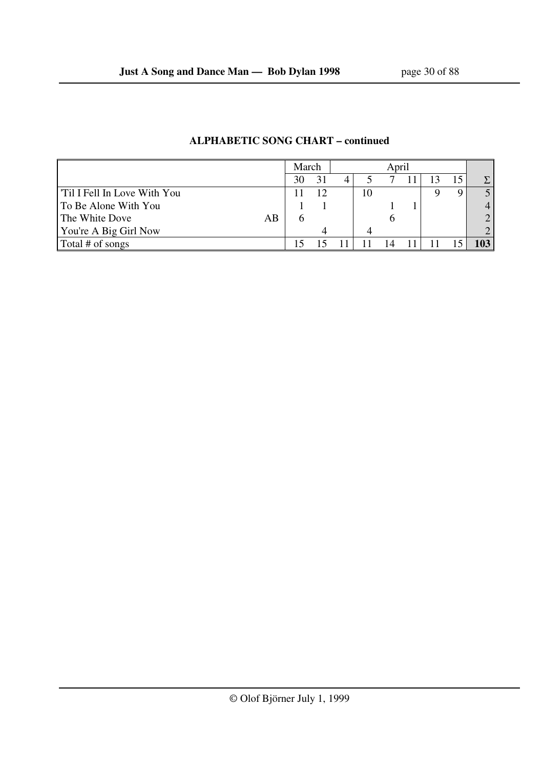|                             | March | April |    |  |  |  |                  |
|-----------------------------|-------|-------|----|--|--|--|------------------|
|                             | 30    |       |    |  |  |  | $\Sigma_{\perp}$ |
| Til I Fell In Love With You |       |       | 10 |  |  |  |                  |
| To Be Alone With You        |       |       |    |  |  |  |                  |
| The White Dove<br>AB        |       |       |    |  |  |  | ◠                |
| You're A Big Girl Now       |       |       |    |  |  |  | ◠                |
| Total # of songs            |       |       |    |  |  |  |                  |

## **ALPHABETIC SONG CHART – continued**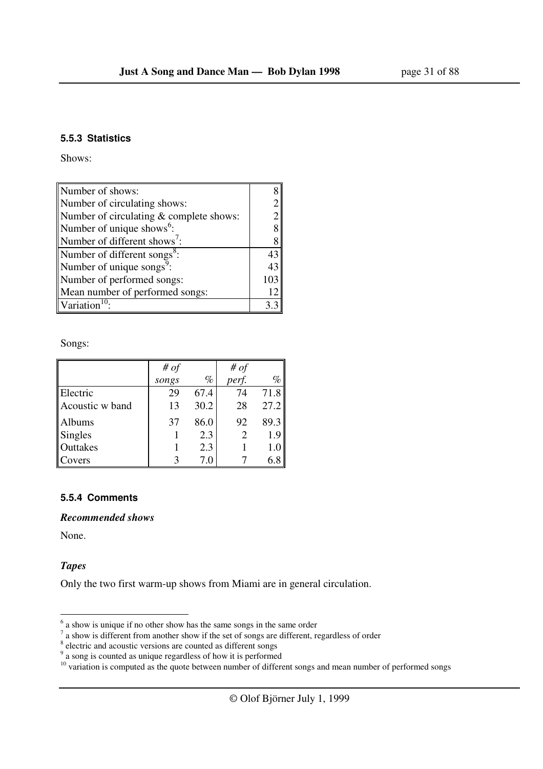#### **5.5.3 Statistics**

Shows:

| Number of shows:                         |                |
|------------------------------------------|----------------|
| Number of circulating shows:             |                |
| Number of circulating & complete shows:  | $\overline{2}$ |
| Number of unique shows <sup>6</sup> :    |                |
| Number of different shows':              |                |
| Number of different songs <sup>8</sup> : | 43             |
| Number of unique songs <sup>9</sup> :    | 43             |
| Number of performed songs:               | 103            |
| Mean number of performed songs:          |                |
| Variation <sup>10</sup>                  |                |

Songs:

|                 | # $of$ |      | # $of$ |      |
|-----------------|--------|------|--------|------|
|                 | songs  | $\%$ | perf.  | $\%$ |
| Electric        | 29     | 67.4 | 74     | 71.8 |
| Acoustic w band | 13     | 30.2 | 28     | 27.2 |
| Albums          | 37     | 86.0 | 92     | 89.3 |
| <b>Singles</b>  |        | 2.3  |        | 1.9  |
| Outtakes        |        | 2.3  |        |      |
| Covers          |        | 7.0  |        |      |

### **5.5.4 Comments**

*Recommended shows*

None.

## *Tapes*

Only the two first warm-up shows from Miami are in general circulation.

 $\frac{1}{6}$  a show is unique if no other show has the same songs in the same order<br>
<sup>7</sup> a show is different from another show if the set of songs are different, regardless of order<br>
<sup>8</sup> electric and acoustic versions are co

 $10$  variation is computed as the quote between number of different songs and mean number of performed songs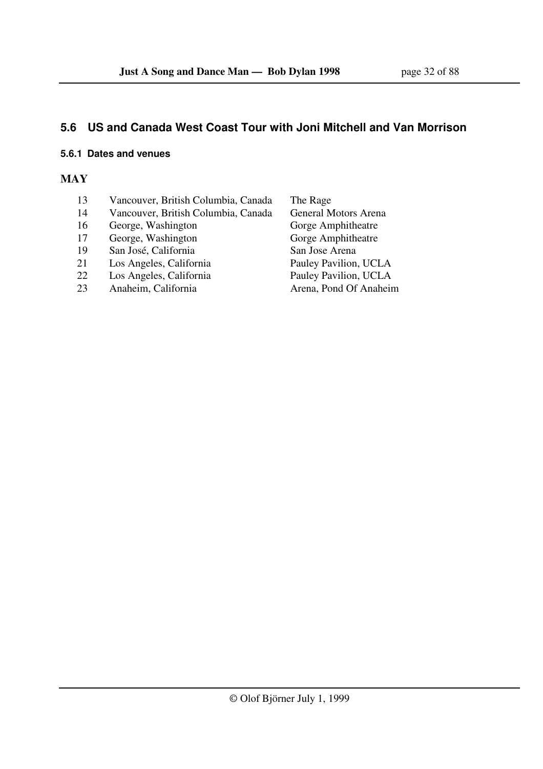## **5.6 US and Canada West Coast Tour with Joni Mitchell and Van Morrison**

## **5.6.1 Dates and venues**

## **MAY**

- 13 Vancouver, British Columbia, Canada The Rage
- 
- 16 George, Washington
- 17 George, Washington Gorge Amphitheatre
- 19 San José, California San Jose Arena
- 21 Los Angeles, California Pauley Pavilion, UCLA
- 
- 23 Anaheim, California Arena, Pond Of Anaheim

14 Vancouver, British Columbia, Canada General Motors Arena<br>16 George, Washington Gorge Amphitheatre 22 Los Angeles, California Pauley Pavilion, UCLA<br>23 Anaheim. California Arena. Pond Of Anaheir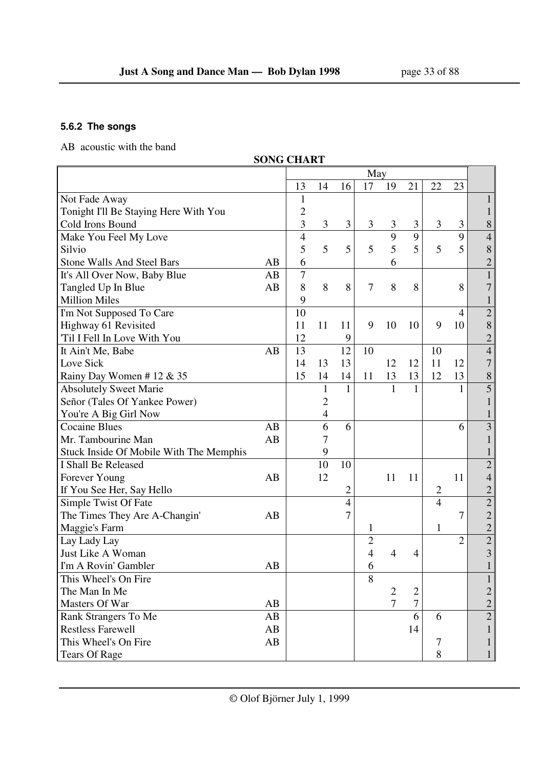## **5.6.2 The songs**

AB acoustic with the band

|                                         | <b>SONG CHART</b> |                |                |                |                |                |                |                |                  |                |
|-----------------------------------------|-------------------|----------------|----------------|----------------|----------------|----------------|----------------|----------------|------------------|----------------|
|                                         |                   |                |                |                | May            |                |                |                |                  |                |
|                                         |                   | 13             | 14             | 16             | 17             | 19             | 21             | 22             | 23               |                |
| Not Fade Away                           |                   | $\mathbf{1}$   |                |                |                |                |                |                |                  | 1              |
| Tonight I'll Be Staying Here With You   |                   | $\overline{c}$ |                |                |                |                |                |                |                  | $\mathbf{1}$   |
| Cold Irons Bound                        |                   | 3              | 3              | 3              | 3              | 3              | 3              | 3              | 3                | 8              |
| Make You Feel My Love                   |                   | $\overline{4}$ |                |                |                | 9              | 9              |                | 9                | $\overline{4}$ |
| Silvio                                  |                   | 5              | 5              | 5              | 5              | 5              | 5              | 5              | 5                | $\,8$          |
| <b>Stone Walls And Steel Bars</b>       | AB                | 6              |                |                |                | 6              |                |                |                  | $\overline{c}$ |
| It's All Over Now, Baby Blue            | AB                | 7              |                |                |                |                |                |                |                  | $\mathbf{1}$   |
| Tangled Up In Blue                      | AB                | 8              | 8              | 8              | $\overline{7}$ | 8              | 8              |                | 8                | 7              |
| <b>Million Miles</b>                    |                   | 9              |                |                |                |                |                |                |                  | $\mathbf{1}$   |
| I'm Not Supposed To Care                |                   | 10             |                |                |                |                |                |                | 4                | $\overline{c}$ |
| Highway 61 Revisited                    |                   | 11             | 11             | 11             | 9              | 10             | 10             | 9              | 10               | 8              |
| 'Til I Fell In Love With You            |                   | 12             |                | 9              |                |                |                |                |                  | $\overline{c}$ |
| It Ain't Me, Babe                       | AB                | 13             |                | 12             | 10             |                |                | 10             |                  | $\overline{4}$ |
| Love Sick                               |                   | 14             | 13             | 13             |                | 12             | 12             | 11             | 12               | 7              |
| Rainy Day Women #12 & 35                |                   | 15             | 14             | 14             | 11             | 13             | 13             | 12             | 13               | $\,$ $\,$      |
| <b>Absolutely Sweet Marie</b>           |                   |                | $\mathbf{1}$   | 1              |                | 1              | $\mathbf{1}$   |                | 1                | 5              |
| Señor (Tales Of Yankee Power)           |                   |                | $\overline{c}$ |                |                |                |                |                |                  |                |
| You're A Big Girl Now                   |                   |                | $\overline{4}$ |                |                |                |                |                |                  |                |
| <b>Cocaine Blues</b>                    | AB                |                | 6              | 6              |                |                |                |                | 6                | $\overline{3}$ |
| Mr. Tambourine Man                      | AB                |                | 7              |                |                |                |                |                |                  |                |
| Stuck Inside Of Mobile With The Memphis |                   |                | 9              |                |                |                |                |                |                  |                |
| I Shall Be Released                     |                   |                | 10             | 10             |                |                |                |                |                  | $\overline{2}$ |
| Forever Young                           | AB                |                | 12             |                |                | 11             | 11             |                | 11               | $\overline{4}$ |
| If You See Her, Say Hello               |                   |                |                | 2              |                |                |                | $\overline{2}$ |                  | $\overline{c}$ |
| Simple Twist Of Fate                    |                   |                |                | $\overline{4}$ |                |                |                | $\overline{4}$ |                  | $\overline{2}$ |
| The Times They Are A-Changin'           | AB                |                |                | 7              |                |                |                |                | $\boldsymbol{7}$ | $\overline{c}$ |
| Maggie's Farm                           |                   |                |                |                | 1              |                |                | 1              |                  | $\overline{c}$ |
| Lay Lady Lay                            |                   |                |                |                | $\overline{c}$ |                |                |                | $\overline{2}$   | $\overline{2}$ |
| Just Like A Woman                       |                   |                |                |                | 4              | 4              | 4              |                |                  | $\overline{3}$ |
| I'm A Rovin' Gambler                    | AB                |                |                |                | 6              |                |                |                |                  | $\bf{l}$       |
| This Wheel's On Fire                    |                   |                |                |                | 8              |                |                |                |                  |                |
| The Man In Me                           |                   |                |                |                |                | $\overline{2}$ | $\overline{2}$ |                |                  | 2              |
| Masters Of War                          | AB                |                |                |                |                | $\tau$         | $\overline{7}$ |                |                  | $\overline{c}$ |
| Rank Strangers To Me                    | AB                |                |                |                |                |                | 6              | 6              |                  | $\overline{2}$ |
| <b>Restless Farewell</b>                | AB                |                |                |                |                |                | 14             |                |                  | $\mathbf{1}$   |
| This Wheel's On Fire                    | AB                |                |                |                |                |                |                | 7              |                  | $\mathbf{1}$   |
| <b>Tears Of Rage</b>                    |                   |                |                |                |                |                |                | 8              |                  | 1              |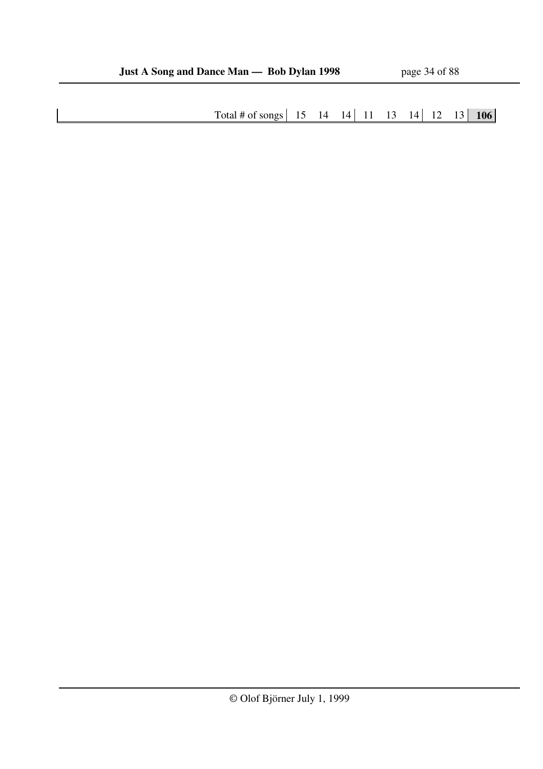Total # of songs 15 14 14 11 13 14 12 13 **106**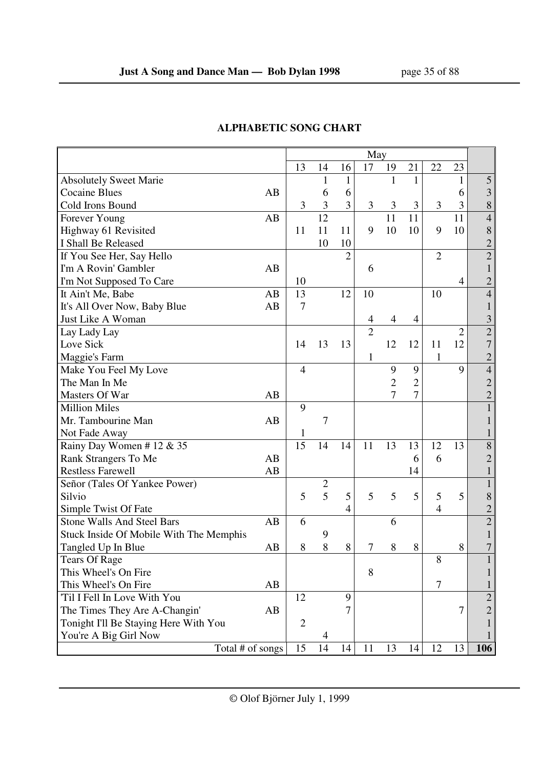|                                         |    | May            |              |                |                |                |                |                |                |                |
|-----------------------------------------|----|----------------|--------------|----------------|----------------|----------------|----------------|----------------|----------------|----------------|
|                                         |    | 13             | 14           | 16             | 17             | 19             | 21             | 22             | 23             |                |
| <b>Absolutely Sweet Marie</b>           |    |                | 1            | 1              |                | 1              | $\mathbf{1}$   |                | 1              | 5              |
| <b>Cocaine Blues</b>                    | AB |                | 6            | 6              |                |                |                |                | 6              | 3              |
| Cold Irons Bound                        |    | 3              | 3            | 3              | 3              | 3              | 3              | 3              | 3              | 8              |
| Forever Young                           | AB |                | 12           |                |                | 11             | 11             |                | 11             | $\overline{4}$ |
| Highway 61 Revisited                    |    | 11             | 11           | 11             | 9              | 10             | 10             | 9              | 10             | 8              |
| I Shall Be Released                     |    |                | 10           | 10             |                |                |                |                |                | $\overline{2}$ |
| If You See Her, Say Hello               |    |                |              | $\overline{2}$ |                |                |                | $\overline{2}$ |                | $\overline{2}$ |
| I'm A Rovin' Gambler                    | AB |                |              |                | 6              |                |                |                |                |                |
| I'm Not Supposed To Care                |    | 10             |              |                |                |                |                |                | 4              | $\overline{2}$ |
| It Ain't Me, Babe                       | AB | 13             |              | 12             | 10             |                |                | 10             |                | 4              |
| It's All Over Now, Baby Blue            | AB | 7              |              |                |                |                |                |                |                |                |
| Just Like A Woman                       |    |                |              |                | 4              | $\overline{4}$ | 4              |                |                | 3              |
| Lay Lady Lay                            |    |                |              |                | $\overline{2}$ |                |                |                | $\overline{2}$ | $\overline{c}$ |
| Love Sick                               |    | 14             | 13           | 13             |                | 12             | 12             | 11             | 12             | 7              |
| Maggie's Farm                           |    |                |              |                | 1              |                |                | 1              |                | $\overline{c}$ |
| Make You Feel My Love                   |    | $\overline{4}$ |              |                |                | 9              | 9              |                | 9              | $\overline{4}$ |
| The Man In Me                           |    |                |              |                |                | $\overline{2}$ | $\overline{2}$ |                |                | $\overline{2}$ |
| Masters Of War                          | AB |                |              |                |                | 7              | $\overline{7}$ |                |                | $\overline{2}$ |
| <b>Million Miles</b>                    |    | 9              |              |                |                |                |                |                |                |                |
| Mr. Tambourine Man                      | AB |                | 7            |                |                |                |                |                |                |                |
| Not Fade Away                           |    | 1              |              |                |                |                |                |                |                |                |
| Rainy Day Women #12 & 35                |    | 15             | 14           | 14             | 11             | 13             | 13             | 12             | 13             | $8\,$          |
| Rank Strangers To Me                    | AB |                |              |                |                |                | 6              | 6              |                | $\overline{2}$ |
| <b>Restless Farewell</b>                | AB |                |              |                |                |                | 14             |                |                |                |
| Señor (Tales Of Yankee Power)           |    |                | $\mathbf{2}$ |                |                |                |                |                |                | 1              |
| Silvio                                  |    | 5              | 5            | 5              | 5              | 5              | 5              | 5              | 5              | 8              |
| Simple Twist Of Fate                    |    |                |              | 4              |                |                |                | $\overline{4}$ |                | $\overline{c}$ |
| <b>Stone Walls And Steel Bars</b>       | AB | 6              |              |                |                | 6              |                |                |                | $\overline{2}$ |
| Stuck Inside Of Mobile With The Memphis |    |                | 9            |                |                |                |                |                |                |                |
| Tangled Up In Blue                      | AB | 8              | 8            | 8              | 7              | 8              | 8              |                | 8              |                |
| <b>Tears Of Rage</b>                    |    |                |              |                |                |                |                | 8              |                |                |
| This Wheel's On Fire                    |    |                |              |                | 8              |                |                |                |                |                |
| This Wheel's On Fire                    | AB |                |              |                |                |                |                | 7              |                |                |
| 'Til I Fell In Love With You            |    | 12             |              | 9              |                |                |                |                |                | $\overline{c}$ |
| The Times They Are A-Changin'           | AB |                |              |                |                |                |                |                | 7              | $\overline{2}$ |
| Tonight I'll Be Staying Here With You   |    | $\overline{2}$ |              |                |                |                |                |                |                |                |
| You're A Big Girl Now                   |    |                | 4            |                |                |                |                |                |                |                |
| Total # of songs                        |    | 15             | 14           | 14             | 11             | 13             | 14             | 12             | 13             | 106            |

## **ALPHABETIC SONG CHART**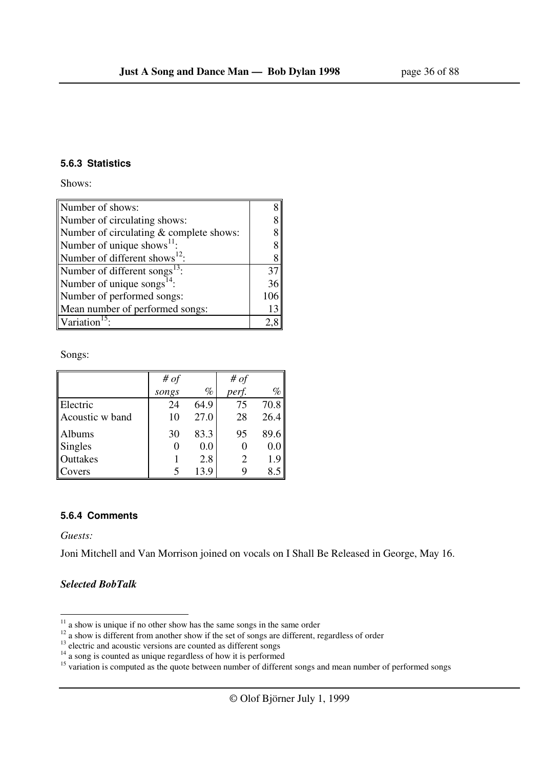#### **5.6.3 Statistics**

Shows:

| Number of shows:                          |  |  |
|-------------------------------------------|--|--|
| Number of circulating shows:              |  |  |
| Number of circulating & complete shows:   |  |  |
| Number of unique shows $^{11}$ :          |  |  |
| Number of different shows <sup>12</sup> : |  |  |
| Number of different songs $^{13}$ :       |  |  |
| Number of unique songs $^{14}$ :          |  |  |
| Number of performed songs:                |  |  |
| Mean number of performed songs:           |  |  |
| Variation                                 |  |  |

Songs:

|                 | # $of$ |      | # $of$ |      |
|-----------------|--------|------|--------|------|
|                 | songs  | $\%$ | perf.  | %    |
| Electric        | 24     | 64.9 | 75     | 70.8 |
| Acoustic w band | 10     | 27.0 | 28     | 26.4 |
| Albums          | 30     | 83.3 | 95     | 89.6 |
| Singles         |        | 0.0  |        | 0.0  |
| Outtakes        |        | 2.8  | 2      | 1.9  |
| Covers          |        | 13.9 |        |      |

#### **5.6.4 Comments**

*Guests:* 

 $\overline{a}$ 

Joni Mitchell and Van Morrison joined on vocals on I Shall Be Released in George, May 16.

#### *Selected BobTalk*

 $11$  a show is unique if no other show has the same songs in the same order

 $12$  a show is different from another show if the set of songs are different, regardless of order

 $13$  electric and acoustic versions are counted as different songs

<sup>&</sup>lt;sup>14</sup> a song is counted as unique regardless of how it is performed

<sup>&</sup>lt;sup>15</sup> variation is computed as the quote between number of different songs and mean number of performed songs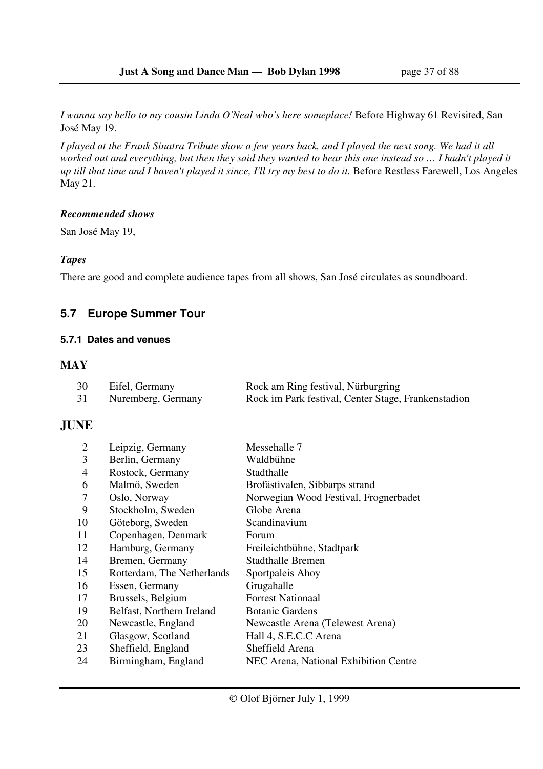*I wanna say hello to my cousin Linda O'Neal who's here someplace!* Before Highway 61 Revisited, San José May 19.

*I played at the Frank Sinatra Tribute show a few years back, and I played the next song. We had it all worked out and everything, but then they said they wanted to hear this one instead so … I hadn't played it up till that time and I haven't played it since, I'll try my best to do it.* Before Restless Farewell, Los Angeles May 21.

#### *Recommended shows*

San José May 19,

## *Tapes*

There are good and complete audience tapes from all shows, San José circulates as soundboard.

## **5.7 Europe Summer Tour**

## **5.7.1 Dates and venues**

## **MAY**

| 30 | Eifel, Germany     | Rock am Ring festival, Nürburgring                  |
|----|--------------------|-----------------------------------------------------|
| 31 | Nuremberg, Germany | Rock im Park festival, Center Stage, Frankenstadion |

## **JUNE**

| 2              | Leipzig, Germany           | Messehalle 7                          |
|----------------|----------------------------|---------------------------------------|
| 3              | Berlin, Germany            | Waldbühne                             |
| $\overline{4}$ | Rostock, Germany           | Stadthalle                            |
| 6              | Malmö, Sweden              | Brofästivalen, Sibbarps strand        |
| 7              | Oslo, Norway               | Norwegian Wood Festival, Frognerbadet |
| 9              | Stockholm, Sweden          | Globe Arena                           |
| 10             | Göteborg, Sweden           | Scandinavium                          |
| 11             | Copenhagen, Denmark        | Forum                                 |
| 12             | Hamburg, Germany           | Freileichtbühne, Stadtpark            |
| 14             | Bremen, Germany            | Stadthalle Bremen                     |
| 15             | Rotterdam, The Netherlands | Sportpaleis Ahoy                      |
| 16             | Essen, Germany             | Grugahalle                            |
| 17             | Brussels, Belgium          | <b>Forrest Nationaal</b>              |
| 19             | Belfast, Northern Ireland  | <b>Botanic Gardens</b>                |
| 20             | Newcastle, England         | Newcastle Arena (Telewest Arena)      |
| 21             | Glasgow, Scotland          | Hall 4, S.E.C.C Arena                 |
| 23             | Sheffield, England         | Sheffield Arena                       |
| 24             | Birmingham, England        | NEC Arena, National Exhibition Centre |
|                |                            |                                       |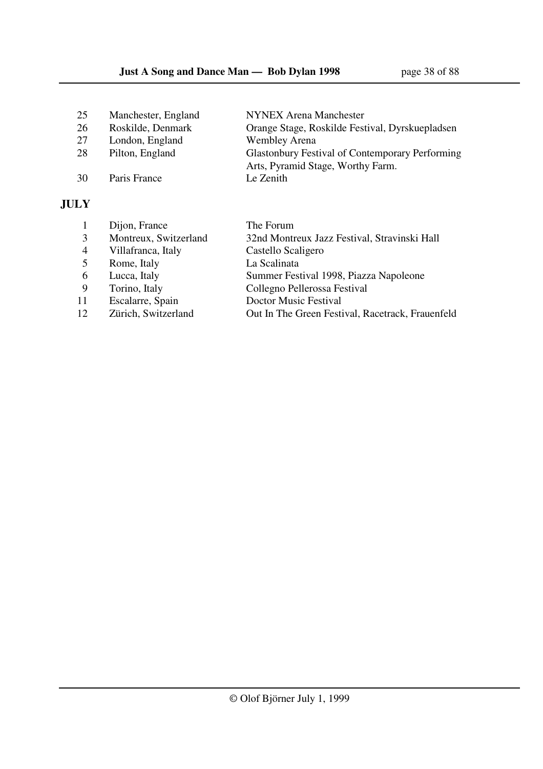| 25 | Manchester, England | <b>NYNEX Arena Manchester</b>                          |
|----|---------------------|--------------------------------------------------------|
| 26 | Roskilde, Denmark   | Orange Stage, Roskilde Festival, Dyrskuepladsen        |
| 27 | London, England     | <b>Wembley Arena</b>                                   |
| 28 | Pilton, England     | <b>Glastonbury Festival of Contemporary Performing</b> |
|    |                     | Arts, Pyramid Stage, Worthy Farm.                      |
| 30 | Paris France        | Le Zenith                                              |
|    |                     |                                                        |

## **JULY**

|                | Dijon, France         | The Forum                                        |
|----------------|-----------------------|--------------------------------------------------|
|                |                       |                                                  |
| 3              | Montreux, Switzerland | 32nd Montreux Jazz Festival, Stravinski Hall     |
| $\overline{4}$ | Villafranca, Italy    | Castello Scaligero                               |
| 5              | Rome, Italy           | La Scalinata                                     |
| 6              | Lucca, Italy          | Summer Festival 1998, Piazza Napoleone           |
| -9             | Torino, Italy         | Collegno Pellerossa Festival                     |
| 11             | Escalarre, Spain      | Doctor Music Festival                            |
| 12             | Zürich, Switzerland   | Out In The Green Festival, Racetrack, Frauenfeld |
|                |                       |                                                  |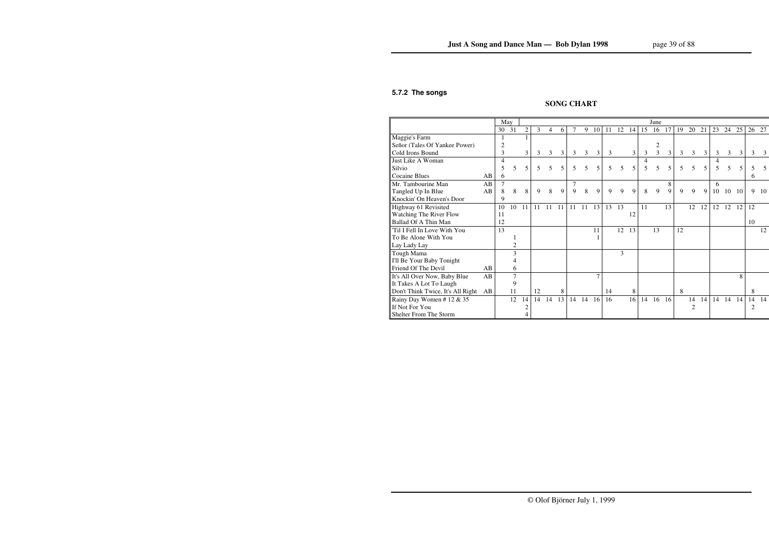### **5.7.2 The songs**

## **SONG CHART**

|                                   |    | May |                |                |    |    |    |        |    |    |    |    |    |    | June           |    |    |                |    |    |                |     |    |     |
|-----------------------------------|----|-----|----------------|----------------|----|----|----|--------|----|----|----|----|----|----|----------------|----|----|----------------|----|----|----------------|-----|----|-----|
|                                   |    | 30  | 31             | $\overline{c}$ | 3  | 4  | 6  | $\tau$ | 9  | 10 | 11 | 12 | 14 | 15 | 16             | 17 | 19 | 20             | 21 | 23 | 24             | 25  | 26 | 27  |
| Maggie's Farm                     |    | 1   |                |                |    |    |    |        |    |    |    |    |    |    |                |    |    |                |    |    |                |     |    |     |
| Señor (Tales Of Yankee Power)     |    | 2   |                |                |    |    |    |        |    |    |    |    |    |    | 2              |    |    |                |    |    |                |     |    |     |
| Cold Irons Bound                  |    | 3   |                | 3              | 3  | 3  | 3  | 3      | 3  | 3  | 3  |    | 3  | 3  | $\overline{3}$ | 3  | 3  | $\mathfrak{Z}$ | 3  | 3  | $\mathfrak{Z}$ | 3   | 3  | 3   |
| Just Like A Woman                 |    | 4   |                |                |    |    |    |        |    |    |    |    |    | 4  |                |    |    |                |    |    |                |     |    |     |
| Silvio                            |    | 5   | 5              | 5              | 5  | 5  | 5  | 5      | 5  | 5  | 5  | 5  | 5  | 5  | 5              | 5  | 5  | 5              | 5  | 5  | 5              | 5   |    | 5   |
| <b>Cocaine Blues</b>              | AB | 6   |                |                |    |    |    |        |    |    |    |    |    |    |                |    |    |                |    |    |                |     | 6  |     |
| Mr. Tambourine Man                | AB | 7   |                |                |    |    |    | 7      |    |    |    |    |    |    |                | 8  |    |                |    | 6  |                |     |    |     |
| Tangled Up In Blue                | AB | 8   | 8              | 8              | 9  | 8  | 9  | 9      | 8  | 9  | 9  | 9  | 9  | 8  | 9              | 9  | 9  | 9              | 9  | 10 | 10             | -10 | 9  | -10 |
| Knockin' On Heaven's Door         |    | 9   |                |                |    |    |    |        |    |    |    |    |    |    |                |    |    |                |    |    |                |     |    |     |
| Highway 61 Revisited              |    | 10  | 10             | 11             | 11 | 11 | 11 | 11     | 11 | 13 | 13 | 13 |    | 11 |                | 13 |    | 12             | 12 | 12 | 12             | 12  | 12 |     |
| Watching The River Flow           |    | 11  |                |                |    |    |    |        |    |    |    |    | 12 |    |                |    |    |                |    |    |                |     |    |     |
| <b>Ballad Of A Thin Man</b>       |    | 12  |                |                |    |    |    |        |    |    |    |    |    |    |                |    |    |                |    |    |                |     | 10 |     |
| Til I Fell In Love With You       |    | 13  |                |                |    |    |    |        |    | 11 |    | 12 | 13 |    | 13             |    | 12 |                |    |    |                |     |    | 12  |
| To Be Alone With You              |    |     |                |                |    |    |    |        |    |    |    |    |    |    |                |    |    |                |    |    |                |     |    |     |
| Lay Lady Lay                      |    |     | $\overline{2}$ |                |    |    |    |        |    |    |    |    |    |    |                |    |    |                |    |    |                |     |    |     |
| Tough Mama                        |    |     | 3              |                |    |    |    |        |    |    |    | 3  |    |    |                |    |    |                |    |    |                |     |    |     |
| I'll Be Your Baby Tonight         |    |     |                |                |    |    |    |        |    |    |    |    |    |    |                |    |    |                |    |    |                |     |    |     |
| Friend Of The Devil               | AB |     | 6              |                |    |    |    |        |    |    |    |    |    |    |                |    |    |                |    |    |                |     |    |     |
| It's All Over Now, Baby Blue      | AB |     | $\overline{7}$ |                |    |    |    |        |    |    |    |    |    |    |                |    |    |                |    |    |                | 8   |    |     |
| It Takes A Lot To Laugh           |    |     | 9              |                |    |    |    |        |    |    |    |    |    |    |                |    |    |                |    |    |                |     |    |     |
| Don't Think Twice, It's All Right | AB |     | 11             |                | 12 |    | 8  |        |    |    | 14 |    | 8  |    |                |    | 8  |                |    |    |                |     | 8  |     |
| Rainy Day Women #12 & 35          |    |     | 12             | 14             | 14 | 14 | 13 | 14     | 14 | 16 | 16 |    | 16 | 14 | 16             | 16 |    | 14             | 14 | 14 | 14             | 14  | 14 | 14  |
| If Not For You                    |    |     |                | 2              |    |    |    |        |    |    |    |    |    |    |                |    |    | $\overline{c}$ |    |    |                |     | 2  |     |
| Shelter From The Storm            |    |     |                |                |    |    |    |        |    |    |    |    |    |    |                |    |    |                |    |    |                |     |    |     |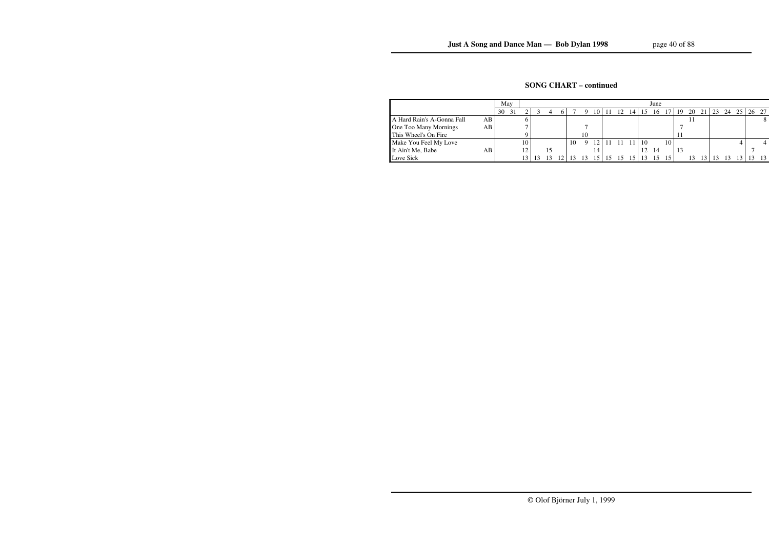## **SONG CHART – continued**

|                                    | May      |    |  |    |    |    |          |    |                |    | June |    |    |    |    |    |    |    |       |
|------------------------------------|----------|----|--|----|----|----|----------|----|----------------|----|------|----|----|----|----|----|----|----|-------|
|                                    | 30<br>31 | ◠  |  | h. |    |    | $\left($ |    | $\overline{4}$ |    | 16   |    | 19 | 20 | 21 | 23 | 24 | 25 | 26 27 |
| A Hard Rain's A-Gonna Fall<br>AB I |          |    |  |    |    |    |          |    |                |    |      |    |    |    |    |    |    |    |       |
| AВ<br>One Too Many Mornings        |          |    |  |    |    |    |          |    |                |    |      |    |    |    |    |    |    |    |       |
| This Wheel's On Fire               |          |    |  |    |    | 10 |          |    |                |    |      |    |    |    |    |    |    |    |       |
| Make You Feel My Love              |          | 10 |  |    | 10 | Q  | 2        |    | 1 <sub>1</sub> | 10 |      | 10 |    |    |    |    |    |    |       |
| It Ain't Me, Babe<br>AB.           |          | 12 |  |    |    |    |          |    |                | 12 | 14   |    | 13 |    |    |    |    |    |       |
| Love Sick                          |          |    |  |    |    |    |          | 15 | 15.            |    |      |    |    |    |    |    |    |    | -13   |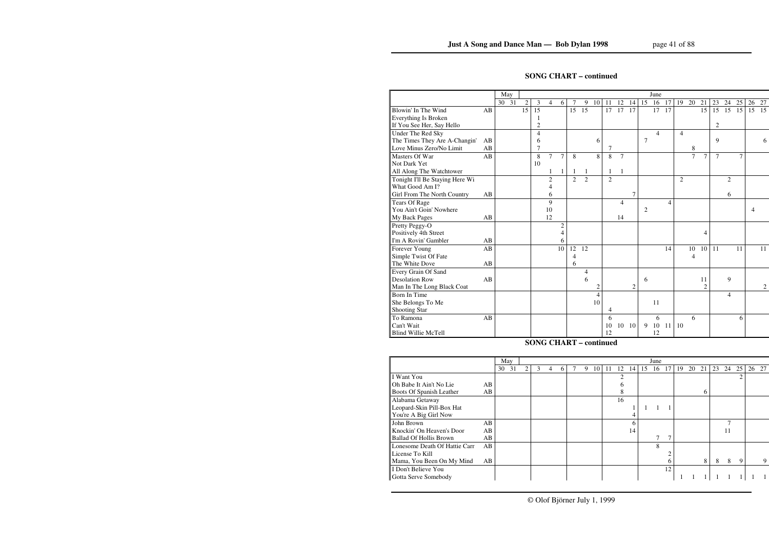## **SONG CHART – continued**

|                                 |    | May   |                 |                 |                |                |                |                |                |                |                |                |                | June           |    |                |                |                |                |                |    |    |    |
|---------------------------------|----|-------|-----------------|-----------------|----------------|----------------|----------------|----------------|----------------|----------------|----------------|----------------|----------------|----------------|----|----------------|----------------|----------------|----------------|----------------|----|----|----|
|                                 |    | 30 31 | $\overline{2}$  | 3               | 4              | 6              | 7              | 9              | 10             | 11             | 12             | 14             | 15             | 16             | 17 | 19             | 20             | 21             | 23             | 24             | 25 | 26 | 27 |
| Blowin' In The Wind             | AB |       | $\overline{15}$ | $\overline{15}$ |                |                | 15             | 15             |                | 17             | 17             | 17             |                | 17             | 17 |                |                | 15             | 15             | 15             | 15 | 15 | 15 |
| Everything Is Broken            |    |       |                 |                 |                |                |                |                |                |                |                |                |                |                |    |                |                |                |                |                |    |    |    |
| If You See Her, Say Hello       |    |       |                 | $\overline{c}$  |                |                |                |                |                |                |                |                |                |                |    |                |                |                | $\overline{2}$ |                |    |    |    |
| Under The Red Sky               |    |       |                 | 4               |                |                |                |                |                |                |                |                |                | $\overline{4}$ |    | $\overline{4}$ |                |                |                |                |    |    |    |
| The Times They Are A-Changin'   | AB |       |                 | 6               |                |                |                |                | 6              |                |                |                | $\overline{7}$ |                |    |                |                |                | 9              |                |    |    | 6  |
| Love Minus Zero/No Limit        | AB |       |                 | 7               |                |                |                |                |                | $\overline{7}$ |                |                |                |                |    |                | 8              |                |                |                |    |    |    |
| Masters Of War                  | AB |       |                 | 8               | $\overline{7}$ | $\overline{7}$ | 8              |                | 8              | 8              | $\overline{7}$ |                |                |                |    |                | $\overline{7}$ | $\overline{7}$ | $\overline{7}$ |                | 7  |    |    |
| Not Dark Yet                    |    |       |                 | 10              |                |                |                |                |                |                |                |                |                |                |    |                |                |                |                |                |    |    |    |
| All Along The Watchtower        |    |       |                 |                 |                |                |                |                |                |                |                |                |                |                |    |                |                |                |                |                |    |    |    |
| Tonight I'll Be Staying Here Wi |    |       |                 |                 | $\overline{2}$ |                | $\overline{2}$ | $\overline{2}$ |                | $\overline{2}$ |                |                |                |                |    | $\overline{2}$ |                |                |                | $\overline{2}$ |    |    |    |
| What Good Am I?                 |    |       |                 |                 | 4              |                |                |                |                |                |                |                |                |                |    |                |                |                |                |                |    |    |    |
| Girl From The North Country     | AB |       |                 |                 | 6              |                |                |                |                |                |                | 7              |                |                |    |                |                |                |                | 6              |    |    |    |
| <b>Tears Of Rage</b>            |    |       |                 |                 | 9              |                |                |                |                |                | $\overline{4}$ |                |                |                | 4  |                |                |                |                |                |    |    |    |
| You Ain't Goin' Nowhere         |    |       |                 |                 | 10             |                |                |                |                |                |                |                | 2              |                |    |                |                |                |                |                |    | 4  |    |
| My Back Pages                   | AB |       |                 |                 | 12             |                |                |                |                |                | 14             |                |                |                |    |                |                |                |                |                |    |    |    |
| Pretty Peggy-O                  |    |       |                 |                 |                | $\overline{c}$ |                |                |                |                |                |                |                |                |    |                |                |                |                |                |    |    |    |
| Positively 4th Street           |    |       |                 |                 |                | 4              |                |                |                |                |                |                |                |                |    |                |                | 4              |                |                |    |    |    |
| I'm A Rovin' Gambler            | AB |       |                 |                 |                | 6              |                |                |                |                |                |                |                |                |    |                |                |                |                |                |    |    |    |
| Forever Young                   | AB |       |                 |                 |                | 10             | 12             | 12             |                |                |                |                |                |                | 14 |                | 10             | 10             | 11             |                | 11 |    | 11 |
| Simple Twist Of Fate            |    |       |                 |                 |                |                | 4              |                |                |                |                |                |                |                |    |                | 4              |                |                |                |    |    |    |
| The White Dove                  | AB |       |                 |                 |                |                | 6              |                |                |                |                |                |                |                |    |                |                |                |                |                |    |    |    |
| Every Grain Of Sand             |    |       |                 |                 |                |                |                | 4              |                |                |                |                |                |                |    |                |                |                |                |                |    |    |    |
| <b>Desolation Row</b>           | AB |       |                 |                 |                |                |                | 6              |                |                |                |                | 6              |                |    |                |                | 11             |                | 9              |    |    |    |
| Man In The Long Black Coat      |    |       |                 |                 |                |                |                |                | 2              |                |                | $\overline{2}$ |                |                |    |                |                | $\overline{c}$ |                |                |    |    | 2  |
| Born In Time                    |    |       |                 |                 |                |                |                |                | $\overline{4}$ |                |                |                |                |                |    |                |                |                |                | 4              |    |    |    |
| She Belongs To Me               |    |       |                 |                 |                |                |                |                | 10             |                |                |                |                | 11             |    |                |                |                |                |                |    |    |    |
| Shooting Star                   |    |       |                 |                 |                |                |                |                |                | 4              |                |                |                |                |    |                |                |                |                |                |    |    |    |
| To Ramona                       | AB |       |                 |                 |                |                |                |                |                | 6              |                |                |                | 6              |    |                | 6              |                |                |                | 6  |    |    |
| Can't Wait                      |    |       |                 |                 |                |                |                |                |                | 10             | 10             | 10             | 9              | 10             | 11 | 10             |                |                |                |                |    |    |    |
| <b>Blind Willie McTell</b>      |    |       |                 |                 |                |                |                |                |                | 12             |                |                |                | 12             |    |                |                |                |                |                |    |    |    |

## **SONG CHART – continued**

|                               |    | May |    |   |   |   |   |   |    |    |    |    |    | June |               |    |    |    |    |    |    |       |
|-------------------------------|----|-----|----|---|---|---|---|---|----|----|----|----|----|------|---------------|----|----|----|----|----|----|-------|
|                               |    | 30  | 31 | 2 | 3 | 4 | 6 | 9 | 10 | 11 | 12 | 4  | 15 | 16   | 17            | 19 | 20 | 21 | 23 | 24 | 25 | 26 27 |
| I Want You                    |    |     |    |   |   |   |   |   |    |    |    |    |    |      |               |    |    |    |    |    |    |       |
| Oh Babe It Ain't No Lie       | AB |     |    |   |   |   |   |   |    |    |    |    |    |      |               |    |    |    |    |    |    |       |
| Boots Of Spanish Leather      | AB |     |    |   |   |   |   |   |    |    | 8  |    |    |      |               |    |    | 6  |    |    |    |       |
| Alabama Getaway               |    |     |    |   |   |   |   |   |    |    | 16 |    |    |      |               |    |    |    |    |    |    |       |
| Leopard-Skin Pill-Box Hat     |    |     |    |   |   |   |   |   |    |    |    |    |    |      |               |    |    |    |    |    |    |       |
| You're A Big Girl Now         |    |     |    |   |   |   |   |   |    |    |    | 4  |    |      |               |    |    |    |    |    |    |       |
| John Brown                    | AB |     |    |   |   |   |   |   |    |    |    | 6  |    |      |               |    |    |    |    |    |    |       |
| Knockin' On Heaven's Door     | AB |     |    |   |   |   |   |   |    |    |    | 14 |    |      |               |    |    |    |    | 11 |    |       |
| <b>Ballad Of Hollis Brown</b> | AB |     |    |   |   |   |   |   |    |    |    |    |    |      | $\mathcal{I}$ |    |    |    |    |    |    |       |
| Lonesome Death Of Hattie Carr | AB |     |    |   |   |   |   |   |    |    |    |    |    | 8    |               |    |    |    |    |    |    |       |
| License To Kill               |    |     |    |   |   |   |   |   |    |    |    |    |    |      |               |    |    |    |    |    |    |       |
| Mama, You Been On My Mind     | AB |     |    |   |   |   |   |   |    |    |    |    |    |      | 6             |    |    | 8  | 8  | 8  | -9 | 9     |
| I Don't Believe You           |    |     |    |   |   |   |   |   |    |    |    |    |    |      | 12            |    |    |    |    |    |    |       |
| Gotta Serve Somebody          |    |     |    |   |   |   |   |   |    |    |    |    |    |      |               |    |    |    |    |    |    |       |
|                               |    |     |    |   |   |   |   |   |    |    |    |    |    |      |               |    |    |    |    |    |    |       |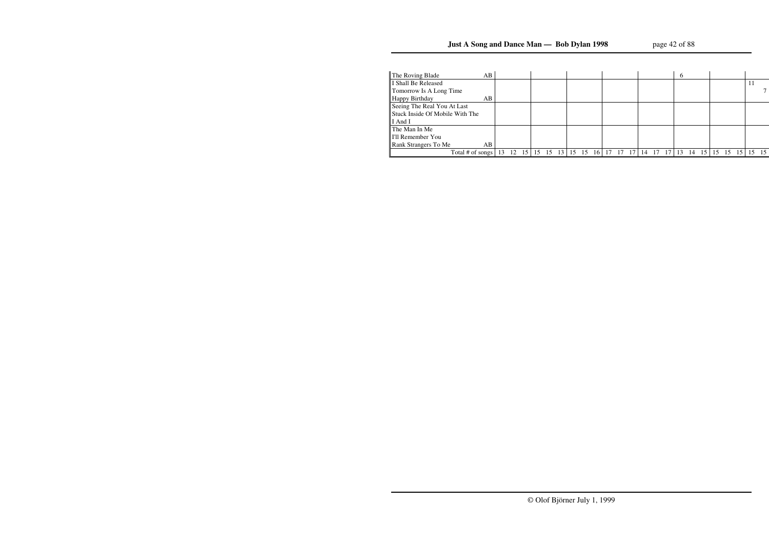| The Roving Blade                | AB |    |    |                 |    |    |                 |    |    |      |    |    |    | $\mathfrak b$ |    |    |    |    |  |    |
|---------------------------------|----|----|----|-----------------|----|----|-----------------|----|----|------|----|----|----|---------------|----|----|----|----|--|----|
| I Shall Be Released             |    |    |    |                 |    |    |                 |    |    |      |    |    |    |               |    |    |    |    |  |    |
| Tomorrow Is A Long Time         |    |    |    |                 |    |    |                 |    |    |      |    |    |    |               |    |    |    |    |  |    |
| Happy Birthday                  | AВ |    |    |                 |    |    |                 |    |    |      |    |    |    |               |    |    |    |    |  |    |
| Seeing The Real You At Last     |    |    |    |                 |    |    |                 |    |    |      |    |    |    |               |    |    |    |    |  |    |
| Stuck Inside Of Mobile With The |    |    |    |                 |    |    |                 |    |    |      |    |    |    |               |    |    |    |    |  |    |
| I And I                         |    |    |    |                 |    |    |                 |    |    |      |    |    |    |               |    |    |    |    |  |    |
| The Man In Me                   |    |    |    |                 |    |    |                 |    |    |      |    |    |    |               |    |    |    |    |  |    |
| I'll Remember You               |    |    |    |                 |    |    |                 |    |    |      |    |    |    |               |    |    |    |    |  |    |
| Rank Strangers To Me            | AB |    |    |                 |    |    |                 |    |    |      |    |    |    |               |    |    |    |    |  |    |
| Total # of songs                |    | 13 | 12 | 15 <sup>1</sup> | 15 | 15 | 13 <sup>1</sup> | 15 | 15 | 16 I | 17 | 14 | 17 |               | 14 | 15 | 15 | 15 |  | 15 |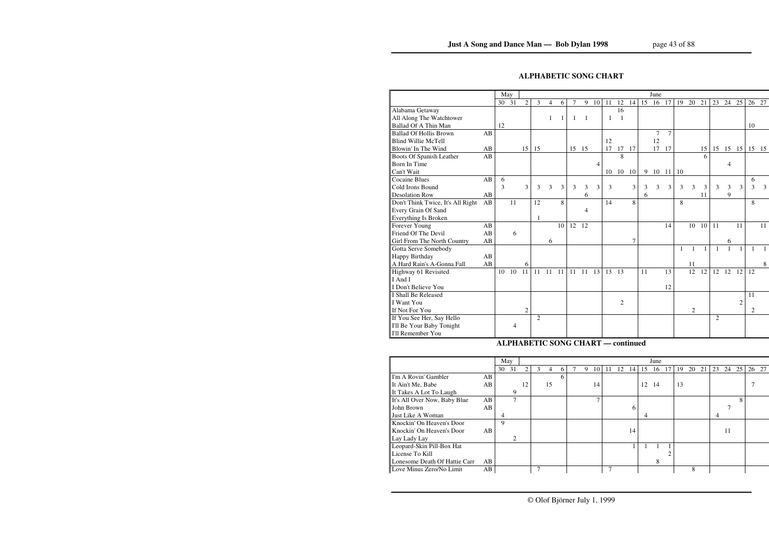## **ALPHABETIC SONG CHART**

|                                   |    | May |       |                |                |    |    |       |    |    |    |                |    |    | June           |        |    |    |    |    |       |                |       |    |
|-----------------------------------|----|-----|-------|----------------|----------------|----|----|-------|----|----|----|----------------|----|----|----------------|--------|----|----|----|----|-------|----------------|-------|----|
|                                   |    |     | 30 31 | $\overline{2}$ | 3              | 4  | 6  | 7     | 9  | 10 | 11 | 12             | 14 | 15 | 16             | 17     | 19 | 20 | 21 | 23 | 24    | 25             | 26 27 |    |
| Alabama Getaway                   |    |     |       |                |                |    |    |       |    |    |    | 16             |    |    |                |        |    |    |    |    |       |                |       |    |
| All Along The Watchtower          |    |     |       |                |                | 1  | 1  | -1    | 1  |    | 1  | $\overline{1}$ |    |    |                |        |    |    |    |    |       |                |       |    |
| Ballad Of A Thin Man              |    | 12  |       |                |                |    |    |       |    |    |    |                |    |    |                |        |    |    |    |    |       |                | 10    |    |
| <b>Ballad Of Hollis Brown</b>     | AB |     |       |                |                |    |    |       |    |    |    |                |    |    | $\overline{7}$ | $\tau$ |    |    |    |    |       |                |       |    |
| <b>Blind Willie McTell</b>        |    |     |       |                |                |    |    |       |    |    | 12 |                |    |    | 12             |        |    |    |    |    |       |                |       |    |
| Blowin' In The Wind               | AB |     |       | 15             | 15             |    |    | 15 15 |    |    | 17 | 17             | 17 |    | 17             | 17     |    |    | 15 | 15 | 15 15 |                | 15 15 |    |
| Boots Of Spanish Leather          | AB |     |       |                |                |    |    |       |    |    |    | 8              |    |    |                |        |    |    | 6  |    |       |                |       |    |
| Born In Time                      |    |     |       |                |                |    |    |       |    | 4  |    |                |    |    |                |        |    |    |    |    | 4     |                |       |    |
| Can't Wait                        |    |     |       |                |                |    |    |       |    |    | 10 | 10             | 10 | 9  | 10             | 11     | 10 |    |    |    |       |                |       |    |
| <b>Cocaine Blues</b>              | AB | 6   |       |                |                |    |    |       |    |    |    |                |    |    |                |        |    |    |    |    |       |                | 6     |    |
| Cold Irons Bound                  |    | 3   |       | 3              | 3              | 3  | 3  | 3     | 3  | 3  | 3  |                | 3  | 3  | 3              | 3      | 3  | 3  | 3  | 3  | 3     | 3              | 3     | 3  |
| <b>Desolation Row</b>             | AB |     |       |                |                |    |    |       | 6  |    |    |                |    | 6  |                |        |    |    | 11 |    | 9     |                |       |    |
| Don't Think Twice, It's All Right | AB |     | 11    |                | 12             |    | 8  |       |    |    | 14 |                | 8  |    |                |        | 8  |    |    |    |       |                | 8     |    |
| Every Grain Of Sand               |    |     |       |                |                |    |    |       | 4  |    |    |                |    |    |                |        |    |    |    |    |       |                |       |    |
| Everything Is Broken              |    |     |       |                | 1              |    |    |       |    |    |    |                |    |    |                |        |    |    |    |    |       |                |       |    |
| Forever Young                     | AB |     |       |                |                |    | 10 | 12    | 12 |    |    |                |    |    |                | 14     |    | 10 | 10 | 11 |       | 11             |       | 11 |
| Friend Of The Devil               | AB |     | 6     |                |                |    |    |       |    |    |    |                |    |    |                |        |    |    |    |    |       |                |       |    |
| Girl From The North Country       | AB |     |       |                |                | 6  |    |       |    |    |    |                | 7  |    |                |        |    |    |    |    | 6     |                |       |    |
| Gotta Serve Somebody              |    |     |       |                |                |    |    |       |    |    |    |                |    |    |                |        |    |    |    |    |       |                |       |    |
| Happy Birthday                    | AB |     |       |                |                |    |    |       |    |    |    |                |    |    |                |        |    |    |    |    |       |                |       |    |
| A Hard Rain's A-Gonna Fall        | AB |     |       | 6              |                |    |    |       |    |    |    |                |    |    |                |        |    | 11 |    |    |       |                |       | 8  |
| Highway 61 Revisited              |    | 10  | 10    | 11             | 11             | 11 | 11 | 11    | 11 | 13 | 13 | 13             |    | 11 |                | 13     |    | 12 | 12 | 12 | 12    | 12             | 12    |    |
| I And I                           |    |     |       |                |                |    |    |       |    |    |    |                |    |    |                |        |    |    |    |    |       |                |       |    |
| I Don't Believe You               |    |     |       |                |                |    |    |       |    |    |    |                |    |    |                | 12     |    |    |    |    |       |                |       |    |
| I Shall Be Released               |    |     |       |                |                |    |    |       |    |    |    |                |    |    |                |        |    |    |    |    |       |                | 11    |    |
| I Want You                        |    |     |       |                |                |    |    |       |    |    |    | 2              |    |    |                |        |    |    |    |    |       | $\overline{c}$ |       |    |
| If Not For You                    |    |     |       | 2              |                |    |    |       |    |    |    |                |    |    |                |        |    | 2  |    |    |       |                | 2     |    |
| If You See Her, Say Hello         |    |     |       |                | $\overline{2}$ |    |    |       |    |    |    |                |    |    |                |        |    |    |    | 2  |       |                |       |    |
| I'll Be Your Baby Tonight         |    |     | 4     |                |                |    |    |       |    |    |    |                |    |    |                |        |    |    |    |    |       |                |       |    |
| I'll Remember You                 |    |     |       |                |                |    |    |       |    |    |    |                |    |    |                |        |    |    |    |    |       |                |       |    |
|                                   |    |     |       |                |                |    |    |       |    |    |    |                |    |    |                |        |    |    |    |    |       |                |       |    |

### **ALPHABETIC SONG CHART — continued**

|                               |    | May |               |               |   |    |   |   |    |    |    |    |    | June |    |    |    |    |    |    |    |       |
|-------------------------------|----|-----|---------------|---------------|---|----|---|---|----|----|----|----|----|------|----|----|----|----|----|----|----|-------|
|                               |    | 30  | 31            | $\mathcal{D}$ | 3 | 4  | 6 | 9 | 10 | 11 | 12 | 14 | 15 | 16   | 17 | 19 | 20 | 21 | 23 | 24 | 25 | 26 27 |
| I'm A Rovin' Gambler          | AB |     |               |               |   |    | 6 |   |    |    |    |    |    |      |    |    |    |    |    |    |    |       |
| It Ain't Me, Babe             | AB |     |               | 12            |   | 15 |   |   | 14 |    |    |    | 12 | -14  |    | 13 |    |    |    |    |    |       |
| It Takes A Lot To Laugh       |    |     | 9             |               |   |    |   |   |    |    |    |    |    |      |    |    |    |    |    |    |    |       |
| It's All Over Now, Baby Blue  | AB |     | $\mathcal{I}$ |               |   |    |   |   |    |    |    |    |    |      |    |    |    |    |    |    | 8  |       |
| John Brown                    | AB |     |               |               |   |    |   |   |    |    |    | 6  |    |      |    |    |    |    |    |    |    |       |
| Just Like A Woman             |    | 4   |               |               |   |    |   |   |    |    |    |    | 4  |      |    |    |    |    | 4  |    |    |       |
| Knockin' On Heaven's Door     |    | 9   |               |               |   |    |   |   |    |    |    |    |    |      |    |    |    |    |    |    |    |       |
| Knockin' On Heaven's Door     | AB |     |               |               |   |    |   |   |    |    |    | 14 |    |      |    |    |    |    |    | 11 |    |       |
| Lay Lady Lay                  |    |     | 2             |               |   |    |   |   |    |    |    |    |    |      |    |    |    |    |    |    |    |       |
| Leopard-Skin Pill-Box Hat     |    |     |               |               |   |    |   |   |    |    |    |    |    |      |    |    |    |    |    |    |    |       |
| License To Kill               |    |     |               |               |   |    |   |   |    |    |    |    |    |      |    |    |    |    |    |    |    |       |
| Lonesome Death Of Hattie Carr | AB |     |               |               |   |    |   |   |    |    |    |    |    | 8    |    |    |    |    |    |    |    |       |
| Love Minus Zero/No Limit      | AB |     |               |               |   |    |   |   |    |    |    |    |    |      |    |    | 8  |    |    |    |    |       |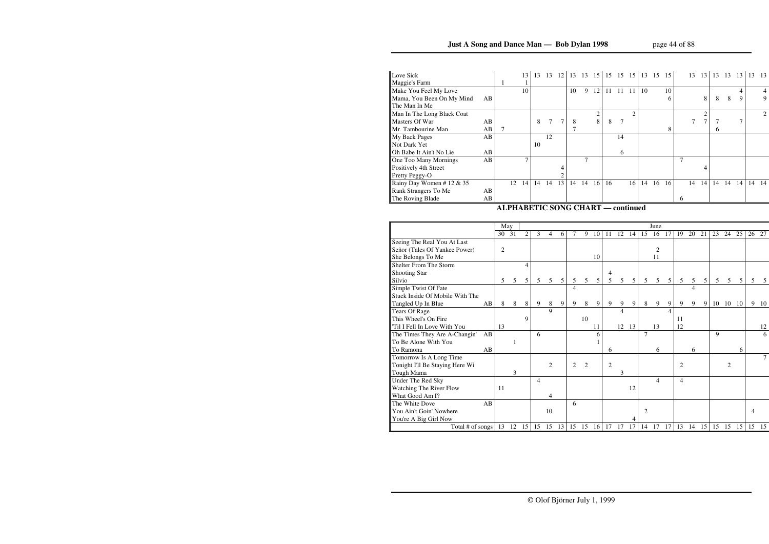| Love Sick                  |     |    | 13 <sup>1</sup> | 13 | 13 | <sup>12</sup> |    |    |    | 13 13 15 15 15 15 15 15 15 15 |               |                             |    |    |    |   |    | 13 13 |    | 13 13 13 |    | 13 | - 13  |
|----------------------------|-----|----|-----------------|----|----|---------------|----|----|----|-------------------------------|---------------|-----------------------------|----|----|----|---|----|-------|----|----------|----|----|-------|
| Maggie's Farm              |     |    |                 |    |    |               |    |    |    |                               |               |                             |    |    |    |   |    |       |    |          |    |    |       |
| Make You Feel My Love      |     |    | 10              |    |    |               | 10 | 9  | 12 | 11                            | 11            | $\overline{11}$             | 10 |    | 10 |   |    |       |    |          |    |    | 4     |
| Mama, You Been On My Mind  | AB  |    |                 |    |    |               |    |    |    |                               |               |                             |    |    | 6  |   |    | 8     | 8  | 8        | 9  |    | 9     |
| The Man In Me              |     |    |                 |    |    |               |    |    |    |                               |               |                             |    |    |    |   |    |       |    |          |    |    |       |
| Man In The Long Black Coat |     |    |                 |    |    |               |    |    | 2  |                               |               | $\mathcal{D}_{\mathcal{L}}$ |    |    |    |   |    | 2     |    |          |    |    | 2     |
| Masters Of War             | AB  |    |                 | 8  |    | 7             | 8  |    | 8  | 8                             | $\mathcal{I}$ |                             |    |    |    |   |    |       |    |          |    |    |       |
| Mr. Tambourine Man         | AB  |    |                 |    |    |               |    |    |    |                               |               |                             |    |    | 8  |   |    |       | 6. |          |    |    |       |
| My Back Pages              | AB  |    |                 |    | 12 |               |    |    |    |                               | 14            |                             |    |    |    |   |    |       |    |          |    |    |       |
| Not Dark Yet               |     |    |                 | 10 |    |               |    |    |    |                               |               |                             |    |    |    |   |    |       |    |          |    |    |       |
| Oh Babe It Ain't No Lie    | AB  |    |                 |    |    |               |    |    |    |                               | 6             |                             |    |    |    |   |    |       |    |          |    |    |       |
| One Too Many Mornings      | AB  |    |                 |    |    |               |    |    |    |                               |               |                             |    |    |    |   |    |       |    |          |    |    |       |
| Positively 4th Street      |     |    |                 |    |    | 4             |    |    |    |                               |               |                             |    |    |    |   |    | 4     |    |          |    |    |       |
| Pretty Peggy-O             |     |    |                 |    |    |               |    |    |    |                               |               |                             |    |    |    |   |    |       |    |          |    |    |       |
| Rainy Day Women #12 $& 35$ |     | 12 | 14              | 14 | 14 | 13            | 14 | 14 | 16 | 16                            |               | 16                          | 14 | 16 | 16 |   | 14 | 14    | 14 | 14       | 14 |    | 14 14 |
| Rank Strangers To Me       | AB. |    |                 |    |    |               |    |    |    |                               |               |                             |    |    |    |   |    |       |    |          |    |    |       |
| The Roving Blade           | AB  |    |                 |    |    |               |    |    |    |                               |               |                             |    |    |    | 6 |    |       |    |          |    |    |       |
|                            |     |    |                 |    |    |               |    |    |    |                               |               |                             |    |    |    |   |    |       |    |          |    |    |       |

#### **ALPHABETIC SONG CHART — continued**

|                                 |    | May        |              |    |    |                |                |    |                |    |                |                |                 |                | June           |    |                |    |    |              |                 |    |    |    |
|---------------------------------|----|------------|--------------|----|----|----------------|----------------|----|----------------|----|----------------|----------------|-----------------|----------------|----------------|----|----------------|----|----|--------------|-----------------|----|----|----|
|                                 |    | 30         | 31           | 2  | 3  | 4              | 6              | 7  | 9              | 10 | 11             | 12             | 14              | 15             | 16             | 17 | 19             | 20 | 21 | 23           | 24              | 25 | 26 | 27 |
| Seeing The Real You At Last     |    |            |              |    |    |                |                |    |                |    |                |                |                 |                |                |    |                |    |    |              |                 |    |    |    |
| Señor (Tales Of Yankee Power)   |    | $\sqrt{2}$ |              |    |    |                |                |    |                |    |                |                |                 |                | $\mathbf{2}$   |    |                |    |    |              |                 |    |    |    |
| She Belongs To Me               |    |            |              |    |    |                |                |    |                | 10 |                |                |                 |                | 11             |    |                |    |    |              |                 |    |    |    |
| Shelter From The Storm          |    |            |              | 4  |    |                |                |    |                |    |                |                |                 |                |                |    |                |    |    |              |                 |    |    |    |
| Shooting Star                   |    |            |              |    |    |                |                |    |                |    | 4              |                |                 |                |                |    |                |    |    |              |                 |    |    |    |
| Silvio                          |    | 5          | 5            | 5  | 5  | 5              | 5 <sup>5</sup> | 5  | 5              | 5  | 5              | $\mathfrak{S}$ | $5\overline{)}$ | $\mathfrak{S}$ | $\mathfrak{S}$ | 5  | 5              | 5  | 5  | 5            | $5\overline{)}$ | 5  | 5  | 5  |
| Simple Twist Of Fate            |    |            |              |    |    |                |                | 4  |                |    |                |                |                 |                |                |    |                | 4  |    |              |                 |    |    |    |
| Stuck Inside Of Mobile With The |    |            |              |    |    |                |                |    |                |    |                |                |                 |                |                |    |                |    |    |              |                 |    |    |    |
| Tangled Up In Blue              | AB | 8          | 8            | 8  | 9  | 8              | 9              | 9  | 8              | 9  | 9              | 9              | 9               | 8              | 9              | 9  | 9              | 9  | 9  | 10           | 10              | 10 | 9  | 10 |
| <b>Tears Of Rage</b>            |    |            |              |    |    | 9              |                |    |                |    |                | 4              |                 |                |                | 4  |                |    |    |              |                 |    |    |    |
| This Wheel's On Fire            |    |            |              | 9  |    |                |                |    | 10             |    |                |                |                 |                |                |    | 11             |    |    |              |                 |    |    |    |
| 'Til I Fell In Love With You    |    | 13         |              |    |    |                |                |    |                | 11 |                |                | 12 13           |                | 13             |    | 12             |    |    |              |                 |    |    | 12 |
| The Times They Are A-Changin'   | AB |            |              |    | 6  |                |                |    |                | 6  |                |                |                 | $\overline{7}$ |                |    |                |    |    | $\mathbf{Q}$ |                 |    |    | 6  |
| To Be Alone With You            |    |            | $\mathbf{1}$ |    |    |                |                |    |                |    |                |                |                 |                |                |    |                |    |    |              |                 |    |    |    |
| To Ramona                       | AB |            |              |    |    |                |                |    |                |    | 6              |                |                 |                | 6              |    |                | 6  |    |              |                 | 6  |    |    |
| Tomorrow Is A Long Time         |    |            |              |    |    |                |                |    |                |    |                |                |                 |                |                |    |                |    |    |              |                 |    |    |    |
| Tonight I'll Be Staying Here Wi |    |            |              |    |    | $\overline{2}$ |                | 2  | $\mathfrak{D}$ |    | $\overline{2}$ |                |                 |                |                |    | $\overline{2}$ |    |    |              | $\mathfrak{2}$  |    |    |    |
| Tough Mama                      |    |            | 3            |    |    |                |                |    |                |    |                | 3              |                 |                |                |    |                |    |    |              |                 |    |    |    |
| Under The Red Sky               |    |            |              |    | 4  |                |                |    |                |    |                |                |                 |                | 4              |    | $\overline{4}$ |    |    |              |                 |    |    |    |
| Watching The River Flow         |    | 11         |              |    |    |                |                |    |                |    |                |                | 12              |                |                |    |                |    |    |              |                 |    |    |    |
| What Good Am I?                 |    |            |              |    |    | 4              |                |    |                |    |                |                |                 |                |                |    |                |    |    |              |                 |    |    |    |
| The White Dove                  | AB |            |              |    |    |                |                | 6  |                |    |                |                |                 |                |                |    |                |    |    |              |                 |    |    |    |
| You Ain't Goin' Nowhere         |    |            |              |    |    | 10             |                |    |                |    |                |                |                 | $\overline{2}$ |                |    |                |    |    |              |                 |    | 4  |    |
| You're A Big Girl Now           |    |            |              |    |    |                |                |    |                |    |                |                | $\overline{4}$  |                |                |    |                |    |    |              |                 |    |    |    |
| Total # of songs                |    | 13         | 12           | 15 | 15 | 15             | 13             | 15 | 15             | 16 | 17             | 17             | 17              | 14             | 17             | 17 | 13             | 14 | 15 | 15           | 15              | 15 | 15 | 15 |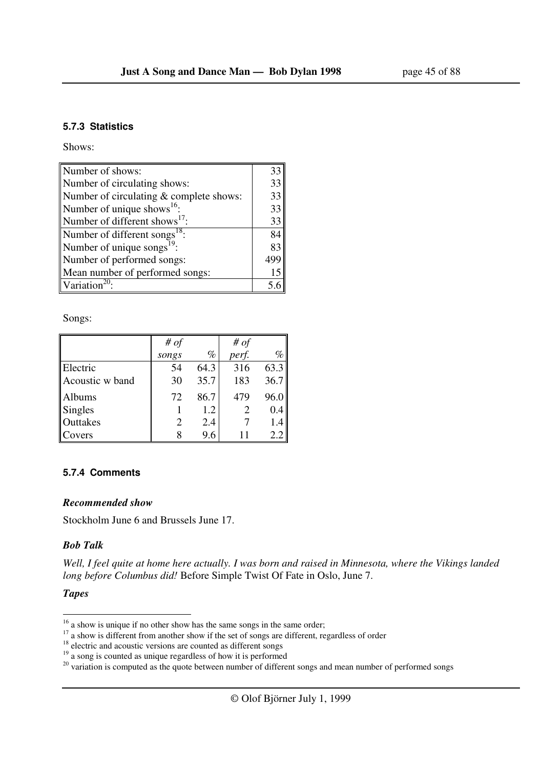#### **5.7.3 Statistics**

Shows:

| Number of shows:                          | 33  |
|-------------------------------------------|-----|
| Number of circulating shows:              | 33  |
| Number of circulating & complete shows:   | 33  |
| Number of unique shows <sup>16</sup> :    | 33  |
| Number of different shows $^{17}$ :       | 33  |
| Number of different songs <sup>18</sup> : | 84  |
| Number of unique songs $^{19}$ :          | 83  |
| Number of performed songs:                | 499 |
| Mean number of performed songs:           | 15  |
| Variation                                 |     |

Songs:

|                 | # $of$ |      | # $of$ |      |
|-----------------|--------|------|--------|------|
|                 | songs  | $\%$ | perf.  | $\%$ |
| Electric        | 54     | 64.3 | 316    | 63.3 |
| Acoustic w band | 30     | 35.7 | 183    | 36.7 |
| Albums          | 72     | 86.7 | 479    | 96.0 |
| <b>Singles</b>  |        | 1.2  |        | 0.4  |
| Outtakes        | 2      | 2.4  |        | 1.4  |
| Covers          |        | 9.6  | 11     | 2.2  |

#### **5.7.4 Comments**

#### *Recommended show*

Stockholm June 6 and Brussels June 17.

#### *Bob Talk*

*Well, I feel quite at home here actually. I was born and raised in Minnesota, where the Vikings landed long before Columbus did!* Before Simple Twist Of Fate in Oslo, June 7.

### *Tapes*

l

 $16$  a show is unique if no other show has the same songs in the same order;

<sup>&</sup>lt;sup>17</sup> a show is different from another show if the set of songs are different, regardless of order

 $18$  electric and acoustic versions are counted as different songs

<sup>&</sup>lt;sup>19</sup> a song is counted as unique regardless of how it is performed

 $20$  variation is computed as the quote between number of different songs and mean number of performed songs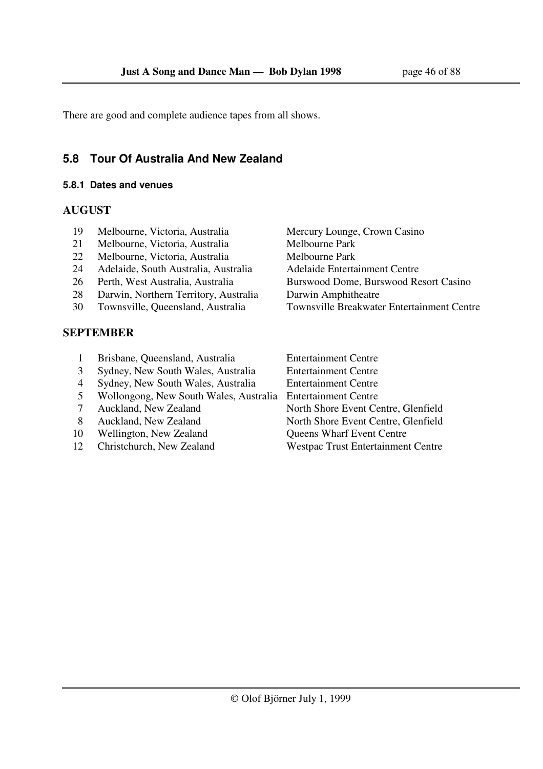There are good and complete audience tapes from all shows.

## **5.8 Tour Of Australia And New Zealand**

#### **5.8.1 Dates and venues**

## **AUGUST**

- 19 Melbourne, Victoria, Australia Mercury Lounge, Crown Casino
- 21 Melbourne, Victoria, Australia Melbourne Park
- 22 Melbourne, Victoria, Australia Melbourne Park
- 24 Adelaide, South Australia, Australia and Adelaide Entertainment Centre
- 
- 28 Darwin, Northern Territory, Australia Darwin Amphitheatre
- 

## **SEPTEMBER**

- 26 Perth, West Australia, Australia Burswood Dome, Burswood Resort Casino 30 Townsville, Queensland, Australia Townsville Breakwater Entertainment Centre
- 1 Brisbane, Queensland, Australia Entertainment Centre 3 Sydney, New South Wales, Australia Entertainment Centre
- 
- 4 Sydney, New South Wales, Australia Entertainment Centre
- 5 Wollongong, New South Wales, Australia Entertainment Centre
- 7 Auckland, New Zealand North Shore Event Centre, Glenfield
- 8 Auckland, New Zealand North Shore Event Centre, Glenfield
- 10 Wellington, New Zealand Queens Wharf Event Centre
- 12 Christchurch, New Zealand Westpac Trust Entertainment Centre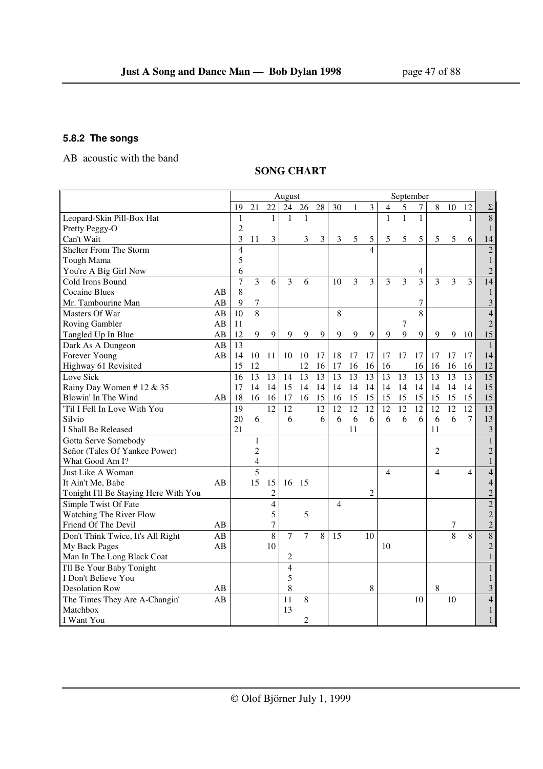## **5.8.2 The songs**

AB acoustic with the band

## **SONG CHART**

|                                       |    |                |                         |                  | August         |                 |                 |                |    |                          |              | September |              |                |    |                |                 |
|---------------------------------------|----|----------------|-------------------------|------------------|----------------|-----------------|-----------------|----------------|----|--------------------------|--------------|-----------|--------------|----------------|----|----------------|-----------------|
|                                       |    | 19             | 21                      | 22               | 24             | 26              | 28              | 30             | 1  | 3                        | 4            | 5         | 7            | 8              | 10 | 12             | $\Sigma$        |
| Leopard-Skin Pill-Box Hat             |    | 1              |                         | $\mathbf{1}$     | $\mathbf{1}$   | 1               |                 |                |    |                          | $\mathbf{1}$ | 1         | $\mathbf{1}$ |                |    | $\mathbf{1}$   | $\overline{8}$  |
| Pretty Peggy-O                        |    | $\overline{c}$ |                         |                  |                |                 |                 |                |    |                          |              |           |              |                |    |                | $\mathbf{1}$    |
| Can't Wait                            |    | 3              | 11                      | 3                |                | 3               | 3               | 3              | 5  | 5                        | 5            | 5         | 5            | 5              | 5  | 6              | 14              |
| Shelter From The Storm                |    | $\overline{4}$ |                         |                  |                |                 |                 |                |    | $\overline{\mathcal{A}}$ |              |           |              |                |    |                | $\overline{c}$  |
| Tough Mama                            |    | 5              |                         |                  |                |                 |                 |                |    |                          |              |           |              |                |    |                | $\mathbf{1}$    |
| You're A Big Girl Now                 |    | 6              |                         |                  |                |                 |                 |                |    |                          |              |           | 4            |                |    |                | $\overline{2}$  |
| Cold Irons Bound                      |    | $\overline{7}$ | $\overline{3}$          | 6                | 3              | 6               |                 | 10             | 3  | $\overline{\mathbf{3}}$  | 3            | 3         | 3            | 3              | 3  | $\overline{3}$ | 14              |
| <b>Cocaine Blues</b>                  | AB | 8              |                         |                  |                |                 |                 |                |    |                          |              |           |              |                |    |                | $\mathbf{1}$    |
| Mr. Tambourine Man                    | AB | 9              | $\boldsymbol{7}$        |                  |                |                 |                 |                |    |                          |              |           | 7            |                |    |                | $\sqrt{3}$      |
| Masters Of War                        | AB | 10             | $\overline{8}$          |                  |                |                 |                 | 8              |    |                          |              |           | 8            |                |    |                | $\overline{4}$  |
| <b>Roving Gambler</b>                 | AB | 11             |                         |                  |                |                 |                 |                |    |                          |              | 7         |              |                |    |                | $\overline{2}$  |
| Tangled Up In Blue                    | AB | 12             | 9                       | 9                | 9              | 9               | 9               | 9              | 9  | 9                        | 9            | 9         | 9            | 9              | 9  | 10             | 15              |
| Dark As A Dungeon                     | AB | 13             |                         |                  |                |                 |                 |                |    |                          |              |           |              |                |    |                | $\mathbf{1}$    |
| Forever Young                         | AB | 14             | 10                      | 11               | 10             | 10              | 17              | 18             | 17 | 17                       | 17           | 17        | 17           | 17             | 17 | 17             | 14              |
| Highway 61 Revisited                  |    | 15             | 12                      |                  |                | 12              | 16              | 17             | 16 | 16                       | 16           |           | 16           | 16             | 16 | 16             | 12              |
| Love Sick                             |    | 16             | 13                      | 13               | 14             | $\overline{13}$ | $\overline{13}$ | 13             | 13 | 13                       | 13           | 13        | 13           | 13             | 13 | 13             | $\overline{15}$ |
| Rainy Day Women #12 & 35              |    | 17             | 14                      | 14               | 15             | 14              | 14              | 14             | 14 | 14                       | 14           | 14        | 14           | 14             | 14 | 14             | 15              |
| Blowin' In The Wind                   | AB | 18             | 16                      | 16               | 17             | 16              | 15              | 16             | 15 | 15                       | 15           | 15        | 15           | 15             | 15 | 15             | 15              |
| 'Til I Fell In Love With You          |    | 19             |                         | 12               | 12             |                 | 12              | 12             | 12 | 12                       | 12           | 12        | 12           | 12             | 12 | 12             | 13              |
| Silvio                                |    | 20             | 6                       |                  | 6              |                 | 6               | 6              | 6  | 6                        | 6            | 6         | 6            | 6              | 6  | $\tau$         | 13              |
| I Shall Be Released                   |    | 21             |                         |                  |                |                 |                 |                | 11 |                          |              |           |              | 11             |    |                | $\mathfrak{Z}$  |
| Gotta Serve Somebody                  |    |                | $\mathbf{1}$            |                  |                |                 |                 |                |    |                          |              |           |              |                |    |                | $\mathbf{1}$    |
| Señor (Tales Of Yankee Power)         |    |                | $\overline{c}$          |                  |                |                 |                 |                |    |                          |              |           |              | 2              |    |                | $\sqrt{2}$      |
| What Good Am I?                       |    |                | $\overline{\mathbf{4}}$ |                  |                |                 |                 |                |    |                          |              |           |              |                |    |                | $\mathbf{1}$    |
| Just Like A Woman                     |    |                | $\overline{5}$          |                  |                |                 |                 |                |    |                          | 4            |           |              | $\overline{4}$ |    | $\overline{4}$ | $\overline{4}$  |
| It Ain't Me, Babe                     | AB |                | 15                      | 15               | 16             | 15              |                 |                |    |                          |              |           |              |                |    |                | $\overline{4}$  |
| Tonight I'll Be Staying Here With You |    |                |                         | $\overline{c}$   |                |                 |                 |                |    | $\overline{c}$           |              |           |              |                |    |                | $\overline{2}$  |
| Simple Twist Of Fate                  |    |                |                         | $\overline{4}$   |                |                 |                 | $\overline{4}$ |    |                          |              |           |              |                |    |                | $\overline{2}$  |
| Watching The River Flow               |    |                |                         | 5                |                | 5               |                 |                |    |                          |              |           |              |                |    |                | $\overline{2}$  |
| Friend Of The Devil                   | AB |                |                         | $\boldsymbol{7}$ |                |                 |                 |                |    |                          |              |           |              |                | 7  |                | $\sqrt{2}$      |
| Don't Think Twice, It's All Right     | AB |                |                         | 8                | $\overline{7}$ | $\overline{7}$  | 8               | 15             |    | 10                       |              |           |              |                | 8  | 8              | 8               |
| My Back Pages                         | AB |                |                         | 10               |                |                 |                 |                |    |                          | 10           |           |              |                |    |                | $\overline{c}$  |
| Man In The Long Black Coat            |    |                |                         |                  | $\overline{c}$ |                 |                 |                |    |                          |              |           |              |                |    |                | $\mathbf{1}$    |
| I'll Be Your Baby Tonight             |    |                |                         |                  | $\overline{4}$ |                 |                 |                |    |                          |              |           |              |                |    |                | $\mathbf{1}$    |
| I Don't Believe You                   |    |                |                         |                  | 5              |                 |                 |                |    |                          |              |           |              |                |    |                | $\mathbf{1}$    |
| <b>Desolation Row</b>                 | AB |                |                         |                  | 8              |                 |                 |                |    | 8                        |              |           |              | 8              |    |                | $\mathfrak{Z}$  |
| The Times They Are A-Changin'         | AB |                |                         |                  | 11             | 8               |                 |                |    |                          |              |           | 10           |                | 10 |                | $\overline{4}$  |
| Matchbox                              |    |                |                         |                  | 13             |                 |                 |                |    |                          |              |           |              |                |    |                | $\mathbf{1}$    |
| I Want You                            |    |                |                         |                  |                | $\overline{c}$  |                 |                |    |                          |              |           |              |                |    |                | $\mathbf{1}$    |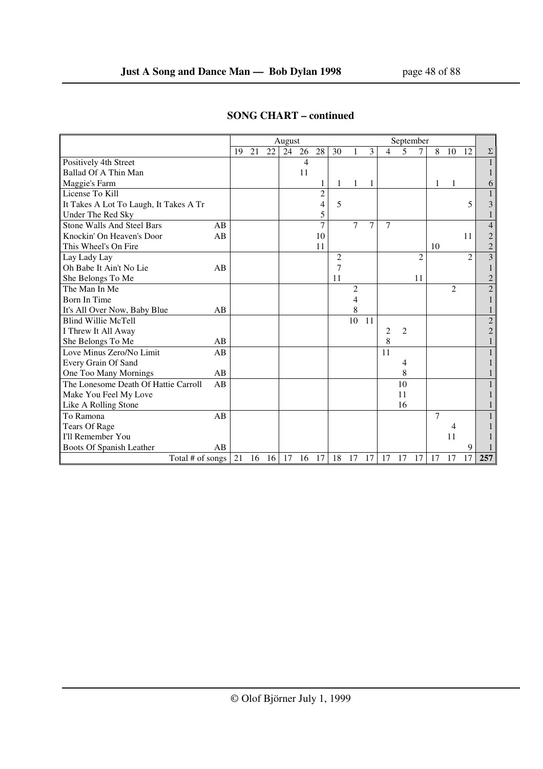|                                        |    |    |    |    | August |    |                |                |    |    |                |                | September      |                |                |                        |                |
|----------------------------------------|----|----|----|----|--------|----|----------------|----------------|----|----|----------------|----------------|----------------|----------------|----------------|------------------------|----------------|
|                                        |    | 19 | 21 | 22 | 24     | 26 | 28             | 30             |    | 3  | $\overline{4}$ | 5              | $\tau$         | 8              | 10             | 12                     | $\Sigma$       |
| Positively 4th Street                  |    |    |    |    |        | 4  |                |                |    |    |                |                |                |                |                |                        | $\mathbf{1}$   |
| Ballad Of A Thin Man                   |    |    |    |    |        | 11 |                |                |    |    |                |                |                |                |                |                        | 1              |
| Maggie's Farm                          |    |    |    |    |        |    | 1              | 1              | 1  | 1  |                |                |                | 1              | 1              |                        | 6              |
| License To Kill                        |    |    |    |    |        |    | $\overline{c}$ |                |    |    |                |                |                |                |                |                        | 1              |
| It Takes A Lot To Laugh, It Takes A Tr |    |    |    |    |        |    | 4              | 5              |    |    |                |                |                |                |                | 5                      | 3              |
| Under The Red Sky                      |    |    |    |    |        |    | 5              |                |    |    |                |                |                |                |                |                        | 1              |
| <b>Stone Walls And Steel Bars</b>      | AB |    |    |    |        |    | 7              |                | 7  | 7  | $\overline{7}$ |                |                |                |                |                        | $\overline{4}$ |
| Knockin' On Heaven's Door              | AB |    |    |    |        |    | 10             |                |    |    |                |                |                |                |                | 11                     | $\overline{2}$ |
| This Wheel's On Fire                   |    |    |    |    |        |    | 11             |                |    |    |                |                |                | 10             |                |                        | $\overline{c}$ |
| Lay Lady Lay                           |    |    |    |    |        |    |                | $\overline{c}$ |    |    |                |                | $\overline{c}$ |                |                | $\mathcal{D}_{\alpha}$ | $\overline{3}$ |
| Oh Babe It Ain't No Lie                | AB |    |    |    |        |    |                | 7              |    |    |                |                |                |                |                |                        | $\mathbf{1}$   |
| She Belongs To Me                      |    |    |    |    |        |    |                | 11             |    |    |                |                | 11             |                |                |                        | $\overline{c}$ |
| The Man In Me                          |    |    |    |    |        |    |                |                | 2  |    |                |                |                |                | $\overline{2}$ |                        | $\overline{2}$ |
| <b>Born In Time</b>                    |    |    |    |    |        |    |                |                | 4  |    |                |                |                |                |                |                        | 1              |
| It's All Over Now, Baby Blue           | AB |    |    |    |        |    |                |                | 8  |    |                |                |                |                |                |                        | $\mathbf{1}$   |
| <b>Blind Willie McTell</b>             |    |    |    |    |        |    |                |                | 10 | 11 |                |                |                |                |                |                        | $\sqrt{2}$     |
| I Threw It All Away                    |    |    |    |    |        |    |                |                |    |    | $\overline{c}$ | $\overline{c}$ |                |                |                |                        | $\mathbf{2}$   |
| She Belongs To Me                      | AB |    |    |    |        |    |                |                |    |    | 8              |                |                |                |                |                        | 1              |
| Love Minus Zero/No Limit               | AB |    |    |    |        |    |                |                |    |    | 11             |                |                |                |                |                        | $\mathbf 1$    |
| Every Grain Of Sand                    |    |    |    |    |        |    |                |                |    |    |                | 4              |                |                |                |                        | 1              |
| One Too Many Mornings                  | AB |    |    |    |        |    |                |                |    |    |                | 8              |                |                |                |                        | 1              |
| The Lonesome Death Of Hattie Carroll   | AB |    |    |    |        |    |                |                |    |    |                | 10             |                |                |                |                        | 1              |
| Make You Feel My Love                  |    |    |    |    |        |    |                |                |    |    |                | 11             |                |                |                |                        | 1              |
| Like A Rolling Stone                   |    |    |    |    |        |    |                |                |    |    |                | 16             |                |                |                |                        | 1              |
| To Ramona                              | AB |    |    |    |        |    |                |                |    |    |                |                |                | $\overline{7}$ |                |                        | $\mathbf{1}$   |
| <b>Tears Of Rage</b>                   |    |    |    |    |        |    |                |                |    |    |                |                |                |                | 4              |                        |                |
| I'll Remember You                      |    |    |    |    |        |    |                |                |    |    |                |                |                |                | 11             |                        |                |
| Boots Of Spanish Leather               | AB |    |    |    |        |    |                |                |    |    |                |                |                |                |                | 9                      |                |
| Total # of songs                       |    | 21 | 16 | 16 | 17     | 16 | 17             | 18             | 17 | 17 | 17             | 17             | 17             | 17             | 17             | 17                     | 257            |

## **SONG CHART – continued**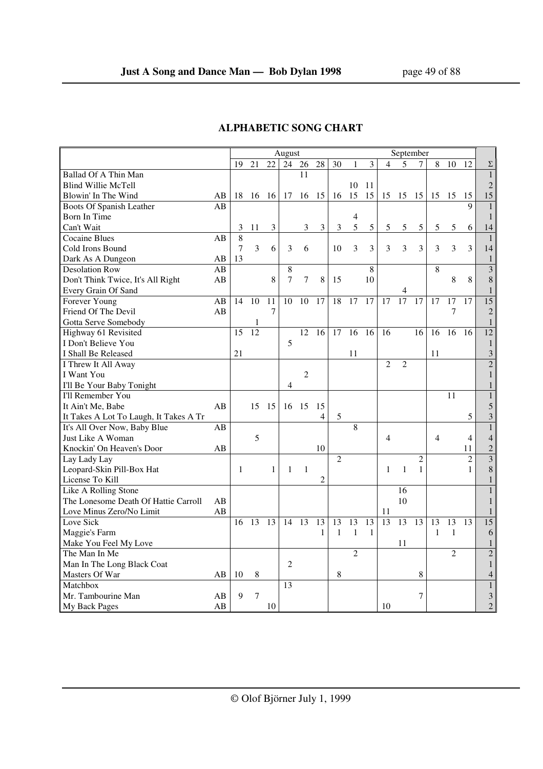|                                        |    |    |                |                | August         |                |                |                |                |               |                | September      |                |                |                |                |                         |
|----------------------------------------|----|----|----------------|----------------|----------------|----------------|----------------|----------------|----------------|---------------|----------------|----------------|----------------|----------------|----------------|----------------|-------------------------|
|                                        |    | 19 | 21             | 22             | 24             | 26             | 28             | 30             | $\mathbf{1}$   | 3             | 4              | 5              | 7              | 8              | 10             | 12             | Σ                       |
| Ballad Of A Thin Man                   |    |    |                |                |                | 11             |                |                |                |               |                |                |                |                |                |                | $\mathbf{1}$            |
| <b>Blind Willie McTell</b>             |    |    |                |                |                |                |                |                | 10             | 11            |                |                |                |                |                |                | $\overline{2}$          |
| Blowin' In The Wind                    | AB | 18 | 16             | -16            | 17             | 16             | 15             | 16             | 15             | 15            |                | 15 15          | 15             | 15             | 15             | 15             | 15                      |
| Boots Of Spanish Leather               | AB |    |                |                |                |                |                |                |                |               |                |                |                |                |                | $\mathbf Q$    | $\mathbf{1}$            |
| Born In Time                           |    |    |                |                |                |                |                |                | 4              |               |                |                |                |                |                |                | $\mathbf{1}$            |
| Can't Wait                             |    | 3  | 11             | $\mathfrak{Z}$ |                | 3              | 3              | 3              | 5              | $\mathfrak s$ | 5              | 5              | $\sqrt{5}$     | 5              | 5              | 6              | 14                      |
| <b>Cocaine Blues</b>                   | AB | 8  |                |                |                |                |                |                |                |               |                |                |                |                |                |                | $\mathbf{1}$            |
| Cold Irons Bound                       |    | 7  | $\overline{3}$ | 6              | 3              | 6              |                | 10             | 3              | 3             | 3              | 3              | $\overline{3}$ | $\mathfrak{Z}$ | 3              | $\overline{3}$ | 14                      |
| Dark As A Dungeon                      | AB | 13 |                |                |                |                |                |                |                |               |                |                |                |                |                |                | $\mathbf{1}$            |
| Desolation Row                         | AB |    |                |                | 8              |                |                |                |                | 8             |                |                |                | 8              |                |                | $\overline{\mathbf{3}}$ |
| Don't Think Twice, It's All Right      | AB |    |                | 8              | 7              | 7              | 8              | 15             |                | 10            |                |                |                |                | 8              | 8              | 8                       |
| Every Grain Of Sand                    |    |    |                |                |                |                |                |                |                |               |                | 4              |                |                |                |                | $\mathbf{1}$            |
| Forever Young                          | AB | 14 | 10             | 11             | 10             | 10             | 17             | 18             | 17             | 17            | 17             | 17             | 17             | 17             | 17             | 17             | 15                      |
| Friend Of The Devil                    | AB |    |                | 7              |                |                |                |                |                |               |                |                |                |                | $\overline{7}$ |                | $\sqrt{2}$              |
| Gotta Serve Somebody                   |    |    | 1              |                |                |                |                |                |                |               |                |                |                |                |                |                | $\mathbf{1}$            |
| Highway 61 Revisited                   |    | 15 | 12             |                |                | 12             | 16             | 17             | 16             | 16            | 16             |                | 16             | 16             | 16             | 16             | 12                      |
| I Don't Believe You                    |    |    |                |                | 5              |                |                |                |                |               |                |                |                |                |                |                | $\mathbf{1}$            |
| I Shall Be Released                    |    | 21 |                |                |                |                |                |                | 11             |               |                |                |                | 11             |                |                | $\mathfrak{Z}$          |
| I Threw It All Away                    |    |    |                |                |                |                |                |                |                |               | $\overline{c}$ | $\overline{2}$ |                |                |                |                | $\overline{c}$          |
| I Want You                             |    |    |                |                |                | $\overline{2}$ |                |                |                |               |                |                |                |                |                |                | $\mathbf{1}$            |
| I'll Be Your Baby Tonight              |    |    |                |                | 4              |                |                |                |                |               |                |                |                |                |                |                | 1                       |
| I'll Remember You                      |    |    |                |                |                |                |                |                |                |               |                |                |                |                | 11             |                | $1\,$                   |
| It Ain't Me, Babe                      | AB |    | 15             | 15             | 16             | 15             | 15             |                |                |               |                |                |                |                |                |                | 5                       |
| It Takes A Lot To Laugh, It Takes A Tr |    |    |                |                |                |                | 4              | $\mathfrak s$  |                |               |                |                |                |                |                | $\sqrt{5}$     | $\sqrt{3}$              |
| It's All Over Now, Baby Blue           | AB |    |                |                |                |                |                |                | 8              |               |                |                |                |                |                |                | $1\,$                   |
| Just Like A Woman                      |    |    | 5              |                |                |                |                |                |                |               | 4              |                |                | $\overline{4}$ |                | $\overline{4}$ | $\overline{4}$          |
| Knockin' On Heaven's Door              | AB |    |                |                |                |                | 10             |                |                |               |                |                |                |                |                | 11             | $\sqrt{2}$              |
| Lay Lady Lay                           |    |    |                |                |                |                |                | $\overline{2}$ |                |               |                |                | $\overline{c}$ |                |                | $\overline{2}$ | $\mathfrak{Z}$          |
| Leopard-Skin Pill-Box Hat              |    | 1  |                | 1              | 1              | $\mathbf{1}$   |                |                |                |               | $\mathbf{1}$   | 1              | $\mathbf{1}$   |                |                | $\mathbf{1}$   | $\,8\,$                 |
| License To Kill                        |    |    |                |                |                |                | $\mathfrak{2}$ |                |                |               |                |                |                |                |                |                | $\mathbf{1}$            |
| Like A Rolling Stone                   |    |    |                |                |                |                |                |                |                |               |                | 16             |                |                |                |                | $\mathbf{1}$            |
| The Lonesome Death Of Hattie Carroll   | AB |    |                |                |                |                |                |                |                |               |                | 10             |                |                |                |                | $\mathbf{1}$            |
| Love Minus Zero/No Limit               | AB |    |                |                |                |                |                |                |                |               | 11             |                |                |                |                |                | $\mathbf{1}$            |
| Love Sick                              |    | 16 | 13             | 13             | 14             | 13             | 13             | 13             | 13             | 13            | 13             | 13             | 13             | 13             | 13             | 13             | 15                      |
| Maggie's Farm                          |    |    |                |                |                |                | 1              | $\mathbf{1}$   | $\mathbf{1}$   | 1             |                |                |                | $\mathbf{1}$   | $\mathbf{1}$   |                | 6                       |
| Make You Feel My Love                  |    |    |                |                |                |                |                |                |                |               |                | 11             |                |                |                |                | $\mathbf{1}$            |
| The Man In Me                          |    |    |                |                |                |                |                |                | $\overline{2}$ |               |                |                |                |                | $\overline{c}$ |                | $\overline{c}$          |
| Man In The Long Black Coat             |    |    |                |                | $\overline{c}$ |                |                |                |                |               |                |                |                |                |                |                | $\mathbf{1}$            |
| Masters Of War                         | AB | 10 | 8              |                |                |                |                | 8              |                |               |                |                | 8              |                |                |                | $\overline{4}$          |
| Matchbox                               |    |    |                |                | 13             |                |                |                |                |               |                |                |                |                |                |                | $\mathbf{1}$            |
| Mr. Tambourine Man                     | AB | 9  | 7              |                |                |                |                |                |                |               |                |                | 7              |                |                |                | 3                       |
| My Back Pages                          | AB |    |                | 10             |                |                |                |                |                |               | 10             |                |                |                |                |                | $\overline{2}$          |

## **ALPHABETIC SONG CHART**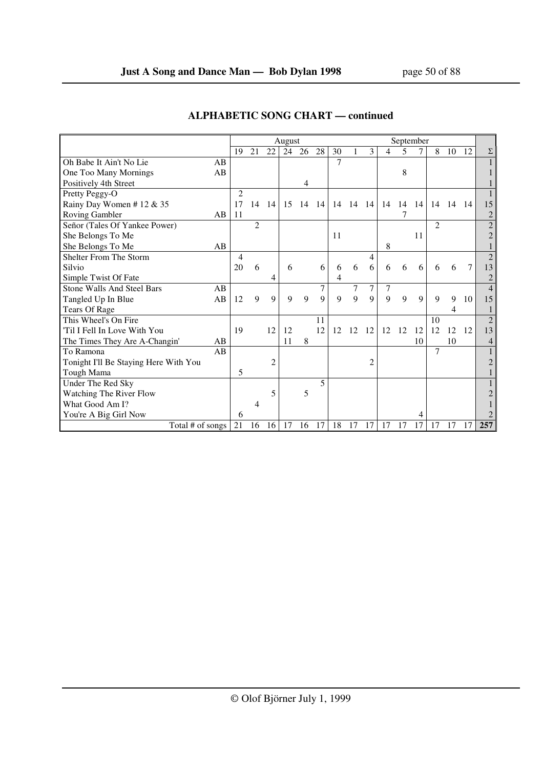|                                       |    |                |                |    | August |    |             |    |             |                |                | September |              |                |    |     |                |
|---------------------------------------|----|----------------|----------------|----|--------|----|-------------|----|-------------|----------------|----------------|-----------|--------------|----------------|----|-----|----------------|
|                                       |    | 19             | 21             | 22 | 24     | 26 | 28          | 30 |             | 3              | $\overline{4}$ | 5         |              | 8              | 10 | 12  | Σ              |
| Oh Babe It Ain't No Lie               | AB |                |                |    |        |    |             | 7  |             |                |                |           |              |                |    |     |                |
| One Too Many Mornings                 | AB |                |                |    |        |    |             |    |             |                |                | 8         |              |                |    |     |                |
| Positively 4th Street                 |    |                |                |    |        | 4  |             |    |             |                |                |           |              |                |    |     |                |
| Pretty Peggy-O                        |    | $\overline{c}$ |                |    |        |    |             |    |             |                |                |           |              |                |    |     |                |
| Rainy Day Women # 12 & 35             |    | 17             | 14             | 14 | 15     | 14 | -14         | 14 | 14          | -14            | 14             | 14        | 14           | 14             | 14 | -14 | 15             |
| Roving Gambler                        | AB | <sup>11</sup>  |                |    |        |    |             |    |             |                |                |           |              |                |    |     | $\overline{c}$ |
| Señor (Tales Of Yankee Power)         |    |                | $\overline{c}$ |    |        |    |             |    |             |                |                |           |              | 2              |    |     | $\overline{2}$ |
| She Belongs To Me                     |    |                |                |    |        |    |             | 11 |             |                |                |           | 11           |                |    |     | 2              |
| She Belongs To Me                     | AB |                |                |    |        |    |             |    |             |                | 8              |           |              |                |    |     |                |
| Shelter From The Storm                |    | $\overline{4}$ |                |    |        |    |             |    |             | 4              |                |           |              |                |    |     | $\overline{2}$ |
| Silvio                                |    | 20             | 6              |    | 6      |    | 6           | 6  | 6           | 6              | 6              | 6         | 6            | 6              | 6  | 7   | 13             |
| Simple Twist Of Fate                  |    |                |                | 4  |        |    |             | 4  |             |                |                |           |              |                |    |     | $\overline{c}$ |
| <b>Stone Walls And Steel Bars</b>     | AB |                |                |    |        |    | 7           |    | 7           | 7              | 7              |           |              |                |    |     | $\overline{4}$ |
| Tangled Up In Blue                    | AB | 12             | 9              | 9  | 9      | 9  | $\mathbf Q$ | 9  | $\mathbf Q$ | 9              | 9              | 9         | $\mathbf{Q}$ | $\mathbf Q$    | 9  | 10  | 15             |
| Tears Of Rage                         |    |                |                |    |        |    |             |    |             |                |                |           |              |                | 4  |     |                |
| This Wheel's On Fire                  |    |                |                |    |        |    | 11          |    |             |                |                |           |              | 10             |    |     | $\overline{2}$ |
| 'Til I Fell In Love With You          |    | 19             |                | 12 | 12     |    | 12          | 12 | 12          | 12             | 12             | 12        | 12           | 12             | 12 | 12  | 13             |
| The Times They Are A-Changin'         | AB |                |                |    | 11     | 8  |             |    |             |                |                |           | 10           |                | 10 |     | 4              |
| To Ramona                             | AB |                |                |    |        |    |             |    |             |                |                |           |              | $\overline{7}$ |    |     |                |
| Tonight I'll Be Staying Here With You |    |                |                | 2  |        |    |             |    |             | $\overline{c}$ |                |           |              |                |    |     | $\overline{2}$ |
| Tough Mama                            |    | 5              |                |    |        |    |             |    |             |                |                |           |              |                |    |     |                |
| Under The Red Sky                     |    |                |                |    |        |    | 5           |    |             |                |                |           |              |                |    |     |                |
| Watching The River Flow               |    |                |                | 5  |        | 5  |             |    |             |                |                |           |              |                |    |     | $\overline{2}$ |
| What Good Am I?                       |    |                | 4              |    |        |    |             |    |             |                |                |           |              |                |    |     |                |
| You're A Big Girl Now                 |    | 6              |                |    |        |    |             |    |             |                |                |           | 4            |                |    |     |                |
| Total # of songs                      |    | 21             | 16             | 16 | 17     | 16 | 17          | 18 | 17          | 17             | 17             | 17        | 17           | 17             | 17 | 17  | 257            |

## **ALPHABETIC SONG CHART — continued**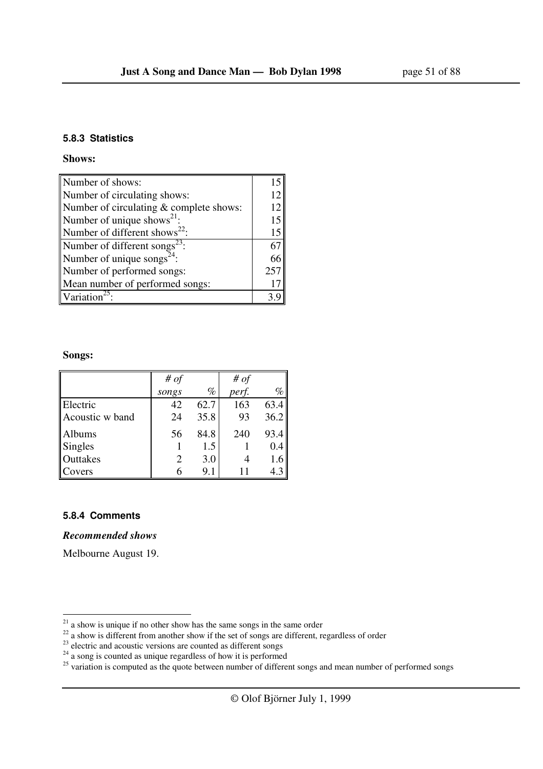#### **5.8.3 Statistics**

#### **Shows:**

| Number of shows:                          |     |
|-------------------------------------------|-----|
| Number of circulating shows:              | 12  |
| Number of circulating & complete shows:   | 12  |
| Number of unique shows <sup>21</sup> :    | 15  |
| Number of different shows <sup>22</sup> : | 15  |
| Number of different songs <sup>23</sup> : | 67  |
| Number of unique songs <sup>24</sup> :    | 66  |
| Number of performed songs:                | 257 |
| Mean number of performed songs:           |     |
| Variation <sup>22</sup>                   |     |

#### **Songs:**

|                 | # of  |      | # of  |      |
|-----------------|-------|------|-------|------|
|                 | songs | $\%$ | perf. | $\%$ |
| Electric        | 42    | 62.7 | 163   | 63.4 |
| Acoustic w band | 24    | 35.8 | 93    | 36.2 |
| Albums          | 56    | 84.8 | 240   | 93.4 |
| <b>Singles</b>  |       | 1.5  |       | 0.4  |
| Outtakes        |       | 3.0  |       | 1.6  |
| Covers          |       | 9.1  |       | 4.3  |

### **5.8.4 Comments**

l

### *Recommended shows*

Melbourne August 19.

 $2<sup>1</sup>$  a show is unique if no other show has the same songs in the same order

 $22$  a show is different from another show if the set of songs are different, regardless of order

 $2<sup>23</sup>$  electric and acoustic versions are counted as different songs

 $24$  a song is counted as unique regardless of how it is performed

 $25$  variation is computed as the quote between number of different songs and mean number of performed songs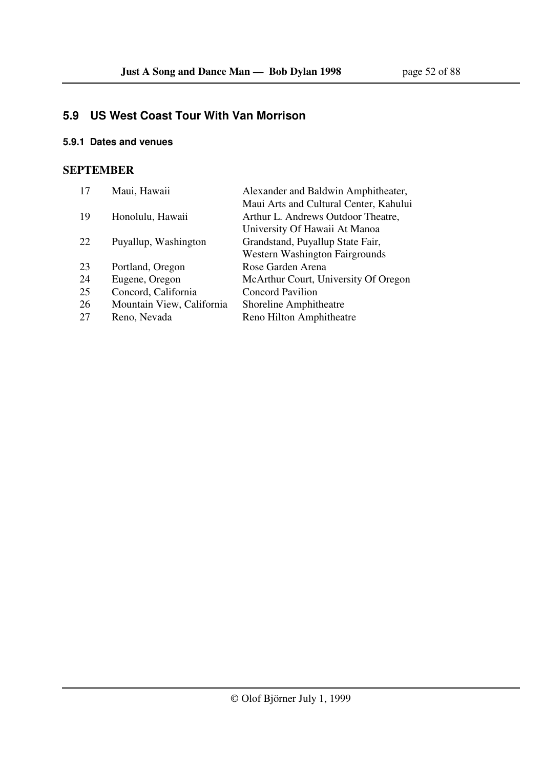## **5.9 US West Coast Tour With Van Morrison**

## **5.9.1 Dates and venues**

## **SEPTEMBER**

| 17 | Maui, Hawaii              | Alexander and Baldwin Amphitheater,    |
|----|---------------------------|----------------------------------------|
|    |                           | Maui Arts and Cultural Center, Kahului |
| 19 | Honolulu, Hawaii          | Arthur L. Andrews Outdoor Theatre,     |
|    |                           | University Of Hawaii At Manoa          |
| 22 | Puyallup, Washington      | Grandstand, Puyallup State Fair,       |
|    |                           | <b>Western Washington Fairgrounds</b>  |
| 23 | Portland, Oregon          | Rose Garden Arena                      |
| 24 | Eugene, Oregon            | McArthur Court, University Of Oregon   |
| 25 | Concord, California       | <b>Concord Pavilion</b>                |
| 26 | Mountain View, California | Shoreline Amphitheatre                 |
| 27 | Reno, Nevada              | Reno Hilton Amphitheatre               |
|    |                           |                                        |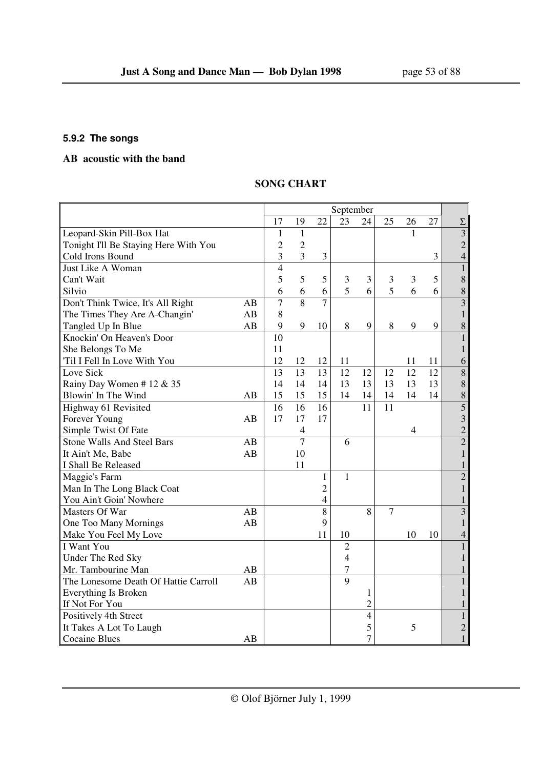## **5.9.2 The songs**

## **AB acoustic with the band**

## **SONG CHART**

|                                       |    |                |                |                | September      |                          |                |                |    |                           |
|---------------------------------------|----|----------------|----------------|----------------|----------------|--------------------------|----------------|----------------|----|---------------------------|
|                                       |    | 17             | 19             | 22             | 23             | 24                       | 25             | 26             | 27 | $\Sigma$                  |
| Leopard-Skin Pill-Box Hat             |    | 1              | $\mathbf{1}$   |                |                |                          |                | 1              |    | $\overline{\overline{3}}$ |
| Tonight I'll Be Staying Here With You |    | $\overline{c}$ | $\overline{2}$ |                |                |                          |                |                |    | $\overline{c}$            |
| Cold Irons Bound                      |    | $\overline{3}$ | $\overline{3}$ | $\mathfrak{Z}$ |                |                          |                |                | 3  | $\overline{4}$            |
| Just Like A Woman                     |    | $\overline{4}$ |                |                |                |                          |                |                |    | $\mathbf{1}$              |
| Can't Wait                            |    | 5              | 5              | 5              | 3              | 3                        | $\mathfrak{Z}$ | 3              | 5  | 8                         |
| Silvio                                |    | 6              | 6              | 6              | 5              | 6                        | 5              | 6              | 6  | 8                         |
| Don't Think Twice, It's All Right     | AB | $\overline{7}$ | 8              | 7              |                |                          |                |                |    | $\overline{\mathbf{3}}$   |
| The Times They Are A-Changin'         | AB | 8              |                |                |                |                          |                |                |    | $\mathbf{1}$              |
| Tangled Up In Blue                    | AB | 9              | 9              | 10             | 8              | 9                        | $8\,$          | 9              | 9  | 8                         |
| Knockin' On Heaven's Door             |    | 10             |                |                |                |                          |                |                |    | $\mathbf{1}$              |
| She Belongs To Me                     |    | 11             |                |                |                |                          |                |                |    | $\mathbf{1}$              |
| Til I Fell In Love With You           |    | 12             | 12             | 12             | 11             |                          |                | 11             | 11 | 6                         |
| Love Sick                             |    | 13             | 13             | 13             | 12             | 12                       | 12             | 12             | 12 | 8                         |
| Rainy Day Women #12 & 35              |    | 14             | 14             | 14             | 13             | 13                       | 13             | 13             | 13 | 8                         |
| Blowin' In The Wind                   | AB | 15             | 15             | 15             | 14             | 14                       | 14             | 14             | 14 | 8                         |
| Highway 61 Revisited                  |    | 16             | 16             | 16             |                | 11                       | 11             |                |    | 5                         |
| Forever Young                         | AB | 17             | 17             | 17             |                |                          |                |                |    | $\overline{3}$            |
| Simple Twist Of Fate                  |    |                | $\overline{4}$ |                |                |                          |                | $\overline{4}$ |    | $\overline{2}$            |
| Stone Walls And Steel Bars            | AB |                | $\overline{7}$ |                | 6              |                          |                |                |    | $\overline{2}$            |
| It Ain't Me, Babe                     | AB |                | 10             |                |                |                          |                |                |    | $\mathbf{1}$              |
| I Shall Be Released                   |    |                | 11             |                |                |                          |                |                |    | $\mathbf{1}$              |
| Maggie's Farm                         |    |                |                | 1              | $\mathbf{1}$   |                          |                |                |    | $\overline{2}$            |
| Man In The Long Black Coat            |    |                |                | $\overline{c}$ |                |                          |                |                |    | $\mathbf{1}$              |
| You Ain't Goin' Nowhere               |    |                |                | $\overline{4}$ |                |                          |                |                |    | 1                         |
| Masters Of War                        | AB |                |                | 8              |                | 8                        | $\tau$         |                |    | $\overline{3}$            |
| One Too Many Mornings                 | AB |                |                | 9              |                |                          |                |                |    | $\mathbf{1}$              |
| Make You Feel My Love                 |    |                |                | 11             | 10             |                          |                | 10             | 10 | $\overline{4}$            |
| I Want You                            |    |                |                |                | $\overline{2}$ |                          |                |                |    | $\mathbf{1}$              |
| Under The Red Sky                     |    |                |                |                | $\overline{4}$ |                          |                |                |    | $\mathbf{1}$              |
| Mr. Tambourine Man                    | AB |                |                |                | 7              |                          |                |                |    | 1                         |
| The Lonesome Death Of Hattie Carroll  | AB |                |                |                | 9              |                          |                |                |    | 1                         |
| Everything Is Broken                  |    |                |                |                |                | $\mathbf{1}$             |                |                |    | $\mathbf{1}$              |
| If Not For You                        |    |                |                |                |                | $\overline{2}$           |                |                |    | 1                         |
| Positively 4th Street                 |    |                |                |                |                | $\overline{\mathcal{L}}$ |                |                |    | $\mathbf{1}$              |
| It Takes A Lot To Laugh               |    |                |                |                |                | 5                        |                | 5              |    | $\overline{c}$            |
| <b>Cocaine Blues</b>                  | AB |                |                |                |                | $\overline{7}$           |                |                |    | $\mathbf{1}$              |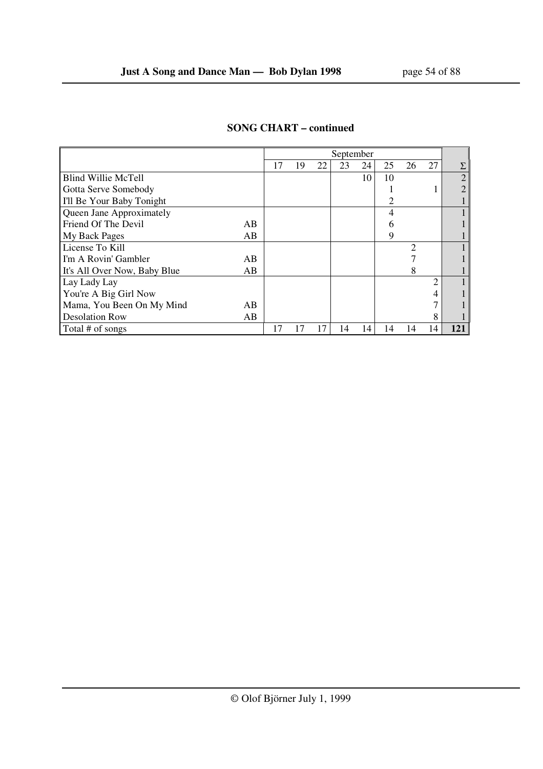|                                    |    |    |    | September |    |    |                |                |                |
|------------------------------------|----|----|----|-----------|----|----|----------------|----------------|----------------|
|                                    | 17 | 19 | 22 | 23        | 24 | 25 | 26             | 27             | Σ              |
| <b>Blind Willie McTell</b>         |    |    |    |           | 10 | 10 |                |                | $\overline{2}$ |
| Gotta Serve Somebody               |    |    |    |           |    |    |                |                |                |
| I'll Be Your Baby Tonight          |    |    |    |           |    | 2  |                |                |                |
| Queen Jane Approximately           |    |    |    |           |    | 4  |                |                |                |
| Friend Of The Devil<br>AB.         |    |    |    |           |    | h  |                |                |                |
| My Back Pages<br>AB                |    |    |    |           |    | 9  |                |                |                |
| License To Kill                    |    |    |    |           |    |    | $\overline{2}$ |                |                |
| I'm A Rovin' Gambler<br>AB         |    |    |    |           |    |    |                |                |                |
| It's All Over Now, Baby Blue<br>AB |    |    |    |           |    |    | 8              |                |                |
| Lay Lady Lay                       |    |    |    |           |    |    |                | $\mathfrak{D}$ |                |
| You're A Big Girl Now              |    |    |    |           |    |    |                | 4              |                |
| Mama, You Been On My Mind<br>AB    |    |    |    |           |    |    |                |                |                |
| <b>Desolation Row</b><br>AB        |    |    |    |           |    |    |                | 8              |                |
| Total # of songs                   | 17 | 17 | 17 | 14        | 14 | 14 | 14             | 14             | 121            |

## **SONG CHART – continued**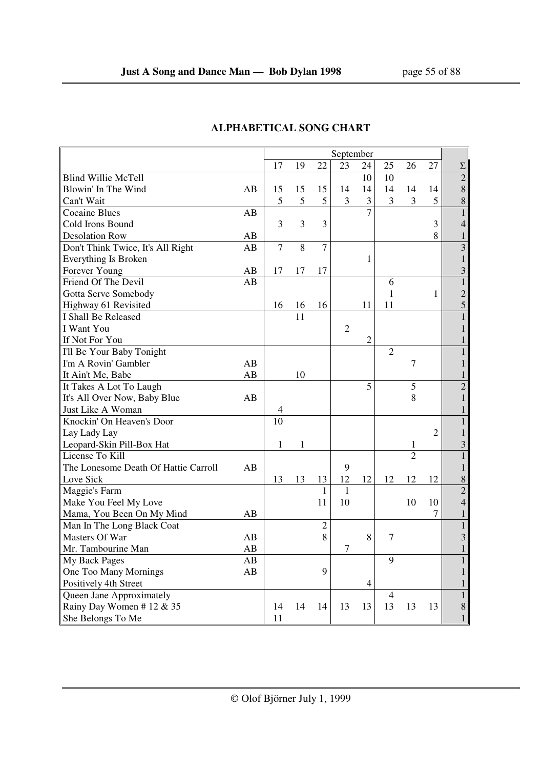|                                      |    | September      |       |                |                |                |                |                |                |                |
|--------------------------------------|----|----------------|-------|----------------|----------------|----------------|----------------|----------------|----------------|----------------|
|                                      |    | 17             | 19    | 22             | 23             | 24             | 25             | 26             | 27             | $\Sigma$       |
| <b>Blind Willie McTell</b>           |    |                |       |                |                | 10             | 10             |                |                | $\overline{2}$ |
| Blowin' In The Wind                  | AB | 15             | 15    | 15             | 14             | 14             | 14             | 14             | 14             | 8              |
| Can't Wait                           |    | 5              | 5     | 5              | 3              | 3              | 3              | 3              | 5              | $8\,$          |
| <b>Cocaine Blues</b>                 | AB |                |       |                |                | $\overline{7}$ |                |                |                | $\mathbf{1}$   |
| Cold Irons Bound                     |    | 3              | 3     | 3              |                |                |                |                | 3              | $\overline{4}$ |
| <b>Desolation Row</b>                | AB |                |       |                |                |                |                |                | 8              | 1              |
| Don't Think Twice, It's All Right    | AB | 7              | $8\,$ | 7              |                |                |                |                |                | 3              |
| Everything Is Broken                 |    |                |       |                |                | $\mathbf{1}$   |                |                |                | 1              |
| Forever Young                        | AB | 17             | 17    | 17             |                |                |                |                |                | 3              |
| Friend Of The Devil                  | AB |                |       |                |                |                | 6              |                |                | $\mathbf{1}$   |
| Gotta Serve Somebody                 |    |                |       |                |                |                | $\mathbf{1}$   |                | 1              | $\overline{c}$ |
| Highway 61 Revisited                 |    | 16             | 16    | 16             |                | 11             | 11             |                |                | 5              |
| I Shall Be Released                  |    |                | 11    |                |                |                |                |                |                |                |
| I Want You                           |    |                |       |                | $\mathfrak{2}$ |                |                |                |                | 1              |
| If Not For You                       |    |                |       |                |                | $\overline{2}$ |                |                |                |                |
| I'll Be Your Baby Tonight            |    |                |       |                |                |                | $\overline{2}$ |                |                |                |
| I'm A Rovin' Gambler                 | AB |                |       |                |                |                |                | $\overline{7}$ |                | 1              |
| It Ain't Me, Babe                    | AB |                | 10    |                |                |                |                |                |                |                |
| It Takes A Lot To Laugh              |    |                |       |                |                | 5              |                | 5              |                | $\overline{2}$ |
| It's All Over Now, Baby Blue         | AB |                |       |                |                |                |                | 8              |                | 1              |
| Just Like A Woman                    |    | $\overline{4}$ |       |                |                |                |                |                |                |                |
| Knockin' On Heaven's Door            |    | 10             |       |                |                |                |                |                |                | $\mathbf{1}$   |
| Lay Lady Lay                         |    |                |       |                |                |                |                |                | $\overline{2}$ | $\mathbf{1}$   |
| Leopard-Skin Pill-Box Hat            |    | 1              | 1     |                |                |                |                | 1              |                | 3              |
| License To Kill                      |    |                |       |                |                |                |                | $\overline{2}$ |                |                |
| The Lonesome Death Of Hattie Carroll | AB |                |       |                | 9              |                |                |                |                | 1              |
| Love Sick                            |    | 13             | 13    | 13             | 12             | 12             | 12             | 12             | 12             | $8\,$          |
| Maggie's Farm                        |    |                |       | 1              | $\mathbf{1}$   |                |                |                |                | $\overline{2}$ |
| Make You Feel My Love                |    |                |       | 11             | 10             |                |                | 10             | 10             | $\overline{4}$ |
| Mama, You Been On My Mind            | AВ |                |       |                |                |                |                |                | 7              | 1              |
| Man In The Long Black Coat           |    |                |       | $\overline{2}$ |                |                |                |                |                | 1              |
| Masters Of War                       | AB |                |       | 8              |                | 8              | 7              |                |                | 3              |
| Mr. Tambourine Man                   | AB |                |       |                | 7              |                |                |                |                |                |
| My Back Pages                        | AB |                |       |                |                |                | 9              |                |                |                |
| One Too Many Mornings                | AB |                |       | 9              |                |                |                |                |                | 1              |
| Positively 4th Street                |    |                |       |                |                | $\overline{4}$ |                |                |                |                |
| Queen Jane Approximately             |    |                |       |                |                |                | $\overline{4}$ |                |                | 1              |
| Rainy Day Women #12 & 35             |    | 14             | 14    | 14             | 13             | 13             | 13             | 13             | 13             | 8              |
| She Belongs To Me                    |    | 11             |       |                |                |                |                |                |                | $\mathbf{1}$   |

## **ALPHABETICAL SONG CHART**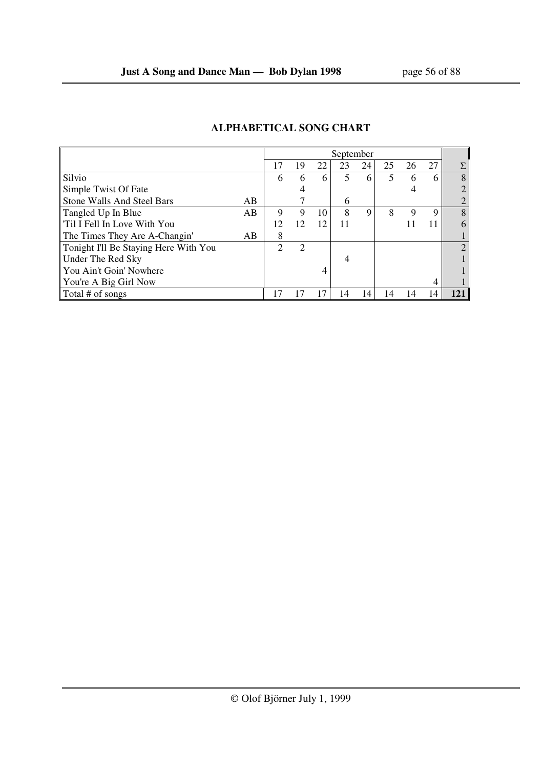|                                       |    | September |    |    |    |    |    |    |    |               |  |  |
|---------------------------------------|----|-----------|----|----|----|----|----|----|----|---------------|--|--|
|                                       |    | 17        | 19 | 22 | 23 | 24 | 25 | 26 | 27 | Σ             |  |  |
| Silvio                                |    | 6         | 6  | 6  | 5  | 6  | 5  | 6  | 6  | 8             |  |  |
| Simple Twist Of Fate                  |    |           |    |    |    |    |    | 4  |    |               |  |  |
| <b>Stone Walls And Steel Bars</b>     | AB |           |    |    | 6  |    |    |    |    |               |  |  |
| Tangled Up In Blue                    | AB | 9         | 9  | 10 | 8  | 9  | 8  | 9  | 9  | 8             |  |  |
| Til I Fell In Love With You           |    | 12        | 12 | 12 | 11 |    |    |    | 11 | 6             |  |  |
| The Times They Are A-Changin'         | AB | 8         |    |    |    |    |    |    |    |               |  |  |
| Tonight I'll Be Staying Here With You |    | ∍         | 2  |    |    |    |    |    |    | $\mathcal{D}$ |  |  |
| Under The Red Sky                     |    |           |    |    | 4  |    |    |    |    |               |  |  |
| You Ain't Goin' Nowhere               |    |           |    | 4  |    |    |    |    |    |               |  |  |
| You're A Big Girl Now                 |    |           |    |    |    |    |    |    | 4  |               |  |  |
| Total # of songs                      |    |           |    | 17 | 14 | 14 | 14 | 14 | 14 | 121           |  |  |

## **ALPHABETICAL SONG CHART**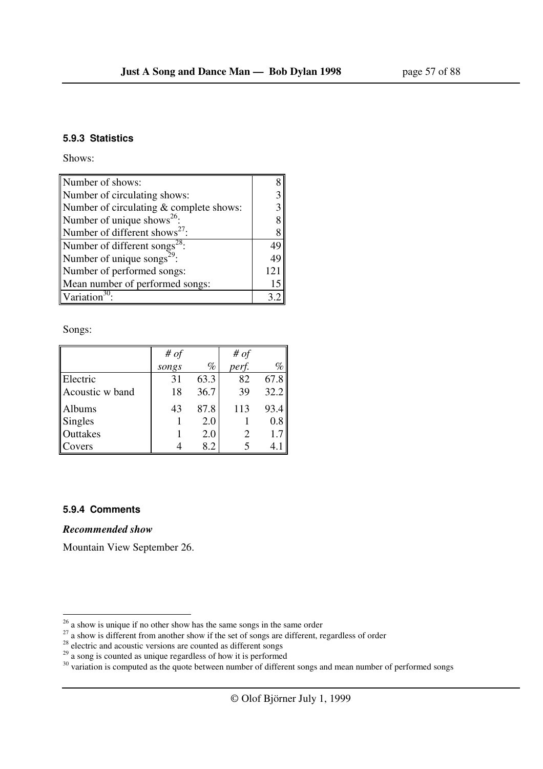#### **5.9.3 Statistics**

Shows:

| Number of shows:                          |     |
|-------------------------------------------|-----|
| Number of circulating shows:              |     |
| Number of circulating & complete shows:   |     |
| Number of unique shows <sup>26</sup> :    |     |
| Number of different shows <sup>27</sup> : | 8   |
| Number of different songs <sup>28</sup> : | 49  |
| Number of unique songs <sup>29</sup> :    | 49  |
| Number of performed songs:                | 121 |
| Mean number of performed songs:           | 15  |
| Variation <sup>30</sup>                   |     |

Songs:

|                 | # $of$ |      | # $of$ |      |
|-----------------|--------|------|--------|------|
|                 | songs  | $\%$ | perf.  | %    |
| Electric        | 31     | 63.3 | 82     | 67.8 |
| Acoustic w band | 18     | 36.7 | 39     | 32.2 |
| <b>Albums</b>   | 43     | 87.8 | 113    | 93.4 |
| Singles         |        | 2.0  |        | 0.8  |
| Outtakes        |        | 2.0  |        | 1.7  |
| Covers          |        | 8.2  |        |      |

#### **5.9.4 Comments**

l

*Recommended show* 

Mountain View September 26.

 $26$  a show is unique if no other show has the same songs in the same order

 $27$  a show is different from another show if the set of songs are different, regardless of order

 $28$  electric and acoustic versions are counted as different songs

 $29$  a song is counted as unique regardless of how it is performed

 $30$  variation is computed as the quote between number of different songs and mean number of performed songs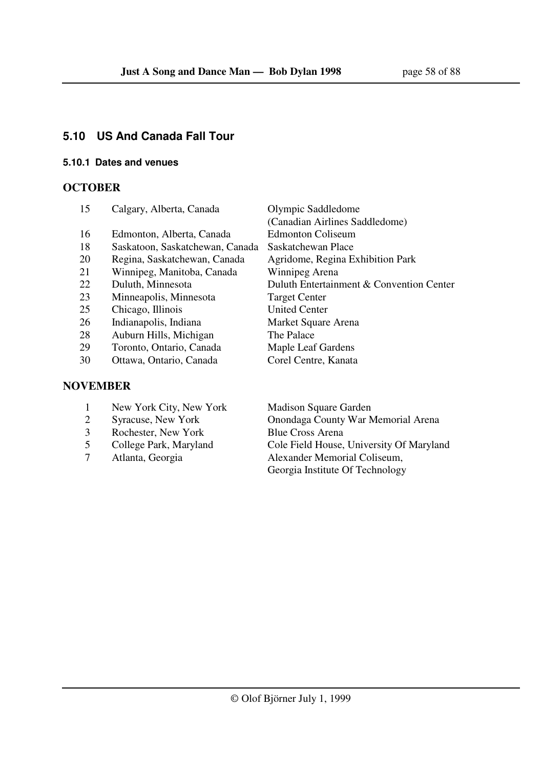## **5.10 US And Canada Fall Tour**

## **5.10.1 Dates and venues**

## **OCTOBER**

| 15        | Calgary, Alberta, Canada        | Olympic Saddledome                       |
|-----------|---------------------------------|------------------------------------------|
|           |                                 | (Canadian Airlines Saddledome)           |
| 16        | Edmonton, Alberta, Canada       | <b>Edmonton Coliseum</b>                 |
| 18        | Saskatoon, Saskatchewan, Canada | Saskatchewan Place                       |
| 20        | Regina, Saskatchewan, Canada    | Agridome, Regina Exhibition Park         |
| 21        | Winnipeg, Manitoba, Canada      | Winnipeg Arena                           |
| 22        | Duluth, Minnesota               | Duluth Entertainment & Convention Center |
| 23        | Minneapolis, Minnesota          | <b>Target Center</b>                     |
| 25        | Chicago, Illinois               | <b>United Center</b>                     |
| 26        | Indianapolis, Indiana           | Market Square Arena                      |
| 28        | Auburn Hills, Michigan          | The Palace                               |
| 29        | Toronto, Ontario, Canada        | Maple Leaf Gardens                       |
| 30        | Ottawa, Ontario, Canada         | Corel Centre, Kanata                     |
|           |                                 |                                          |
| \TITLINTR |                                 |                                          |

## **NOVEMBER**

- 1 New York City, New York Madison Square Garden
- 
- 3 Rochester, New York Blue Cross Arena
- 
- 

 2 Syracuse, New York Onondaga County War Memorial Arena 5 College Park, Maryland Cole Field House, University Of Maryland<br>7 Atlanta, Georgia Alexander Memorial Coliseum, 7 Atlanta, Georgia Alexander Memorial Coliseum, Georgia Institute Of Technology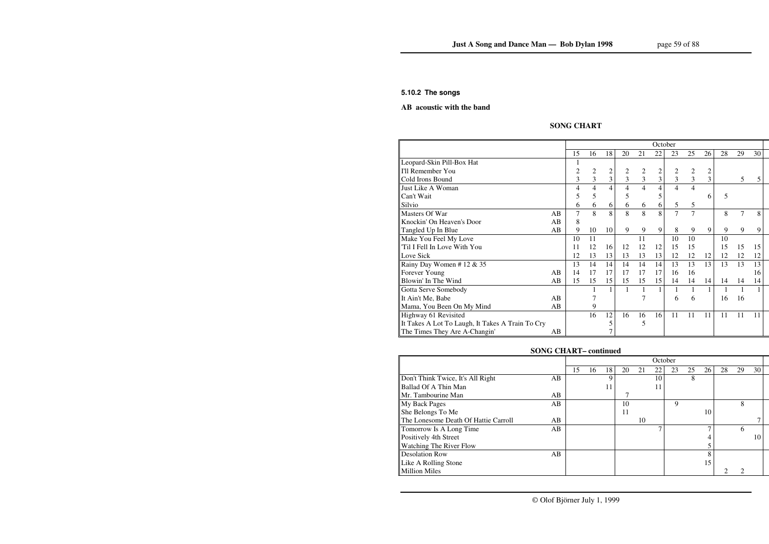#### **5.10.2 The songs**

#### **AB acoustic with the band**

## **SONG CHART**

|                                                  |    | October |                |                |    |                |                |    |                |                |    |    |    |  |
|--------------------------------------------------|----|---------|----------------|----------------|----|----------------|----------------|----|----------------|----------------|----|----|----|--|
|                                                  |    | 15      | 16             | 18             | 20 | 21             | 22             | 23 | 25             | 26             | 28 | 29 | 30 |  |
| Leopard-Skin Pill-Box Hat                        |    |         |                |                |    |                |                |    |                |                |    |    |    |  |
| I'll Remember You                                |    | 2       | $\overline{2}$ | $\overline{c}$ | 2  | $\overline{2}$ | $\overline{c}$ | 2  | $\overline{2}$ | $\overline{2}$ |    |    |    |  |
| Cold Irons Bound                                 |    | 3       | 3              | 3              | 3  | 3              | 3              | 3  | 3              | $\overline{3}$ |    | 5  | 5  |  |
| Just Like A Woman                                |    | 4       | 4              | 4              | 4  | 4              | 4              | 4  | 4              |                |    |    |    |  |
| Can't Wait                                       |    | 5       | 5              |                | 5  |                |                |    |                | 6              | 5  |    |    |  |
| Silvio                                           |    | 6       | 6              | 6              | 6  | 6              | 6              | 5  | 5              |                |    |    |    |  |
| Masters Of War                                   | AB | 7       | 8              | 8              | 8  | 8              | 8              | 7  | 7              |                | 8  | 7  | 8  |  |
| Knockin' On Heaven's Door                        | AB | 8       |                |                |    |                |                |    |                |                |    |    |    |  |
| Tangled Up In Blue                               | AB | 9       | 10             | 10             | 9  | 9              | 9              | 8  | 9              | 9              | 9  | 9  | 9  |  |
| Make You Feel My Love                            |    | 10      | 11             |                |    | 11             |                | 10 | 10             |                | 10 |    |    |  |
| Til I Fell In Love With You                      |    | 11      | 12             | 16             | 12 | 12             | 12             | 15 | 15             |                | 15 | 15 | 15 |  |
| Love Sick                                        |    | 12      | 13             | 13             | 13 | 13             | 13             | 12 | 12             | 12             | 12 | 12 | 12 |  |
| Rainy Day Women #12 & 35                         |    | 13      | 14             | 14             | 14 | 14             | 14             | 13 | 13             | 13             | 13 | 13 | 13 |  |
| Forever Young                                    | AB | 14      | 17             | 17             | 17 | 17             | 17             | 16 | 16             |                |    |    | 16 |  |
| Blowin' In The Wind                              | AB | 15      | 15             | 15             | 15 | 15             | 15             | 14 | 14             | 14             | 14 | 14 | 14 |  |
| Gotta Serve Somebody                             |    |         |                | 1              |    |                |                |    |                |                |    |    |    |  |
| It Ain't Me, Babe                                | AB |         |                |                |    |                |                | 6  | 6              |                | 16 | 16 |    |  |
| Mama, You Been On My Mind                        | AB |         | 9              |                |    |                |                |    |                |                |    |    |    |  |
| Highway 61 Revisited                             |    |         | 16             | 12             | 16 | 16             | 16             | 11 | 11             | 11             | 11 | 11 | 11 |  |
| It Takes A Lot To Laugh, It Takes A Train To Cry |    |         |                | 5              |    | 5              |                |    |                |                |    |    |    |  |
| The Times They Are A-Changin'                    | AВ |         |                |                |    |                |                |    |                |                |    |    |    |  |

## **SONG CHART– continued**

|                                      |    | October |    |    |    |    |    |    |    |    |    |    |    |  |
|--------------------------------------|----|---------|----|----|----|----|----|----|----|----|----|----|----|--|
|                                      |    | 15      | 16 | 18 | 20 | 21 | 22 | 23 | 25 | 26 | 28 | 29 | 30 |  |
| Don't Think Twice, It's All Right    | AB |         |    | Q  |    |    | 10 |    | 8  |    |    |    |    |  |
| Ballad Of A Thin Man                 |    |         |    | 11 |    |    | 11 |    |    |    |    |    |    |  |
| Mr. Tambourine Man                   | AB |         |    |    |    |    |    |    |    |    |    |    |    |  |
| My Back Pages                        | AB |         |    |    | 10 |    |    | 9  |    |    |    | 8  |    |  |
| She Belongs To Me                    |    |         |    |    | 11 |    |    |    |    | 10 |    |    |    |  |
| The Lonesome Death Of Hattie Carroll | AB |         |    |    |    | 10 |    |    |    |    |    |    |    |  |
| Tomorrow Is A Long Time              | AB |         |    |    |    |    |    |    |    |    |    | 6  |    |  |
| Positively 4th Street                |    |         |    |    |    |    |    |    |    |    |    |    | 10 |  |
| Watching The River Flow              |    |         |    |    |    |    |    |    |    |    |    |    |    |  |
| <b>Desolation Row</b>                | AB |         |    |    |    |    |    |    |    |    |    |    |    |  |
| Like A Rolling Stone                 |    |         |    |    |    |    |    |    |    | 15 |    |    |    |  |
| <b>Million Miles</b>                 |    |         |    |    |    |    |    |    |    |    |    |    |    |  |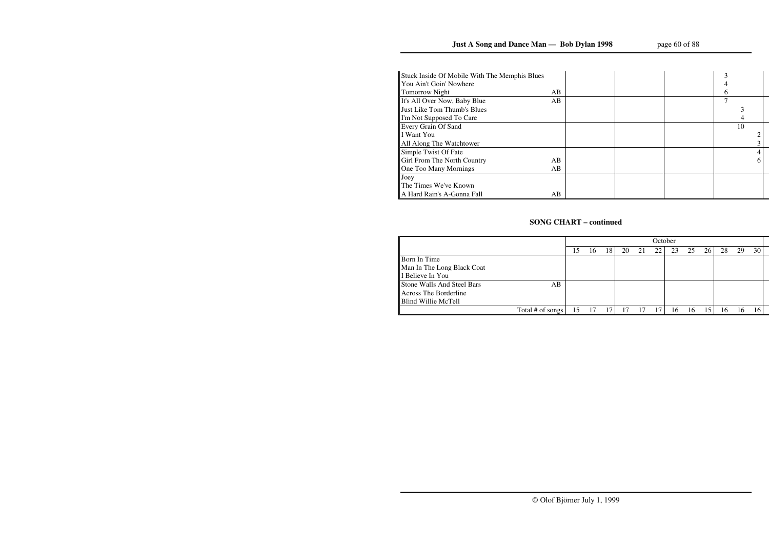| Stuck Inside Of Mobile With The Memphis Blues |    |  |    |  |
|-----------------------------------------------|----|--|----|--|
| You Ain't Goin' Nowhere                       |    |  |    |  |
| <b>Tomorrow Night</b>                         | AB |  | 6  |  |
| It's All Over Now, Baby Blue                  | AB |  |    |  |
| Just Like Tom Thumb's Blues                   |    |  |    |  |
| I'm Not Supposed To Care                      |    |  |    |  |
| Every Grain Of Sand                           |    |  | 10 |  |
| I Want You                                    |    |  |    |  |
| All Along The Watchtower                      |    |  |    |  |
| Simple Twist Of Fate                          |    |  |    |  |
| Girl From The North Country                   | AB |  |    |  |
| One Too Many Mornings                         | AВ |  |    |  |
| Joey                                          |    |  |    |  |
| The Times We've Known                         |    |  |    |  |
| A Hard Rain's A-Gonna Fall                    | AB |  |    |  |

## **SONG CHART – continued**

|                                   |                  | October |    |    |    |    |    |    |    |    |    |    |    |  |
|-----------------------------------|------------------|---------|----|----|----|----|----|----|----|----|----|----|----|--|
|                                   |                  | l5      | 16 | 18 | 20 | 21 | 22 | 23 | 25 | 26 | 28 | 29 | 30 |  |
| Born In Time                      |                  |         |    |    |    |    |    |    |    |    |    |    |    |  |
| Man In The Long Black Coat        |                  |         |    |    |    |    |    |    |    |    |    |    |    |  |
| I Believe In You                  |                  |         |    |    |    |    |    |    |    |    |    |    |    |  |
| <b>Stone Walls And Steel Bars</b> | AB               |         |    |    |    |    |    |    |    |    |    |    |    |  |
| <b>Across The Borderline</b>      |                  |         |    |    |    |    |    |    |    |    |    |    |    |  |
| Blind Willie McTell               |                  |         |    |    |    |    |    |    |    |    |    |    |    |  |
|                                   | Total # of songs | 15      |    | 17 |    |    |    | 16 | ۱b | 15 | 16 |    |    |  |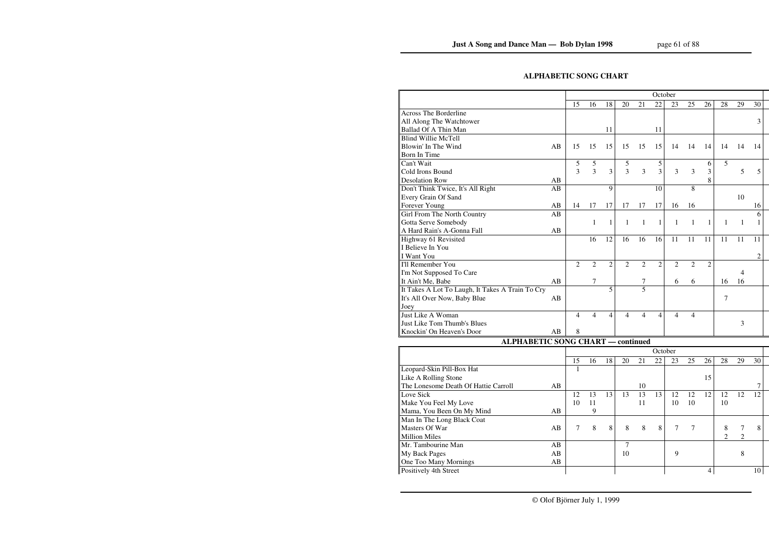## **ALPHABETIC SONG CHART**

|                                                  |    | October        |                |                |                |                |                |                |                |                |                |                |    |  |
|--------------------------------------------------|----|----------------|----------------|----------------|----------------|----------------|----------------|----------------|----------------|----------------|----------------|----------------|----|--|
|                                                  |    | 15             | 16             | 18             | 20             | 21             | 22             | 23             | 25             | 26             | 28             | 29             | 30 |  |
| <b>Across The Borderline</b>                     |    |                |                |                |                |                |                |                |                |                |                |                |    |  |
| All Along The Watchtower                         |    |                |                |                |                |                |                |                |                |                |                |                | 3  |  |
| <b>Ballad Of A Thin Man</b>                      |    |                |                | 11             |                |                | 11             |                |                |                |                |                |    |  |
| <b>Blind Willie McTell</b>                       |    |                |                |                |                |                |                |                |                |                |                |                |    |  |
| Blowin' In The Wind                              | AB | 15             | 15             | 15             | 15             | 15             | 15             | 14             | 14             | 14             | 14             | 14             | 14 |  |
| Born In Time                                     |    |                |                |                |                |                |                |                |                |                |                |                |    |  |
| Can't Wait                                       |    | 5              | 5              |                | 5              |                | 5              |                |                | 6              | 5              |                |    |  |
| Cold Irons Bound                                 |    | 3              | 3              | 3              | 3              | 3              | $\overline{3}$ | 3              | 3              | 3              |                | 5              | 5  |  |
| <b>Desolation Row</b>                            | AB |                |                |                |                |                |                |                |                | 8              |                |                |    |  |
| Don't Think Twice, It's All Right                | AB |                |                | 9              |                |                | 10             |                | 8              |                |                |                |    |  |
| <b>Every Grain Of Sand</b>                       |    |                |                |                |                |                |                |                |                |                |                | 10             |    |  |
| Forever Young                                    | AB | 14             | 17             | 17             | 17             | 17             | 17             | 16             | 16             |                |                |                | 16 |  |
| Girl From The North Country                      | AB |                |                |                |                |                |                |                |                |                |                |                | 6  |  |
| Gotta Serve Somebody                             |    |                | 1              | $\mathbf{1}$   | 1              | 1              | $\mathbf{1}$   | 1              | 1              | 1              | 1              | $\mathbf{1}$   |    |  |
| A Hard Rain's A-Gonna Fall                       | AB |                |                |                |                |                |                |                |                |                |                |                |    |  |
| Highway 61 Revisited                             |    |                | 16             | 12             | 16             | 16             | 16             | 11             | 11             | 11             | 11             | 11             | 11 |  |
| I Believe In You                                 |    |                |                |                |                |                |                |                |                |                |                |                |    |  |
| <b>I</b> Want You                                |    |                |                |                |                |                |                |                |                |                |                |                | 2  |  |
| I'll Remember You                                |    | $\overline{2}$ | $\overline{2}$ | $\overline{2}$ | $\overline{2}$ | $\overline{2}$ | $\overline{2}$ | $\overline{2}$ | $\overline{2}$ | $\overline{2}$ |                |                |    |  |
| I'm Not Supposed To Care                         |    |                |                |                |                |                |                |                |                |                |                | 4              |    |  |
| It Ain't Me, Babe                                | AB |                | 7              |                |                | 7              |                | 6              | 6              |                | 16             | 16             |    |  |
| It Takes A Lot To Laugh, It Takes A Train To Cry |    |                |                | 5              |                | 5              |                |                |                |                |                |                |    |  |
| It's All Over Now, Baby Blue                     | AB |                |                |                |                |                |                |                |                |                | 7              |                |    |  |
| Joey                                             |    |                |                |                |                |                |                |                |                |                |                |                |    |  |
| Just Like A Woman                                |    | 4              | 4              | 4              | 4              | 4              | 4              | 4              | 4              |                |                |                |    |  |
| Just Like Tom Thumb's Blues                      |    |                |                |                |                |                |                |                |                |                |                | 3              |    |  |
| Knockin' On Heaven's Door                        | AB | 8              |                |                |                |                |                |                |                |                |                |                |    |  |
| <b>ALPHABETIC SONG CHART - continued</b>         |    |                |                |                |                |                |                |                |                |                |                |                |    |  |
|                                                  |    |                |                |                |                |                | October        |                |                |                |                |                |    |  |
|                                                  |    | 15             | 16             | 18             | 20             | 21             | 22             | 23             | 25             | 26             | 28             | 29             | 30 |  |
| Leopard-Skin Pill-Box Hat                        |    | 1              |                |                |                |                |                |                |                |                |                |                |    |  |
| Like A Rolling Stone                             |    |                |                |                |                |                |                |                |                | 15             |                |                |    |  |
| The Lonesome Death Of Hattie Carroll             | AB |                |                |                |                | 10             |                |                |                |                |                |                | 7  |  |
| Love Sick                                        |    | 12             | 13             | 13             | 13             | 13             | 13             | 12             | 12             | 12             | 12             | 12             | 12 |  |
| Make You Feel My Love                            |    | 10             | 11             |                |                | 11             |                | 10             | 10             |                | 10             |                |    |  |
| Mama, You Been On My Mind                        | AB |                | 9              |                |                |                |                |                |                |                |                |                |    |  |
| Man In The Long Black Coat                       |    |                |                |                |                |                |                |                |                |                |                |                |    |  |
| Masters Of War                                   | AB | $\tau$         | 8              | $\,8\,$        | 8              | 8              | $8\,$          | 7              | $\tau$         |                | 8              | 7              | 8  |  |
| <b>Million Miles</b>                             |    |                |                |                |                |                |                |                |                |                | $\overline{2}$ | $\mathfrak{2}$ |    |  |
| Mr. Tambourine Man                               | AB |                |                |                | 7              |                |                |                |                |                |                |                |    |  |
| My Back Pages                                    | AB |                |                |                | 10             |                |                | 9              |                |                |                | 8              |    |  |
| One Too Many Mornings                            | AB |                |                |                |                |                |                |                |                |                |                |                |    |  |
| Positively 4th Street                            |    |                |                |                |                |                |                |                |                | $\overline{4}$ |                |                | 10 |  |
|                                                  |    |                |                |                |                |                |                |                |                |                |                |                |    |  |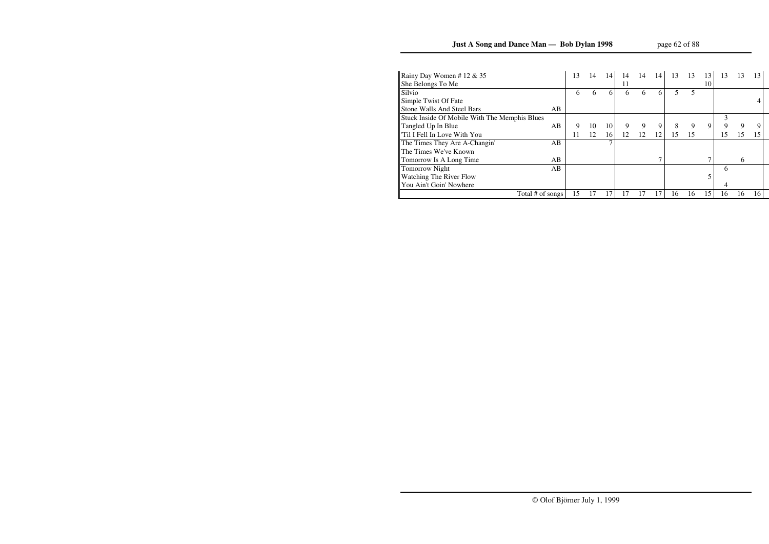# **Just A Song and Dance Man — Bob Dylan 1998**

| Rainy Day Women # 12 $& 35$                   |    | 13 | 14 | 14 | 14 | 14 | 14 | 13 | 13 | 13 | 13 | 13 | 13 |
|-----------------------------------------------|----|----|----|----|----|----|----|----|----|----|----|----|----|
| She Belongs To Me                             |    |    |    |    | 11 |    |    |    |    | 10 |    |    |    |
| Silvio                                        |    | 6  | 6  | 6  | 6  | 6  | 6  |    | 5  |    |    |    |    |
| Simple Twist Of Fate                          |    |    |    |    |    |    |    |    |    |    |    |    |    |
| <b>Stone Walls And Steel Bars</b>             | AB |    |    |    |    |    |    |    |    |    |    |    |    |
| Stuck Inside Of Mobile With The Memphis Blues |    |    |    |    |    |    |    |    |    |    | 3  |    |    |
| Tangled Up In Blue                            | AB | 9  | 10 | 10 | 9  | 9  | 9  | 8  | 9  | 9  | 9  | 9  |    |
| Til I Fell In Love With You                   |    | 11 | 12 | 16 | 12 | 12 | 12 | 15 | 15 |    | 15 | 15 | 15 |
| The Times They Are A-Changin'                 | AB |    |    | ⇁  |    |    |    |    |    |    |    |    |    |
| The Times We've Known                         |    |    |    |    |    |    |    |    |    |    |    |    |    |
| Tomorrow Is A Long Time                       | AB |    |    |    |    |    |    |    |    |    |    | 6  |    |
| <b>Tomorrow Night</b>                         | AB |    |    |    |    |    |    |    |    |    | 6  |    |    |
| <b>Watching The River Flow</b>                |    |    |    |    |    |    |    |    |    |    |    |    |    |
| You Ain't Goin' Nowhere                       |    |    |    |    |    |    |    |    |    |    | 4  |    |    |
| Total # of songs                              |    | 15 |    |    | 17 |    | 17 | 16 | 16 | 15 | 16 | 16 | 16 |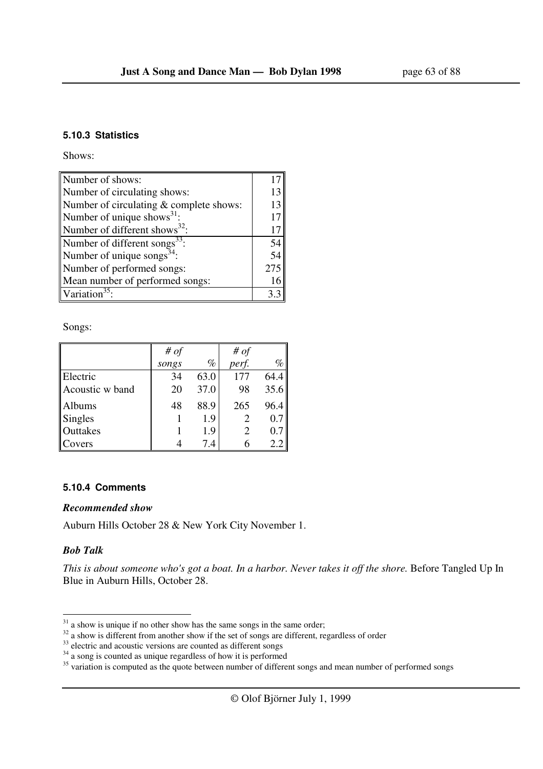#### **5.10.3 Statistics**

Shows:

| Number of shows:                          |     |
|-------------------------------------------|-----|
| Number of circulating shows:              | 13  |
| Number of circulating & complete shows:   | 13  |
| Number of unique shows $^{31}$ :          | 17  |
| Number of different shows <sup>32</sup> : | 17  |
| Number of different songs <sup>33</sup>   | 54  |
| Number of unique songs <sup>34</sup> :    | 54  |
| Number of performed songs:                | 275 |
| Mean number of performed songs:           | 16  |
| Variation <sup>35</sup>                   |     |

Songs:

|                 | # $of$ |      | # of  |      |
|-----------------|--------|------|-------|------|
|                 | songs  | $\%$ | perf. | $\%$ |
| Electric        | 34     | 63.0 | 177   | 64.4 |
| Acoustic w band | 20     | 37.0 | 98    | 35.6 |
| Albums          | 48     | 88.9 | 265   | 96.4 |
| <b>Singles</b>  |        | 1.9  |       | 0.7  |
| Outtakes        |        | 1.9  |       | 0.7  |
| Covers          |        | 7.4  |       | 2.2  |

#### **5.10.4 Comments**

#### *Recommended show*

Auburn Hills October 28 & New York City November 1.

## *Bob Talk*

l

*This is about someone who's got a boat. In a harbor. Never takes it off the shore.* Before Tangled Up In Blue in Auburn Hills, October 28.

 $31$  a show is unique if no other show has the same songs in the same order;

 $32$  a show is different from another show if the set of songs are different, regardless of order

 $33$  electric and acoustic versions are counted as different songs

 $34$  a song is counted as unique regardless of how it is performed

 $35$  variation is computed as the quote between number of different songs and mean number of performed songs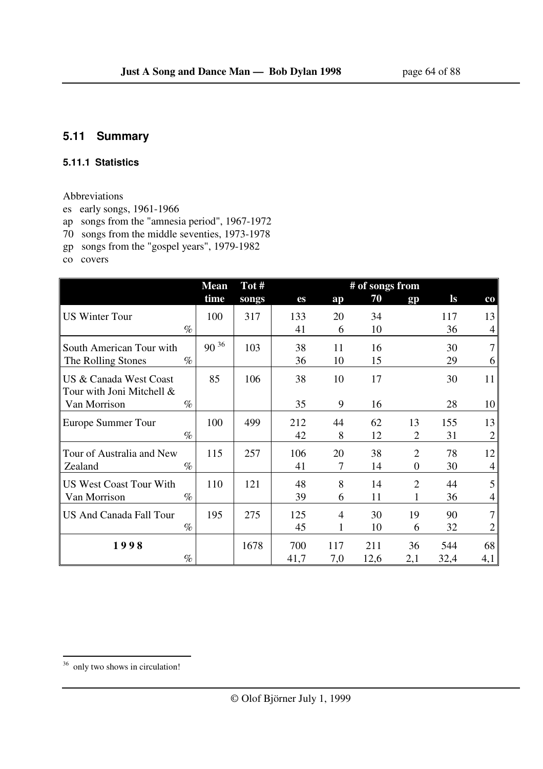## **5.11 Summary**

#### **5.11.1 Statistics**

## Abbreviations

- es early songs, 1961-1966
- ap songs from the "amnesia period", 1967-1972
- 70 songs from the middle seventies, 1973-1978
- gp songs from the "gospel years", 1979-1982

co covers

|                                                     | <b>Mean</b> | Tot#  |      |     | # of songs from |                |       |                |
|-----------------------------------------------------|-------------|-------|------|-----|-----------------|----------------|-------|----------------|
|                                                     | time        | songs | es   | ap  | 70              | gp             | $\lg$ | $_{\rm co}$    |
| <b>US Winter Tour</b>                               | 100         | 317   | 133  | 20  | 34              |                | 117   | 13             |
| $\%$                                                |             |       | 41   | 6   | 10              |                | 36    | 4              |
| South American Tour with                            | $90^{36}$   | 103   | 38   | 11  | 16              |                | 30    | $\overline{7}$ |
| The Rolling Stones<br>$\%$                          |             |       | 36   | 10  | 15              |                | 29    | 6              |
| US & Canada West Coast<br>Tour with Joni Mitchell & | 85          | 106   | 38   | 10  | 17              |                | 30    | 11             |
| $\%$<br>Van Morrison                                |             |       | 35   | 9   | 16              |                | 28    | 10             |
| Europe Summer Tour                                  | 100         | 499   | 212  | 44  | 62              | 13             | 155   | 13             |
| $\%$                                                |             |       | 42   | 8   | 12              | $\overline{2}$ | 31    | $\overline{2}$ |
| Tour of Australia and New                           | 115         | 257   | 106  | 20  | 38              | $\overline{2}$ | 78    | 12             |
| $\%$<br>Zealand                                     |             |       | 41   | 7   | 14              | $\Omega$       | 30    | 4              |
| <b>US West Coast Tour With</b>                      | 110         | 121   | 48   | 8   | 14              | $\overline{2}$ | 44    | 5              |
| $\%$<br>Van Morrison                                |             |       | 39   | 6   | 11              |                | 36    | 4              |
| <b>US And Canada Fall Tour</b>                      | 195         | 275   | 125  | 4   | 30              | 19             | 90    | 7              |
| $\%$                                                |             |       | 45   | 1   | 10              | 6              | 32    | 2              |
| 1998                                                |             | 1678  | 700  | 117 | 211             | 36             | 544   | 68             |
| $\%$                                                |             |       | 41,7 | 7,0 | 12,6            | 2,1            | 32,4  | 4,1            |

<sup>&</sup>lt;sup>36</sup> only two shows in circulation!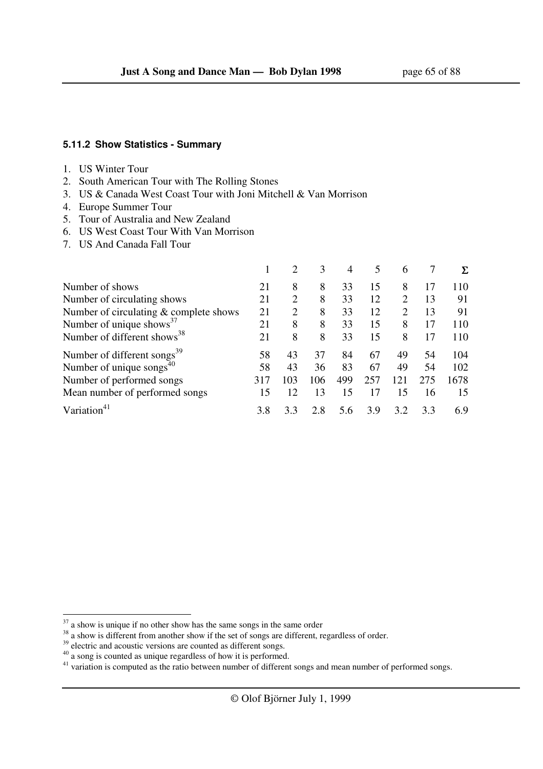#### **5.11.2 Show Statistics - Summary**

#### 1. US Winter Tour

- 2. South American Tour with The Rolling Stones
- 3. US & Canada West Coast Tour with Joni Mitchell & Van Morrison
- 4. Europe Summer Tour
- 5. Tour of Australia and New Zealand
- 6. US West Coast Tour With Van Morrison
- 7. US And Canada Fall Tour

|                                         |     | $\overline{2}$ | 3   | 4   | 5   | 6   |     |      |
|-----------------------------------------|-----|----------------|-----|-----|-----|-----|-----|------|
| Number of shows                         | 21  | 8              | 8   | 33  | 15  | 8   |     | 110  |
| Number of circulating shows             | 21  | $\overline{2}$ | 8   | 33  | 12  | 2   | 13  | 91   |
| Number of circulating & complete shows  | 21  | 2              | 8   | 33  | 12  | 2   | 13  | 91   |
| Number of unique shows <sup>37</sup>    | 21  | 8              | 8   | 33  | 15  | 8   |     | 110  |
| Number of different shows <sup>38</sup> | 21  | 8              | 8   | 33  | 15  | 8   | 17  | 110  |
| Number of different songs <sup>39</sup> | 58  | 43             | 37  | 84  | 67  | 49  | 54  | 104  |
| Number of unique songs $^{40}$          | 58  | 43             | 36  | 83  | 67  | 49  | 54  | 102  |
| Number of performed songs               | 317 | 103            | 106 | 499 | 257 | 121 | 275 | 1678 |
| Mean number of performed songs          | 15  | 12             | 13  | 15  | 17  | 15  | 16  | 15   |
| Variati                                 | 3.8 | 3.3            | 2.8 | 5.6 | 3.9 | 3.2 | 3.3 | 6.9  |

l

 $37$  a show is unique if no other show has the same songs in the same order

<sup>&</sup>lt;sup>38</sup> a show is different from another show if the set of songs are different, regardless of order.

 $39$  electric and acoustic versions are counted as different songs.

 $40$  a song is counted as unique regardless of how it is performed.

 $41$  variation is computed as the ratio between number of different songs and mean number of performed songs.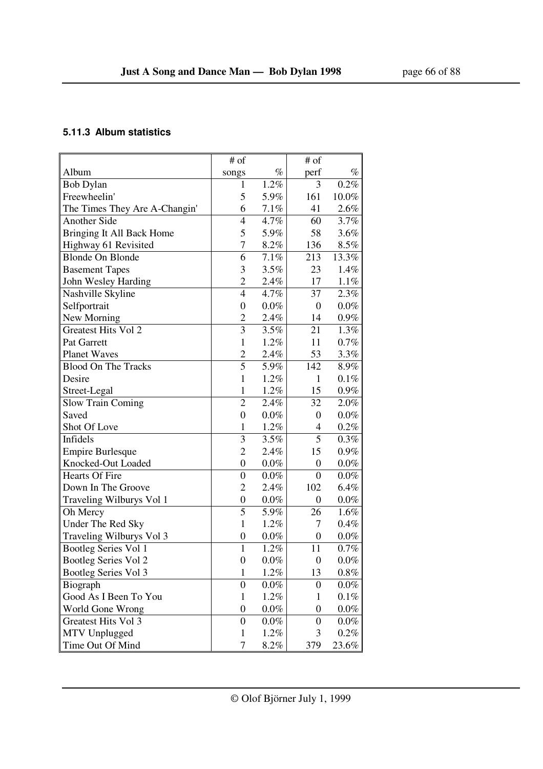## **5.11.3 Album statistics**

|                               | # of             |         | # of             |         |
|-------------------------------|------------------|---------|------------------|---------|
| Album                         | songs            | $\%$    | perf             | $\%$    |
| <b>Bob Dylan</b>              | 1                | 1.2%    | 3                | 0.2%    |
| Freewheelin'                  | 5                | 5.9%    | 161              | 10.0%   |
| The Times They Are A-Changin' | 6                | 7.1%    | 41               | 2.6%    |
| <b>Another Side</b>           | $\overline{4}$   | 4.7%    | 60               | 3.7%    |
| Bringing It All Back Home     | 5                | 5.9%    | 58               | 3.6%    |
| Highway 61 Revisited          | $\overline{7}$   | 8.2%    | 136              | 8.5%    |
| <b>Blonde On Blonde</b>       | 6                | 7.1%    | 213              | 13.3%   |
| <b>Basement Tapes</b>         | 3                | 3.5%    | 23               | 1.4%    |
| John Wesley Harding           | $\overline{2}$   | 2.4%    | 17               | 1.1%    |
| Nashville Skyline             | $\overline{4}$   | 4.7%    | 37               | 2.3%    |
| Selfportrait                  | $\boldsymbol{0}$ | $0.0\%$ | 0                | $0.0\%$ |
| New Morning                   | $\overline{2}$   | 2.4%    | 14               | $0.9\%$ |
| <b>Greatest Hits Vol 2</b>    | 3                | 3.5%    | 21               | 1.3%    |
| Pat Garrett                   | $\mathbf{1}$     | 1.2%    | 11               | 0.7%    |
| <b>Planet Waves</b>           | $\overline{2}$   | 2.4%    | 53               | 3.3%    |
| <b>Blood On The Tracks</b>    | 5                | 5.9%    | 142              | 8.9%    |
| Desire                        | $\mathbf{1}$     | 1.2%    | 1                | 0.1%    |
| Street-Legal                  | $\mathbf{1}$     | 1.2%    | 15               | $0.9\%$ |
| <b>Slow Train Coming</b>      | $\overline{2}$   | 2.4%    | 32               | 2.0%    |
| Saved                         | $\boldsymbol{0}$ | $0.0\%$ | $\boldsymbol{0}$ | $0.0\%$ |
| Shot Of Love                  | $\mathbf{1}$     | 1.2%    | 4                | 0.2%    |
| Infidels                      | 3                | 3.5%    | 5                | 0.3%    |
| <b>Empire Burlesque</b>       | $\overline{2}$   | 2.4%    | 15               | $0.9\%$ |
| Knocked-Out Loaded            | $\boldsymbol{0}$ | $0.0\%$ | $\boldsymbol{0}$ | $0.0\%$ |
| <b>Hearts Of Fire</b>         | $\mathbf{0}$     | $0.0\%$ | $\boldsymbol{0}$ | $0.0\%$ |
| Down In The Groove            | $\overline{2}$   | 2.4%    | 102              | 6.4%    |
| Traveling Wilburys Vol 1      | $\boldsymbol{0}$ | $0.0\%$ | $\boldsymbol{0}$ | $0.0\%$ |
| Oh Mercy                      | 5                | 5.9%    | 26               | 1.6%    |
| Under The Red Sky             | $\mathbf{1}$     | 1.2%    | 7                | 0.4%    |
| Traveling Wilburys Vol 3      | $\boldsymbol{0}$ | $0.0\%$ | $\boldsymbol{0}$ | $0.0\%$ |
| <b>Bootleg Series Vol 1</b>   | $\mathbf{1}$     | 1.2%    | 11               | $0.7\%$ |
| Bootleg Series Vol 2          | $\overline{0}$   | $0.0\%$ | 0                | $0.0\%$ |
| Bootleg Series Vol 3          | $\mathbf{1}$     | 1.2%    | 13               | $0.8\%$ |
| Biograph                      | $\boldsymbol{0}$ | $0.0\%$ | 0                | $0.0\%$ |
| Good As I Been To You         | $\mathbf{1}$     | 1.2%    | 1                | $0.1\%$ |
| World Gone Wrong              | $\boldsymbol{0}$ | $0.0\%$ | $\boldsymbol{0}$ | $0.0\%$ |
| Greatest Hits Vol 3           | $\boldsymbol{0}$ | $0.0\%$ | 0                | $0.0\%$ |
| MTV Unplugged                 | $\mathbf{1}$     | 1.2%    | 3                | 0.2%    |
| Time Out Of Mind              | 7                | 8.2%    | 379              | 23.6%   |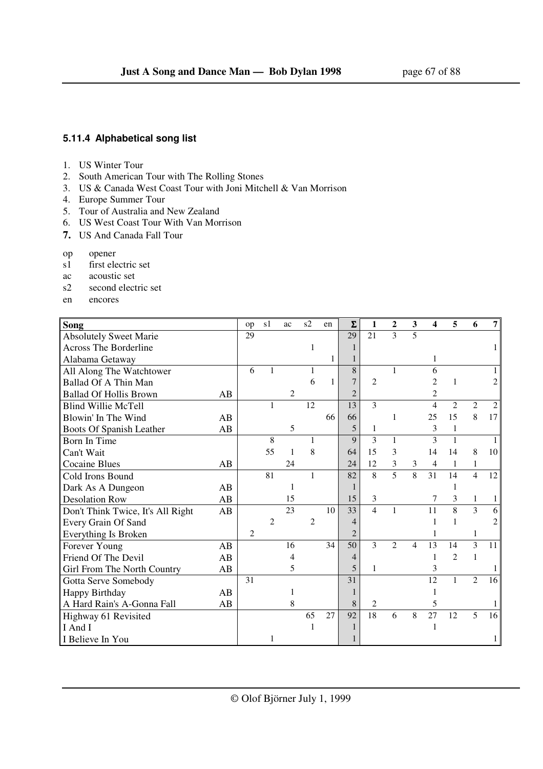## **5.11.4 Alphabetical song list**

- 1. US Winter Tour
- 2. South American Tour with The Rolling Stones
- 3. US & Canada West Coast Tour with Joni Mitchell & Van Morrison
- 4. Europe Summer Tour
- 5. Tour of Australia and New Zealand
- 6. US West Coast Tour With Van Morrison
- **7.** US And Canada Fall Tour
- op opener
- s1 first electric set
- ac acoustic set
- s2 second electric set
- en encores

| Song                              |    | op | s1             | ac | s2             | en | $\Sigma$       | 1                        | $\mathbf{2}$   | 3              | 4              | 5              | 6              | 7                           |
|-----------------------------------|----|----|----------------|----|----------------|----|----------------|--------------------------|----------------|----------------|----------------|----------------|----------------|-----------------------------|
| <b>Absolutely Sweet Marie</b>     |    | 29 |                |    |                |    | 29             | 21                       | 3              | 5              |                |                |                |                             |
| <b>Across The Borderline</b>      |    |    |                |    | 1              |    |                |                          |                |                |                |                |                |                             |
| Alabama Getaway                   |    |    |                |    |                | 1  | 1              |                          |                |                |                |                |                |                             |
| All Along The Watchtower          |    | 6  | 1              |    | 1              |    | 8              |                          | $\mathbf{1}$   |                | 6              |                |                |                             |
| Ballad Of A Thin Man              |    |    |                |    | 6              | 1  | 7              | $\overline{c}$           |                |                | 2              | 1              |                |                             |
| <b>Ballad Of Hollis Brown</b>     | AB |    |                | 2  |                |    | $\overline{2}$ |                          |                |                | $\overline{c}$ |                |                |                             |
| <b>Blind Willie McTell</b>        |    |    | 1              |    | 12             |    | 13             | 3                        |                |                | 4              | $\overline{2}$ | $\mathfrak{2}$ | $\mathcal{D}_{\mathcal{L}}$ |
| Blowin' In The Wind               | AB |    |                |    |                | 66 | 66             |                          | 1              |                | 25             | 15             | 8              | 17                          |
| Boots Of Spanish Leather          | AB |    |                | 5  |                |    | 5              | 1                        |                |                | 3              | 1              |                |                             |
| Born In Time                      |    |    | 8              |    |                |    | $\mathbf Q$    | 3                        | $\mathbf{1}$   |                | 3              | 1              |                |                             |
| Can't Wait                        |    |    | 55             | 1  | 8              |    | 64             | 15                       | 3              |                | 14             | 14             | 8              | 10                          |
| <b>Cocaine Blues</b>              | AB |    |                | 24 |                |    | 24             | 12                       | 3              | 3              | 4              | 1              | $\mathbf{1}$   |                             |
| Cold Irons Bound                  |    |    | 81             |    | 1              |    | 82             | 8                        | 5              | 8              | 31             | 14             | $\overline{4}$ | 12                          |
| Dark As A Dungeon                 | AB |    |                | 1  |                |    |                |                          |                |                |                | 1              |                |                             |
| <b>Desolation Row</b>             | AB |    |                | 15 |                |    | 15             | 3                        |                |                | 7              | 3              | $\mathbf{1}$   |                             |
| Don't Think Twice, It's All Right | AB |    |                | 23 |                | 10 | 33             | $\overline{\mathcal{L}}$ | 1              |                | 11             | 8              | 3              | 6                           |
| Every Grain Of Sand               |    |    | $\overline{c}$ |    | $\overline{2}$ |    | $\overline{4}$ |                          |                |                |                | 1              |                |                             |
| Everything Is Broken              |    | 2  |                |    |                |    | $\overline{2}$ |                          |                |                |                |                | 1              |                             |
| Forever Young                     | AB |    |                | 16 |                | 34 | 50             | $\overline{3}$           | $\overline{2}$ | $\overline{4}$ | 13             | 14             | $\overline{3}$ | 11                          |
| Friend Of The Devil               | AB |    |                | 4  |                |    | 4              |                          |                |                |                | $\mathcal{L}$  | $\mathbf{1}$   |                             |
| Girl From The North Country       | AB |    |                | 5  |                |    | 5              | 1                        |                |                | 3              |                |                |                             |
| Gotta Serve Somebody              |    | 31 |                |    |                |    | 31             |                          |                |                | 12             | 1              | $\overline{c}$ | 16                          |
| Happy Birthday                    | AB |    |                | 1  |                |    |                |                          |                |                |                |                |                |                             |
| A Hard Rain's A-Gonna Fall        | AB |    |                | 8  |                |    | 8              | 2                        |                |                | 5              |                |                |                             |
| Highway 61 Revisited              |    |    |                |    | 65             | 27 | 92             | 18                       | 6              | 8              | 27             | 12             | 5              | 16                          |
| I And I                           |    |    |                |    |                |    |                |                          |                |                |                |                |                |                             |
| I Believe In You                  |    |    |                |    |                |    |                |                          |                |                |                |                |                |                             |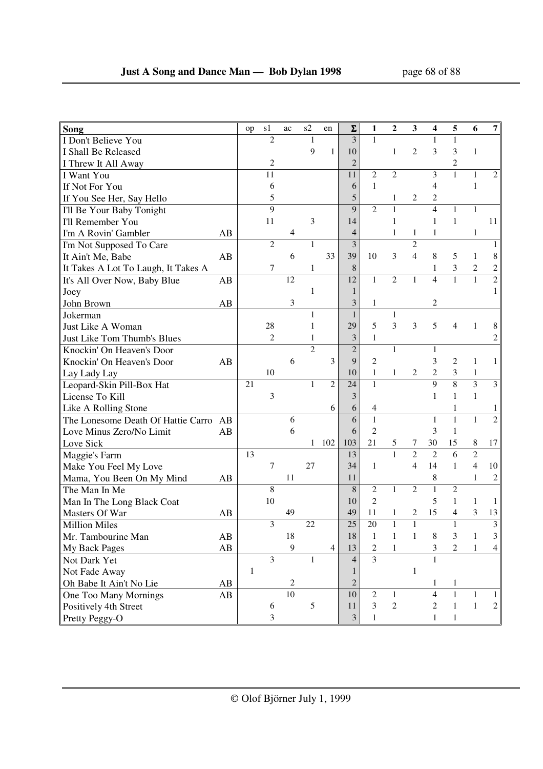| Song                                     |    | op           | s1             | ac         | s2             | en             | $\Sigma$       | 1              | 2              | 3              | 4              | 5              | 6                | 7              |
|------------------------------------------|----|--------------|----------------|------------|----------------|----------------|----------------|----------------|----------------|----------------|----------------|----------------|------------------|----------------|
| I Don't Believe You                      |    |              | $\overline{c}$ |            | $\mathbf{1}$   |                | 3              | $\mathbf{1}$   |                |                | 1              | $\mathbf{1}$   |                  |                |
| I Shall Be Released                      |    |              |                |            | 9              | $\mathbf{1}$   | 10             |                | $\mathbf{1}$   | $\overline{c}$ | 3              | 3              | $\mathbf{1}$     |                |
| I Threw It All Away                      |    |              | 2              |            |                |                | $\overline{2}$ |                |                |                |                | 2              |                  |                |
| I Want You                               |    |              | 11             |            |                |                | 11             | $\mathfrak{2}$ | $\overline{c}$ |                | 3              | $\mathbf{1}$   | $\mathbf{1}$     | $\overline{2}$ |
| If Not For You                           |    |              | 6              |            |                |                | 6              | $\mathbf{1}$   |                |                | 4              |                | 1                |                |
| If You See Her, Say Hello                |    |              | 5              |            |                |                | 5              |                | 1              | 2              | 2              |                |                  |                |
| I'll Be Your Baby Tonight                |    |              | 9              |            |                |                | 9              | $\overline{2}$ | $\mathbf{1}$   |                | $\overline{4}$ | 1              | $\mathbf{1}$     |                |
| I'll Remember You                        |    |              | 11             |            | 3              |                | 14             |                | $\mathbf{1}$   |                | $\mathbf{1}$   | $\mathbf{1}$   |                  | 11             |
| I'm A Rovin' Gambler                     | AB |              |                | 4          |                |                | 4              |                | 1              | 1              | 1              |                | 1                |                |
| I'm Not Supposed To Care                 |    |              | $\overline{2}$ |            | $\mathbf{1}$   |                | $\overline{3}$ |                |                | $\overline{c}$ |                |                |                  | 1              |
| It Ain't Me, Babe<br>AB                  |    |              |                | 6          |                | 33             | 39             | 10             | 3              | $\overline{4}$ | 8              | 5              | 1                | 8              |
| It Takes A Lot To Laugh, It Takes A      |    |              | 7              |            | 1              |                | 8              |                |                |                | 1              | 3              | $\boldsymbol{2}$ | $\mathbf{2}$   |
| It's All Over Now, Baby Blue<br>AB       |    |              |                | 12         |                |                | 12             | 1              | $\overline{2}$ | $\mathbf{1}$   | $\overline{4}$ | $\mathbf{1}$   | $\mathbf{1}$     | $\overline{c}$ |
| Joey                                     |    |              |                |            | 1              |                | 1              |                |                |                |                |                |                  |                |
| John Brown<br>AB                         |    |              |                | 3          |                |                | 3              | 1              |                |                | 2              |                |                  |                |
| Jokerman                                 |    |              |                |            | 1              |                | $\mathbf{1}$   |                | $\mathbf{1}$   |                |                |                |                  |                |
| Just Like A Woman                        |    |              | 28             |            | 1              |                | 29             | 5              | 3              | 3              | 5              | 4              | 1                | 8              |
| Just Like Tom Thumb's Blues              |    |              | $\overline{2}$ |            | 1              |                | 3              | $\mathbf{1}$   |                |                |                |                |                  | $\overline{c}$ |
| Knockin' On Heaven's Door                |    |              |                |            | $\overline{c}$ |                | $\overline{2}$ |                | $\mathbf{1}$   |                | $\mathbf{1}$   |                |                  |                |
| Knockin' On Heaven's Door<br>AB          |    |              |                | 6          |                | 3              | 9              | $\overline{c}$ |                |                | 3              | $\overline{2}$ | 1                | $\mathbf{1}$   |
| Lay Lady Lay                             |    |              | 10             |            |                |                | 10             | $\mathbf{1}$   | 1              | 2              | $\overline{c}$ | 3              | $\mathbf{1}$     |                |
| Leopard-Skin Pill-Box Hat                |    | 21           |                |            | 1              | $\overline{c}$ | 24             | $\mathbf{1}$   |                |                | $\overline{9}$ | $\overline{8}$ | $\overline{3}$   | $\mathfrak{Z}$ |
| License To Kill                          |    |              | 3              |            |                |                | 3              |                |                |                | $\mathbf{1}$   | $\mathbf{1}$   | $\mathbf{1}$     |                |
| Like A Rolling Stone                     |    |              |                |            |                | 6              | 6              | 4              |                |                |                | 1              |                  | 1              |
| The Lonesome Death Of Hattie Carro<br>AB |    |              |                | 6          |                |                | 6              | $\mathbf{1}$   |                |                | 1              | $\mathbf{1}$   | $\mathbf{1}$     | $\overline{c}$ |
| Love Minus Zero/No Limit                 | AB |              |                | 6          |                |                | 6              | $\overline{2}$ |                |                | 3              | $\mathbf{1}$   |                  |                |
| Love Sick                                |    |              |                |            | 1              | 102            | 103            | 21             | 5              | 7              | 30             | 15             | $\,8\,$          | 17             |
| Maggie's Farm                            |    | 13           |                |            |                |                | 13             |                | $\mathbf{1}$   | $\overline{2}$ | $\overline{2}$ | 6              | $\overline{c}$   |                |
| Make You Feel My Love                    |    |              | 7              |            | 27             |                | 34             | 1              |                | $\overline{4}$ | 14             | $\mathbf{1}$   | $\overline{4}$   | 10             |
| Mama, You Been On My Mind                | AB |              |                | 11         |                |                | 11             |                |                |                | 8              |                | $\mathbf{1}$     | 2              |
| The Man In Me                            |    |              | $\,8\,$        |            |                |                | 8              | $\overline{2}$ | $\mathbf 1$    | $\mathfrak{2}$ | $\mathbf{1}$   | $\overline{c}$ |                  |                |
| Man In The Long Black Coat               |    |              | 10             |            |                |                | 10             | $\overline{2}$ |                |                | 5              | 1              | 1                | 1              |
| Masters Of War                           | AB |              |                | 49         |                |                | 49             | 11             | 1              | 2              | 15             | 4              | 3                | 13             |
| <b>Million Miles</b>                     |    |              | 3              |            | 22             |                | 25             | 20             | $\mathbf{1}$   | $\mathbf{1}$   |                | $\mathbf{1}$   |                  | 3              |
| Mr. Tambourine Man                       | AB |              |                | 18         |                |                | 18             | $\mathbf{1}$   | $\,1\,$        | $\mathbf{1}$   | 8              | 3              | $\mathbf{1}$     | 3              |
| My Back Pages                            | AB |              |                | 9          |                | $\overline{4}$ | 13             | $\overline{c}$ | $\mathbf{1}$   |                | 3              | 2              | $\mathbf{1}$     | 4              |
| Not Dark Yet                             |    |              | $\overline{3}$ |            | 1              |                | $\overline{4}$ | $\overline{3}$ |                |                |                |                |                  |                |
| Not Fade Away                            |    | $\mathbf{1}$ |                |            |                |                |                |                |                | $\mathbf{1}$   |                |                |                  |                |
| Oh Babe It Ain't No Lie                  | AB |              |                | $\sqrt{2}$ |                |                | $\overline{2}$ |                |                |                | 1              | 1              |                  |                |
| One Too Many Mornings                    | AB |              |                | 10         |                |                | 10             | $\overline{2}$ | $\mathbf{1}$   |                | $\overline{4}$ | $\mathbf{1}$   | 1                |                |
| Positively 4th Street                    |    |              | 6              |            | 5              |                | 11             | 3              | $\overline{c}$ |                | $\overline{c}$ | $\mathbf{1}$   | $\mathbf{1}$     | $\overline{c}$ |
| Pretty Peggy-O                           |    |              | 3              |            |                |                | 3              | 1              |                |                | $\mathbf{1}$   | $\mathbf{1}$   |                  |                |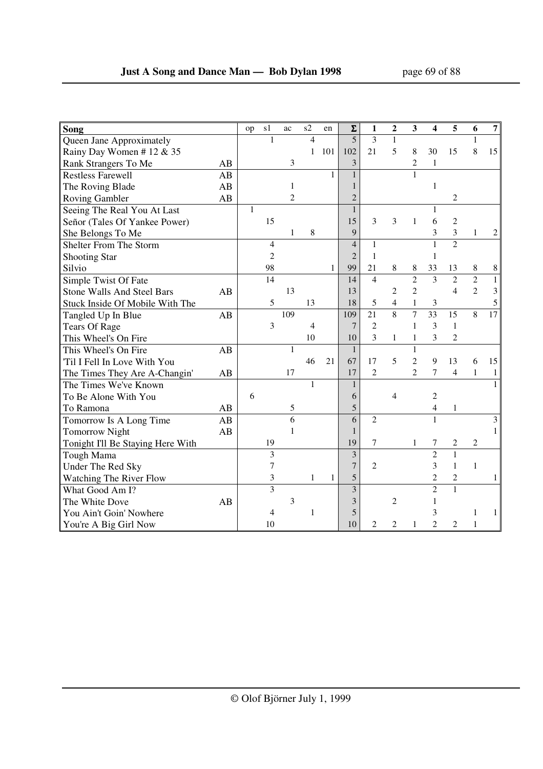| $\overline{\mathbf{S}}$ ong       |    | op           | s1             | ac             | s2           | en           | $\Sigma$       | 1              | 2                | 3              | $\overline{\mathbf{4}}$ | 5              | 6              | 7            |
|-----------------------------------|----|--------------|----------------|----------------|--------------|--------------|----------------|----------------|------------------|----------------|-------------------------|----------------|----------------|--------------|
| Queen Jane Approximately          |    |              | 1              |                | 4            |              | 5              | $\overline{3}$ | $\mathbf{1}$     |                |                         |                | 1              |              |
| Rainy Day Women #12 & 35          |    |              |                |                | $\mathbf{1}$ | 101          | 102            | 21             | 5                | 8              | 30                      | 15             | $\,8\,$        | 15           |
| Rank Strangers To Me              | AB |              |                | 3              |              |              | 3              |                |                  | 2              | $\mathbf{1}$            |                |                |              |
| <b>Restless Farewell</b>          | AB |              |                |                |              | 1            | $\mathbf{1}$   |                |                  |                |                         |                |                |              |
| The Roving Blade                  | AB |              |                | 1              |              |              |                |                |                  |                | $\mathbf{1}$            |                |                |              |
| Roving Gambler                    | AB |              |                | $\overline{c}$ |              |              | $\overline{2}$ |                |                  |                |                         | 2              |                |              |
| Seeing The Real You At Last       |    | $\mathbf{1}$ |                |                |              |              | $\mathbf{1}$   |                |                  |                | 1                       |                |                |              |
| Señor (Tales Of Yankee Power)     |    |              | 15             |                |              |              | 15             | 3              | 3                | $\mathbf{1}$   | 6                       | $\mathfrak{2}$ |                |              |
| She Belongs To Me                 |    |              |                | 1              | 8            |              | 9              |                |                  |                | 3                       | 3              | 1              | 2            |
| Shelter From The Storm            |    |              | $\overline{4}$ |                |              |              | $\overline{4}$ | 1              |                  |                | 1                       | $\overline{2}$ |                |              |
| <b>Shooting Star</b>              |    |              | $\overline{2}$ |                |              |              | $\overline{2}$ | 1              |                  |                | $\mathbf{1}$            |                |                |              |
| Silvio                            |    |              | 98             |                |              | $\mathbf{1}$ | 99             | 21             | 8                | 8              | 33                      | 13             | 8              | 8            |
| Simple Twist Of Fate              |    |              | 14             |                |              |              | 14             | $\overline{4}$ |                  | $\overline{2}$ | $\overline{3}$          | $\overline{2}$ | $\overline{2}$ | $\mathbf{1}$ |
| <b>Stone Walls And Steel Bars</b> | AB |              |                | 13             |              |              | 13             |                | $\boldsymbol{2}$ | $\overline{c}$ |                         | $\overline{4}$ | $\overline{2}$ | 3            |
| Stuck Inside Of Mobile With The   |    |              | 5              |                | 13           |              | 18             | 5              | $\overline{4}$   | $\mathbf{1}$   | 3                       |                |                | 5            |
| Tangled Up In Blue                | AB |              |                | 109            |              |              | 109            | 21             | $\overline{8}$   | $\overline{7}$ | $\overline{33}$         | 15             | 8              | 17           |
| <b>Tears Of Rage</b>              |    |              | 3              |                | 4            |              | $\overline{7}$ | $\overline{c}$ |                  | $\mathbf{1}$   | 3                       | $\mathbf{1}$   |                |              |
| This Wheel's On Fire              |    |              |                |                | 10           |              | 10             | 3              | $\mathbf{1}$     | 1              | 3                       | $\overline{2}$ |                |              |
| This Wheel's On Fire              | AB |              |                | 1              |              |              | $\mathbf{1}$   |                |                  | $\mathbf{1}$   |                         |                |                |              |
| Til I Fell In Love With You       |    |              |                |                | 46           | 21           | 67             | 17             | 5                | $\overline{c}$ | 9                       | 13             | 6              | 15           |
| The Times They Are A-Changin'     | AB |              |                | 17             |              |              | 17             | $\overline{c}$ |                  | $\overline{c}$ | $\tau$                  | 4              | 1              | 1            |
| The Times We've Known             |    |              |                |                | $\mathbf{1}$ |              | $\mathbf{1}$   |                |                  |                |                         |                |                |              |
| To Be Alone With You              |    | 6            |                |                |              |              | 6              |                | 4                |                | $\overline{2}$          |                |                |              |
| To Ramona                         | AB |              |                | 5              |              |              | 5              |                |                  |                | 4                       | 1              |                |              |
| Tomorrow Is A Long Time           | AB |              |                | 6              |              |              | 6              | $\overline{2}$ |                  |                | $\mathbf{1}$            |                |                | 3            |
| <b>Tomorrow Night</b>             | AB |              |                | $\mathbf{1}$   |              |              | $\mathbf{1}$   |                |                  |                |                         |                |                |              |
| Tonight I'll Be Staying Here With |    |              | 19             |                |              |              | 19             | 7              |                  | 1              | 7                       | 2              | $\overline{c}$ |              |
| Tough Mama                        |    |              | 3              |                |              |              | 3              |                |                  |                | $\overline{2}$          | $\mathbf{1}$   |                |              |
| Under The Red Sky                 |    |              | $\tau$         |                |              |              | $\overline{7}$ | $\overline{c}$ |                  |                | 3                       | $\mathbf{1}$   | $\mathbf{1}$   |              |
| Watching The River Flow           |    |              | 3              |                | 1            | 1            | 5              |                |                  |                | $\overline{c}$          | 2              |                | 1            |
| What Good Am I?                   |    |              | 3              |                |              |              | $\overline{3}$ |                |                  |                | $\overline{2}$          | $\mathbf{1}$   |                |              |
| The White Dove                    | AB |              |                | 3              |              |              | 3              |                | $\overline{c}$   |                | $\mathbf{1}$            |                |                |              |
| You Ain't Goin' Nowhere           |    |              | 4              |                | 1            |              | 5              |                |                  |                | 3                       |                | 1              | 1            |
| You're A Big Girl Now             |    |              | 10             |                |              |              | 10             | 2              | $\overline{c}$   | 1              | $\mathfrak{D}$          | $\overline{c}$ | 1              |              |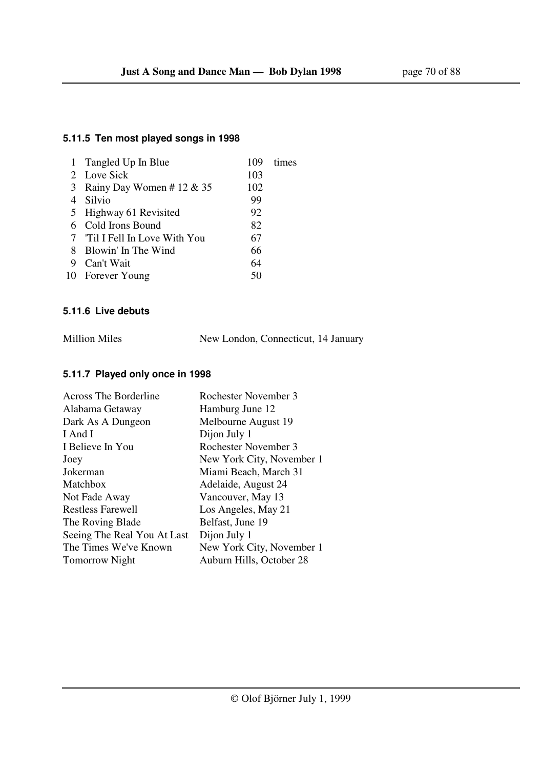## **5.11.5 Ten most played songs in 1998**

|   | 1 Tangled Up In Blue          | 109 | times |
|---|-------------------------------|-----|-------|
|   | 2 Love Sick                   | 103 |       |
| 3 | Rainy Day Women # 12 & 35     | 102 |       |
|   | 4 Silvio                      | 99  |       |
|   | 5 Highway 61 Revisited        | 92  |       |
|   | 6 Cold Irons Bound            | 82  |       |
|   | 7 Til I Fell In Love With You | 67  |       |
|   | 8 Blowin' In The Wind         | 66  |       |
| 9 | Can't Wait                    | 64  |       |
|   | 10 Forever Young              | 50  |       |
|   |                               |     |       |

## **5.11.6 Live debuts**

| <b>Million Miles</b> | New London, Connecticut, 14 January |  |
|----------------------|-------------------------------------|--|
|                      |                                     |  |

## **5.11.7 Played only once in 1998**

| Across The Borderline       | Rochester November 3      |
|-----------------------------|---------------------------|
| Alabama Getaway             | Hamburg June 12           |
| Dark As A Dungeon           | Melbourne August 19       |
| I And I                     | Dijon July 1              |
| I Believe In You            | Rochester November 3      |
| Joey                        | New York City, November 1 |
| Jokerman                    | Miami Beach, March 31     |
| Matchbox                    | Adelaide, August 24       |
| Not Fade Away               | Vancouver, May 13         |
| <b>Restless Farewell</b>    | Los Angeles, May 21       |
| The Roving Blade            | Belfast, June 19          |
| Seeing The Real You At Last | Dijon July 1              |
| The Times We've Known       | New York City, November 1 |
| <b>Tomorrow</b> Night       | Auburn Hills, October 28  |
|                             |                           |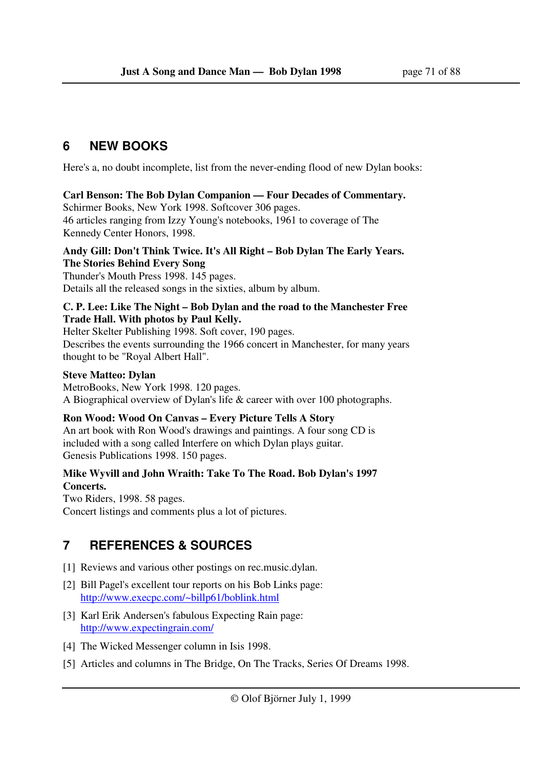# **6 NEW BOOKS**

Here's a, no doubt incomplete, list from the never-ending flood of new Dylan books:

## **Carl Benson: The Bob Dylan Companion — Four Decades of Commentary.**

Schirmer Books, New York 1998. Softcover 306 pages.

46 articles ranging from Izzy Young's notebooks, 1961 to coverage of The Kennedy Center Honors, 1998.

### **Andy Gill: Don't Think Twice. It's All Right – Bob Dylan The Early Years. The Stories Behind Every Song**

Thunder's Mouth Press 1998. 145 pages. Details all the released songs in the sixties, album by album.

## **C. P. Lee: Like The Night – Bob Dylan and the road to the Manchester Free Trade Hall. With photos by Paul Kelly.**

Helter Skelter Publishing 1998. Soft cover, 190 pages. Describes the events surrounding the 1966 concert in Manchester, for many years thought to be "Royal Albert Hall".

## **Steve Matteo: Dylan**

MetroBooks, New York 1998. 120 pages. A Biographical overview of Dylan's life & career with over 100 photographs.

## **Ron Wood: Wood On Canvas – Every Picture Tells A Story**

An art book with Ron Wood's drawings and paintings. A four song CD is included with a song called Interfere on which Dylan plays guitar. Genesis Publications 1998. 150 pages.

## **Mike Wyvill and John Wraith: Take To The Road. Bob Dylan's 1997 Concerts.**

Two Riders, 1998. 58 pages. Concert listings and comments plus a lot of pictures.

# **7 REFERENCES & SOURCES**

- [1] Reviews and various other postings on rec.music.dylan.
- [2] Bill Pagel's excellent tour reports on his Bob Links page: http://www.execpc.com/~billp61/boblink.html
- [3] Karl Erik Andersen's fabulous Expecting Rain page: http://www.expectingrain.com/
- [4] The Wicked Messenger column in Isis 1998.
- [5] Articles and columns in The Bridge, On The Tracks, Series Of Dreams 1998.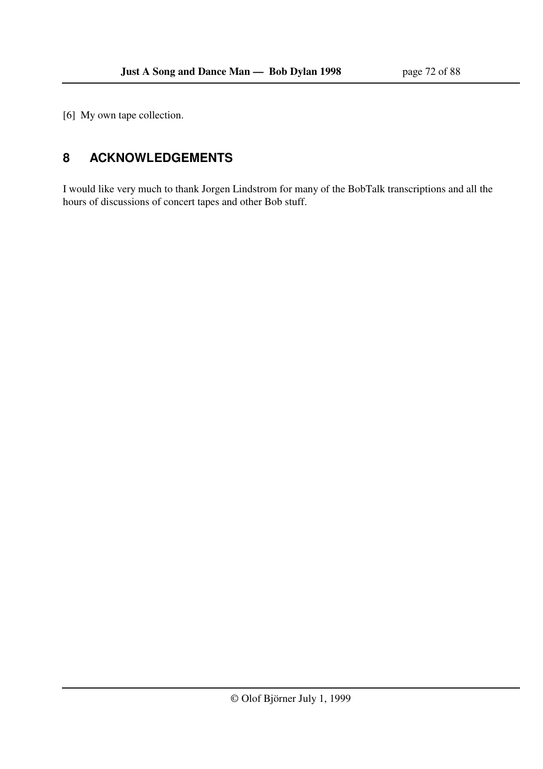[6] My own tape collection.

# **8 ACKNOWLEDGEMENTS**

I would like very much to thank Jorgen Lindstrom for many of the BobTalk transcriptions and all the hours of discussions of concert tapes and other Bob stuff.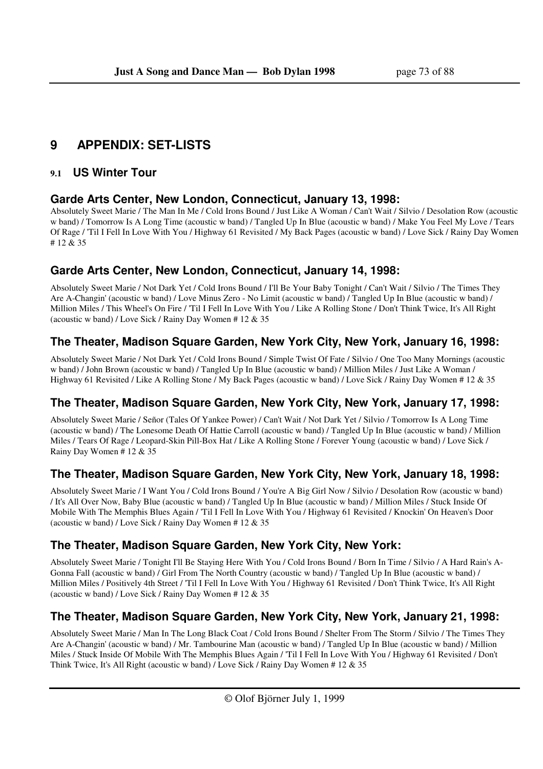# **9 APPENDIX: SET-LISTS**

#### **9.1 US Winter Tour**

#### **Garde Arts Center, New London, Connecticut, January 13, 1998:**

Absolutely Sweet Marie / The Man In Me / Cold Irons Bound / Just Like A Woman / Can't Wait / Silvio / Desolation Row (acoustic w band) / Tomorrow Is A Long Time (acoustic w band) / Tangled Up In Blue (acoustic w band) / Make You Feel My Love / Tears Of Rage / 'Til I Fell In Love With You / Highway 61 Revisited / My Back Pages (acoustic w band) / Love Sick / Rainy Day Women # 12 & 35

# **Garde Arts Center, New London, Connecticut, January 14, 1998:**

Absolutely Sweet Marie / Not Dark Yet / Cold Irons Bound / I'll Be Your Baby Tonight / Can't Wait / Silvio / The Times They Are A-Changin' (acoustic w band) / Love Minus Zero - No Limit (acoustic w band) / Tangled Up In Blue (acoustic w band) / Million Miles / This Wheel's On Fire / 'Til I Fell In Love With You / Like A Rolling Stone / Don't Think Twice, It's All Right (acoustic w band) / Love Sick / Rainy Day Women # 12 & 35

### **The Theater, Madison Square Garden, New York City, New York, January 16, 1998:**

Absolutely Sweet Marie / Not Dark Yet / Cold Irons Bound / Simple Twist Of Fate / Silvio / One Too Many Mornings (acoustic w band) / John Brown (acoustic w band) / Tangled Up In Blue (acoustic w band) / Million Miles / Just Like A Woman / Highway 61 Revisited / Like A Rolling Stone / My Back Pages (acoustic w band) / Love Sick / Rainy Day Women # 12 & 35

# **The Theater, Madison Square Garden, New York City, New York, January 17, 1998:**

Absolutely Sweet Marie / Señor (Tales Of Yankee Power) / Can't Wait / Not Dark Yet / Silvio / Tomorrow Is A Long Time (acoustic w band) / The Lonesome Death Of Hattie Carroll (acoustic w band) / Tangled Up In Blue (acoustic w band) / Million Miles / Tears Of Rage / Leopard-Skin Pill-Box Hat / Like A Rolling Stone / Forever Young (acoustic w band) / Love Sick / Rainy Day Women # 12 & 35

# **The Theater, Madison Square Garden, New York City, New York, January 18, 1998:**

Absolutely Sweet Marie / I Want You / Cold Irons Bound / You're A Big Girl Now / Silvio / Desolation Row (acoustic w band) / It's All Over Now, Baby Blue (acoustic w band) / Tangled Up In Blue (acoustic w band) / Million Miles / Stuck Inside Of Mobile With The Memphis Blues Again / 'Til I Fell In Love With You / Highway 61 Revisited / Knockin' On Heaven's Door (acoustic w band) / Love Sick / Rainy Day Women  $# 12 \& 35$ 

# **The Theater, Madison Square Garden, New York City, New York:**

Absolutely Sweet Marie / Tonight I'll Be Staying Here With You / Cold Irons Bound / Born In Time / Silvio / A Hard Rain's A-Gonna Fall (acoustic w band) / Girl From The North Country (acoustic w band) / Tangled Up In Blue (acoustic w band) / Million Miles / Positively 4th Street / 'Til I Fell In Love With You / Highway 61 Revisited / Don't Think Twice, It's All Right (acoustic w band) / Love Sick / Rainy Day Women # 12 & 35

# **The Theater, Madison Square Garden, New York City, New York, January 21, 1998:**

Absolutely Sweet Marie / Man In The Long Black Coat / Cold Irons Bound / Shelter From The Storm / Silvio / The Times They Are A-Changin' (acoustic w band) / Mr. Tambourine Man (acoustic w band) / Tangled Up In Blue (acoustic w band) / Million Miles / Stuck Inside Of Mobile With The Memphis Blues Again / 'Til I Fell In Love With You / Highway 61 Revisited / Don't Think Twice, It's All Right (acoustic w band) / Love Sick / Rainy Day Women # 12 & 35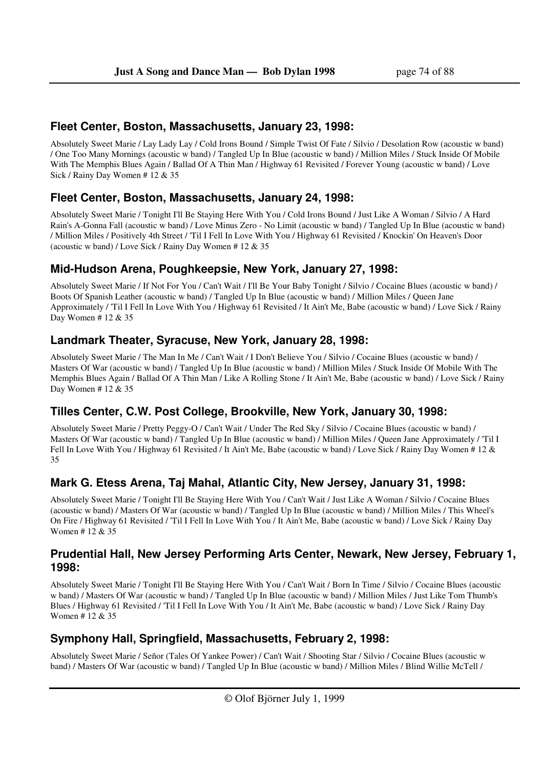#### **Fleet Center, Boston, Massachusetts, January 23, 1998:**

Absolutely Sweet Marie / Lay Lady Lay / Cold Irons Bound / Simple Twist Of Fate / Silvio / Desolation Row (acoustic w band) / One Too Many Mornings (acoustic w band) / Tangled Up In Blue (acoustic w band) / Million Miles / Stuck Inside Of Mobile With The Memphis Blues Again / Ballad Of A Thin Man / Highway 61 Revisited / Forever Young (acoustic w band) / Love Sick / Rainy Day Women # 12 & 35

#### **Fleet Center, Boston, Massachusetts, January 24, 1998:**

Absolutely Sweet Marie / Tonight I'll Be Staying Here With You / Cold Irons Bound / Just Like A Woman / Silvio / A Hard Rain's A-Gonna Fall (acoustic w band) / Love Minus Zero - No Limit (acoustic w band) / Tangled Up In Blue (acoustic w band) / Million Miles / Positively 4th Street / 'Til I Fell In Love With You / Highway 61 Revisited / Knockin' On Heaven's Door (acoustic w band) / Love Sick / Rainy Day Women # 12 & 35

#### **Mid-Hudson Arena, Poughkeepsie, New York, January 27, 1998:**

Absolutely Sweet Marie / If Not For You / Can't Wait / I'll Be Your Baby Tonight / Silvio / Cocaine Blues (acoustic w band) / Boots Of Spanish Leather (acoustic w band) / Tangled Up In Blue (acoustic w band) / Million Miles / Queen Jane Approximately / 'Til I Fell In Love With You / Highway 61 Revisited / It Ain't Me, Babe (acoustic w band) / Love Sick / Rainy Day Women # 12 & 35

#### **Landmark Theater, Syracuse, New York, January 28, 1998:**

Absolutely Sweet Marie / The Man In Me / Can't Wait / I Don't Believe You / Silvio / Cocaine Blues (acoustic w band) / Masters Of War (acoustic w band) / Tangled Up In Blue (acoustic w band) / Million Miles / Stuck Inside Of Mobile With The Memphis Blues Again / Ballad Of A Thin Man / Like A Rolling Stone / It Ain't Me, Babe (acoustic w band) / Love Sick / Rainy Day Women # 12 & 35

### **Tilles Center, C.W. Post College, Brookville, New York, January 30, 1998:**

Absolutely Sweet Marie / Pretty Peggy-O / Can't Wait / Under The Red Sky / Silvio / Cocaine Blues (acoustic w band) / Masters Of War (acoustic w band) / Tangled Up In Blue (acoustic w band) / Million Miles / Queen Jane Approximately / 'Til I Fell In Love With You / Highway 61 Revisited / It Ain't Me, Babe (acoustic w band) / Love Sick / Rainy Day Women # 12 & 35

### **Mark G. Etess Arena, Taj Mahal, Atlantic City, New Jersey, January 31, 1998:**

Absolutely Sweet Marie / Tonight I'll Be Staying Here With You / Can't Wait / Just Like A Woman / Silvio / Cocaine Blues (acoustic w band) / Masters Of War (acoustic w band) / Tangled Up In Blue (acoustic w band) / Million Miles / This Wheel's On Fire / Highway 61 Revisited / 'Til I Fell In Love With You / It Ain't Me, Babe (acoustic w band) / Love Sick / Rainy Day Women # 12 & 35

#### **Prudential Hall, New Jersey Performing Arts Center, Newark, New Jersey, February 1, 1998:**

Absolutely Sweet Marie / Tonight I'll Be Staying Here With You / Can't Wait / Born In Time / Silvio / Cocaine Blues (acoustic w band) / Masters Of War (acoustic w band) / Tangled Up In Blue (acoustic w band) / Million Miles / Just Like Tom Thumb's Blues / Highway 61 Revisited / 'Til I Fell In Love With You / It Ain't Me, Babe (acoustic w band) / Love Sick / Rainy Day Women # 12 & 35

### **Symphony Hall, Springfield, Massachusetts, February 2, 1998:**

Absolutely Sweet Marie / Señor (Tales Of Yankee Power) / Can't Wait / Shooting Star / Silvio / Cocaine Blues (acoustic w band) / Masters Of War (acoustic w band) / Tangled Up In Blue (acoustic w band) / Million Miles / Blind Willie McTell /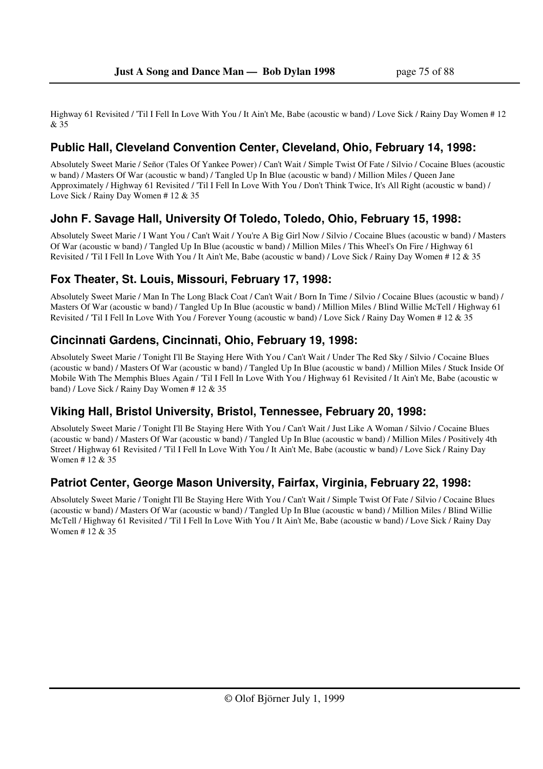Highway 61 Revisited / 'Til I Fell In Love With You / It Ain't Me, Babe (acoustic w band) / Love Sick / Rainy Day Women # 12 & 35

### **Public Hall, Cleveland Convention Center, Cleveland, Ohio, February 14, 1998:**

Absolutely Sweet Marie / Señor (Tales Of Yankee Power) / Can't Wait / Simple Twist Of Fate / Silvio / Cocaine Blues (acoustic w band) / Masters Of War (acoustic w band) / Tangled Up In Blue (acoustic w band) / Million Miles / Queen Jane Approximately / Highway 61 Revisited / 'Til I Fell In Love With You / Don't Think Twice, It's All Right (acoustic w band) / Love Sick / Rainy Day Women # 12 & 35

### **John F. Savage Hall, University Of Toledo, Toledo, Ohio, February 15, 1998:**

Absolutely Sweet Marie / I Want You / Can't Wait / You're A Big Girl Now / Silvio / Cocaine Blues (acoustic w band) / Masters Of War (acoustic w band) / Tangled Up In Blue (acoustic w band) / Million Miles / This Wheel's On Fire / Highway 61 Revisited / 'Til I Fell In Love With You / It Ain't Me, Babe (acoustic w band) / Love Sick / Rainy Day Women # 12 & 35

### **Fox Theater, St. Louis, Missouri, February 17, 1998:**

Absolutely Sweet Marie / Man In The Long Black Coat / Can't Wait / Born In Time / Silvio / Cocaine Blues (acoustic w band) / Masters Of War (acoustic w band) / Tangled Up In Blue (acoustic w band) / Million Miles / Blind Willie McTell / Highway 61 Revisited / 'Til I Fell In Love With You / Forever Young (acoustic w band) / Love Sick / Rainy Day Women # 12 & 35

### **Cincinnati Gardens, Cincinnati, Ohio, February 19, 1998:**

Absolutely Sweet Marie / Tonight I'll Be Staying Here With You / Can't Wait / Under The Red Sky / Silvio / Cocaine Blues (acoustic w band) / Masters Of War (acoustic w band) / Tangled Up In Blue (acoustic w band) / Million Miles / Stuck Inside Of Mobile With The Memphis Blues Again / 'Til I Fell In Love With You / Highway 61 Revisited / It Ain't Me, Babe (acoustic w band) / Love Sick / Rainy Day Women # 12 & 35

### **Viking Hall, Bristol University, Bristol, Tennessee, February 20, 1998:**

Absolutely Sweet Marie / Tonight I'll Be Staying Here With You / Can't Wait / Just Like A Woman / Silvio / Cocaine Blues (acoustic w band) / Masters Of War (acoustic w band) / Tangled Up In Blue (acoustic w band) / Million Miles / Positively 4th Street / Highway 61 Revisited / 'Til I Fell In Love With You / It Ain't Me, Babe (acoustic w band) / Love Sick / Rainy Day Women # 12 & 35

### **Patriot Center, George Mason University, Fairfax, Virginia, February 22, 1998:**

Absolutely Sweet Marie / Tonight I'll Be Staying Here With You / Can't Wait / Simple Twist Of Fate / Silvio / Cocaine Blues (acoustic w band) / Masters Of War (acoustic w band) / Tangled Up In Blue (acoustic w band) / Million Miles / Blind Willie McTell / Highway 61 Revisited / 'Til I Fell In Love With You / It Ain't Me, Babe (acoustic w band) / Love Sick / Rainy Day Women # 12 & 35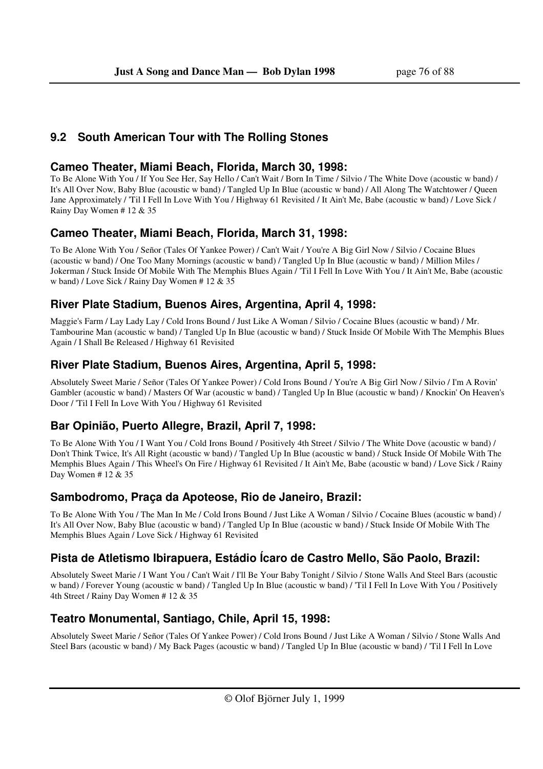### **9.2 South American Tour with The Rolling Stones**

#### **Cameo Theater, Miami Beach, Florida, March 30, 1998:**

To Be Alone With You / If You See Her, Say Hello / Can't Wait / Born In Time / Silvio / The White Dove (acoustic w band) / It's All Over Now, Baby Blue (acoustic w band) / Tangled Up In Blue (acoustic w band) / All Along The Watchtower / Queen Jane Approximately / 'Til I Fell In Love With You / Highway 61 Revisited / It Ain't Me, Babe (acoustic w band) / Love Sick / Rainy Day Women # 12 & 35

### **Cameo Theater, Miami Beach, Florida, March 31, 1998:**

To Be Alone With You / Señor (Tales Of Yankee Power) / Can't Wait / You're A Big Girl Now / Silvio / Cocaine Blues (acoustic w band) / One Too Many Mornings (acoustic w band) / Tangled Up In Blue (acoustic w band) / Million Miles / Jokerman / Stuck Inside Of Mobile With The Memphis Blues Again / 'Til I Fell In Love With You / It Ain't Me, Babe (acoustic w band) / Love Sick / Rainy Day Women # 12 & 35

### **River Plate Stadium, Buenos Aires, Argentina, April 4, 1998:**

Maggie's Farm / Lay Lady Lay / Cold Irons Bound / Just Like A Woman / Silvio / Cocaine Blues (acoustic w band) / Mr. Tambourine Man (acoustic w band) / Tangled Up In Blue (acoustic w band) / Stuck Inside Of Mobile With The Memphis Blues Again / I Shall Be Released / Highway 61 Revisited

### **River Plate Stadium, Buenos Aires, Argentina, April 5, 1998:**

Absolutely Sweet Marie / Señor (Tales Of Yankee Power) / Cold Irons Bound / You're A Big Girl Now / Silvio / I'm A Rovin' Gambler (acoustic w band) / Masters Of War (acoustic w band) / Tangled Up In Blue (acoustic w band) / Knockin' On Heaven's Door / 'Til I Fell In Love With You / Highway 61 Revisited

# **Bar Opinião, Puerto Allegre, Brazil, April 7, 1998:**

To Be Alone With You / I Want You / Cold Irons Bound / Positively 4th Street / Silvio / The White Dove (acoustic w band) / Don't Think Twice, It's All Right (acoustic w band) / Tangled Up In Blue (acoustic w band) / Stuck Inside Of Mobile With The Memphis Blues Again / This Wheel's On Fire / Highway 61 Revisited / It Ain't Me, Babe (acoustic w band) / Love Sick / Rainy Day Women # 12 & 35

# **Sambodromo, Praça da Apoteose, Rio de Janeiro, Brazil:**

To Be Alone With You / The Man In Me / Cold Irons Bound / Just Like A Woman / Silvio / Cocaine Blues (acoustic w band) / It's All Over Now, Baby Blue (acoustic w band) / Tangled Up In Blue (acoustic w band) / Stuck Inside Of Mobile With The Memphis Blues Again / Love Sick / Highway 61 Revisited

# **Pista de Atletismo Ibirapuera, Estádio Ícaro de Castro Mello, São Paolo, Brazil:**

Absolutely Sweet Marie / I Want You / Can't Wait / I'll Be Your Baby Tonight / Silvio / Stone Walls And Steel Bars (acoustic w band) / Forever Young (acoustic w band) / Tangled Up In Blue (acoustic w band) / 'Til I Fell In Love With You / Positively 4th Street / Rainy Day Women # 12 & 35

# **Teatro Monumental, Santiago, Chile, April 15, 1998:**

Absolutely Sweet Marie / Señor (Tales Of Yankee Power) / Cold Irons Bound / Just Like A Woman / Silvio / Stone Walls And Steel Bars (acoustic w band) / My Back Pages (acoustic w band) / Tangled Up In Blue (acoustic w band) / 'Til I Fell In Love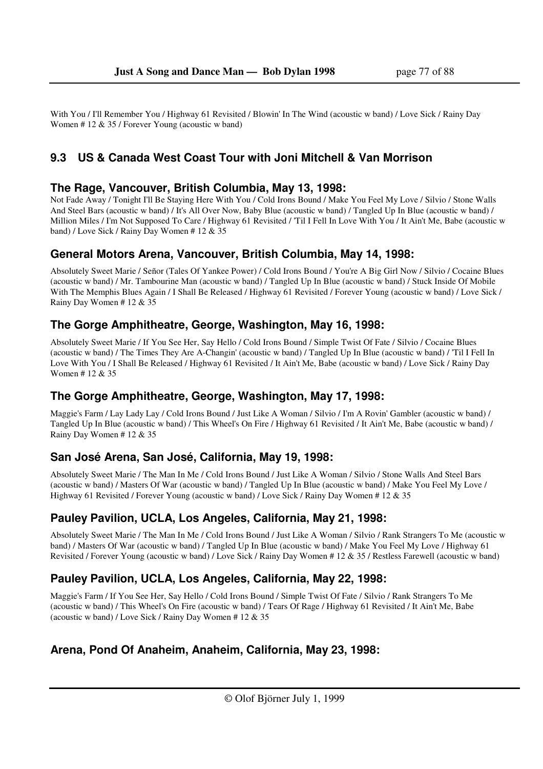With You / I'll Remember You / Highway 61 Revisited / Blowin' In The Wind (acoustic w band) / Love Sick / Rainy Day Women # 12 & 35 / Forever Young (acoustic w band)

### **9.3 US & Canada West Coast Tour with Joni Mitchell & Van Morrison**

#### **The Rage, Vancouver, British Columbia, May 13, 1998:**

Not Fade Away / Tonight I'll Be Staying Here With You / Cold Irons Bound / Make You Feel My Love / Silvio / Stone Walls And Steel Bars (acoustic w band) / It's All Over Now, Baby Blue (acoustic w band) / Tangled Up In Blue (acoustic w band) / Million Miles / I'm Not Supposed To Care / Highway 61 Revisited / 'Til I Fell In Love With You / It Ain't Me, Babe (acoustic w band) / Love Sick / Rainy Day Women # 12 & 35

### **General Motors Arena, Vancouver, British Columbia, May 14, 1998:**

Absolutely Sweet Marie / Señor (Tales Of Yankee Power) / Cold Irons Bound / You're A Big Girl Now / Silvio / Cocaine Blues (acoustic w band) / Mr. Tambourine Man (acoustic w band) / Tangled Up In Blue (acoustic w band) / Stuck Inside Of Mobile With The Memphis Blues Again / I Shall Be Released / Highway 61 Revisited / Forever Young (acoustic w band) / Love Sick / Rainy Day Women # 12 & 35

#### **The Gorge Amphitheatre, George, Washington, May 16, 1998:**

Absolutely Sweet Marie / If You See Her, Say Hello / Cold Irons Bound / Simple Twist Of Fate / Silvio / Cocaine Blues (acoustic w band) / The Times They Are A-Changin' (acoustic w band) / Tangled Up In Blue (acoustic w band) / 'Til I Fell In Love With You / I Shall Be Released / Highway 61 Revisited / It Ain't Me, Babe (acoustic w band) / Love Sick / Rainy Day Women # 12 & 35

### **The Gorge Amphitheatre, George, Washington, May 17, 1998:**

Maggie's Farm / Lay Lady Lay / Cold Irons Bound / Just Like A Woman / Silvio / I'm A Rovin' Gambler (acoustic w band) / Tangled Up In Blue (acoustic w band) / This Wheel's On Fire / Highway 61 Revisited / It Ain't Me, Babe (acoustic w band) / Rainy Day Women # 12 & 35

### **San José Arena, San José, California, May 19, 1998:**

Absolutely Sweet Marie / The Man In Me / Cold Irons Bound / Just Like A Woman / Silvio / Stone Walls And Steel Bars (acoustic w band) / Masters Of War (acoustic w band) / Tangled Up In Blue (acoustic w band) / Make You Feel My Love / Highway 61 Revisited / Forever Young (acoustic w band) / Love Sick / Rainy Day Women # 12 & 35

### **Pauley Pavilion, UCLA, Los Angeles, California, May 21, 1998:**

Absolutely Sweet Marie / The Man In Me / Cold Irons Bound / Just Like A Woman / Silvio / Rank Strangers To Me (acoustic w band) / Masters Of War (acoustic w band) / Tangled Up In Blue (acoustic w band) / Make You Feel My Love / Highway 61 Revisited / Forever Young (acoustic w band) / Love Sick / Rainy Day Women # 12 & 35 / Restless Farewell (acoustic w band)

### **Pauley Pavilion, UCLA, Los Angeles, California, May 22, 1998:**

Maggie's Farm / If You See Her, Say Hello / Cold Irons Bound / Simple Twist Of Fate / Silvio / Rank Strangers To Me (acoustic w band) / This Wheel's On Fire (acoustic w band) / Tears Of Rage / Highway 61 Revisited / It Ain't Me, Babe (acoustic w band) / Love Sick / Rainy Day Women # 12 & 35

### **Arena, Pond Of Anaheim, Anaheim, California, May 23, 1998:**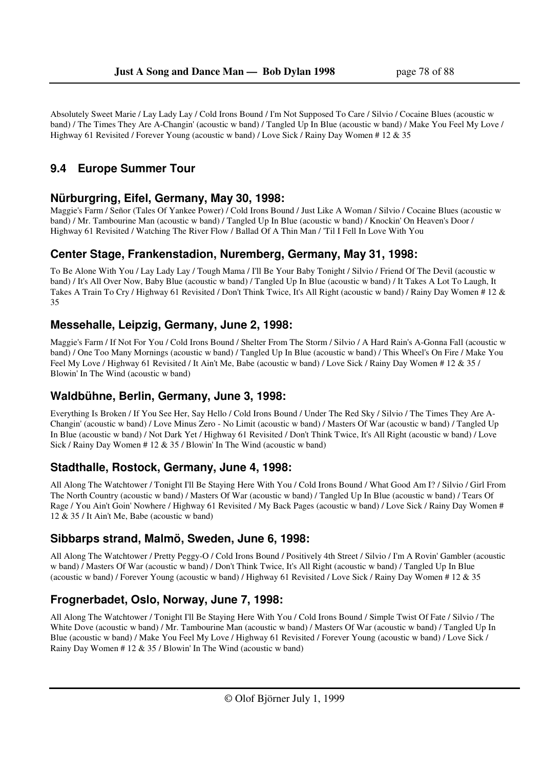Absolutely Sweet Marie / Lay Lady Lay / Cold Irons Bound / I'm Not Supposed To Care / Silvio / Cocaine Blues (acoustic w band) / The Times They Are A-Changin' (acoustic w band) / Tangled Up In Blue (acoustic w band) / Make You Feel My Love / Highway 61 Revisited / Forever Young (acoustic w band) / Love Sick / Rainy Day Women # 12 & 35

# **9.4 Europe Summer Tour**

### **Nürburgring, Eifel, Germany, May 30, 1998:**

Maggie's Farm / Señor (Tales Of Yankee Power) / Cold Irons Bound / Just Like A Woman / Silvio / Cocaine Blues (acoustic w band) / Mr. Tambourine Man (acoustic w band) / Tangled Up In Blue (acoustic w band) / Knockin' On Heaven's Door / Highway 61 Revisited / Watching The River Flow / Ballad Of A Thin Man / 'Til I Fell In Love With You

#### **Center Stage, Frankenstadion, Nuremberg, Germany, May 31, 1998:**

To Be Alone With You / Lay Lady Lay / Tough Mama / I'll Be Your Baby Tonight / Silvio / Friend Of The Devil (acoustic w band) / It's All Over Now, Baby Blue (acoustic w band) / Tangled Up In Blue (acoustic w band) / It Takes A Lot To Laugh, It Takes A Train To Cry / Highway 61 Revisited / Don't Think Twice, It's All Right (acoustic w band) / Rainy Day Women # 12 & 35

#### **Messehalle, Leipzig, Germany, June 2, 1998:**

Maggie's Farm / If Not For You / Cold Irons Bound / Shelter From The Storm / Silvio / A Hard Rain's A-Gonna Fall (acoustic w band) / One Too Many Mornings (acoustic w band) / Tangled Up In Blue (acoustic w band) / This Wheel's On Fire / Make You Feel My Love / Highway 61 Revisited / It Ain't Me, Babe (acoustic w band) / Love Sick / Rainy Day Women # 12 & 35 / Blowin' In The Wind (acoustic w band)

#### **Waldbühne, Berlin, Germany, June 3, 1998:**

Everything Is Broken / If You See Her, Say Hello / Cold Irons Bound / Under The Red Sky / Silvio / The Times They Are A-Changin' (acoustic w band) / Love Minus Zero - No Limit (acoustic w band) / Masters Of War (acoustic w band) / Tangled Up In Blue (acoustic w band) / Not Dark Yet / Highway 61 Revisited / Don't Think Twice, It's All Right (acoustic w band) / Love Sick / Rainy Day Women # 12 & 35 / Blowin' In The Wind (acoustic w band)

#### **Stadthalle, Rostock, Germany, June 4, 1998:**

All Along The Watchtower / Tonight I'll Be Staying Here With You / Cold Irons Bound / What Good Am I? / Silvio / Girl From The North Country (acoustic w band) / Masters Of War (acoustic w band) / Tangled Up In Blue (acoustic w band) / Tears Of Rage / You Ain't Goin' Nowhere / Highway 61 Revisited / My Back Pages (acoustic w band) / Love Sick / Rainy Day Women # 12 & 35 / It Ain't Me, Babe (acoustic w band)

### **Sibbarps strand, Malmö, Sweden, June 6, 1998:**

All Along The Watchtower / Pretty Peggy-O / Cold Irons Bound / Positively 4th Street / Silvio / I'm A Rovin' Gambler (acoustic w band) / Masters Of War (acoustic w band) / Don't Think Twice, It's All Right (acoustic w band) / Tangled Up In Blue (acoustic w band) / Forever Young (acoustic w band) / Highway 61 Revisited / Love Sick / Rainy Day Women # 12 & 35

# **Frognerbadet, Oslo, Norway, June 7, 1998:**

All Along The Watchtower / Tonight I'll Be Staying Here With You / Cold Irons Bound / Simple Twist Of Fate / Silvio / The White Dove (acoustic w band) / Mr. Tambourine Man (acoustic w band) / Masters Of War (acoustic w band) / Tangled Up In Blue (acoustic w band) / Make You Feel My Love / Highway 61 Revisited / Forever Young (acoustic w band) / Love Sick / Rainy Day Women # 12 & 35 / Blowin' In The Wind (acoustic w band)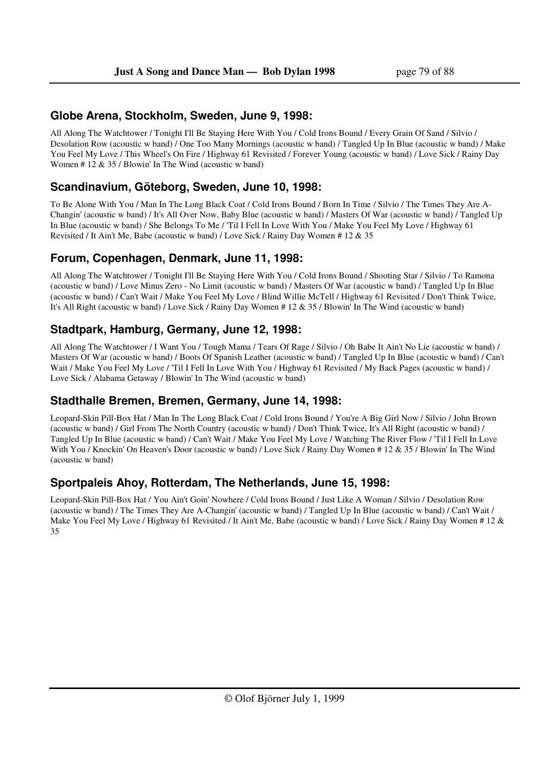### **Globe Arena, Stockholm, Sweden, June 9, 1998:**

All Along The Watchtower / Tonight I'll Be Staying Here With You / Cold Irons Bound / Every Grain Of Sand / Silvio / Desolation Row (acoustic w band) / One Too Many Mornings (acoustic w band) / Tangled Up In Blue (acoustic w band) / Make You Feel My Love / This Wheel's On Fire / Highway 61 Revisited / Forever Young (acoustic w band) / Love Sick / Rainy Day Women # 12 & 35 / Blowin' In The Wind (acoustic w band)

### **Scandinavium, Göteborg, Sweden, June 10, 1998:**

To Be Alone With You / Man In The Long Black Coat / Cold Irons Bound / Born In Time / Silvio / The Times They Are A-Changin' (acoustic w band) / It's All Over Now, Baby Blue (acoustic w band) / Masters Of War (acoustic w band) / Tangled Up In Blue (acoustic w band) / She Belongs To Me / 'Til I Fell In Love With You / Make You Feel My Love / Highway 61 Revisited / It Ain't Me, Babe (acoustic w band) / Love Sick / Rainy Day Women # 12 & 35

### **Forum, Copenhagen, Denmark, June 11, 1998:**

All Along The Watchtower / Tonight I'll Be Staying Here With You / Cold Irons Bound / Shooting Star / Silvio / To Ramona (acoustic w band) / Love Minus Zero - No Limit (acoustic w band) / Masters Of War (acoustic w band) / Tangled Up In Blue (acoustic w band) / Can't Wait / Make You Feel My Love / Blind Willie McTell / Highway 61 Revisited / Don't Think Twice, It's All Right (acoustic w band) / Love Sick / Rainy Day Women # 12 & 35 / Blowin' In The Wind (acoustic w band)

### **Stadtpark, Hamburg, Germany, June 12, 1998:**

All Along The Watchtower / I Want You / Tough Mama / Tears Of Rage / Silvio / Oh Babe It Ain't No Lie (acoustic w band) / Masters Of War (acoustic w band) / Boots Of Spanish Leather (acoustic w band) / Tangled Up In Blue (acoustic w band) / Can't Wait / Make You Feel My Love / 'Til I Fell In Love With You / Highway 61 Revisited / My Back Pages (acoustic w band) / Love Sick / Alabama Getaway / Blowin' In The Wind (acoustic w band)

### **Stadthalle Bremen, Bremen, Germany, June 14, 1998:**

Leopard-Skin Pill-Box Hat / Man In The Long Black Coat / Cold Irons Bound / You're A Big Girl Now / Silvio / John Brown (acoustic w band) / Girl From The North Country (acoustic w band) / Don't Think Twice, It's All Right (acoustic w band) / Tangled Up In Blue (acoustic w band) / Can't Wait / Make You Feel My Love / Watching The River Flow / 'Til I Fell In Love With You / Knockin' On Heaven's Door (acoustic w band) / Love Sick / Rainy Day Women # 12 & 35 / Blowin' In The Wind (acoustic w band)

### **Sportpaleis Ahoy, Rotterdam, The Netherlands, June 15, 1998:**

Leopard-Skin Pill-Box Hat / You Ain't Goin' Nowhere / Cold Irons Bound / Just Like A Woman / Silvio / Desolation Row (acoustic w band) / The Times They Are A-Changin' (acoustic w band) / Tangled Up In Blue (acoustic w band) / Can't Wait / Make You Feel My Love / Highway 61 Revisited / It Ain't Me, Babe (acoustic w band) / Love Sick / Rainy Day Women # 12 & 35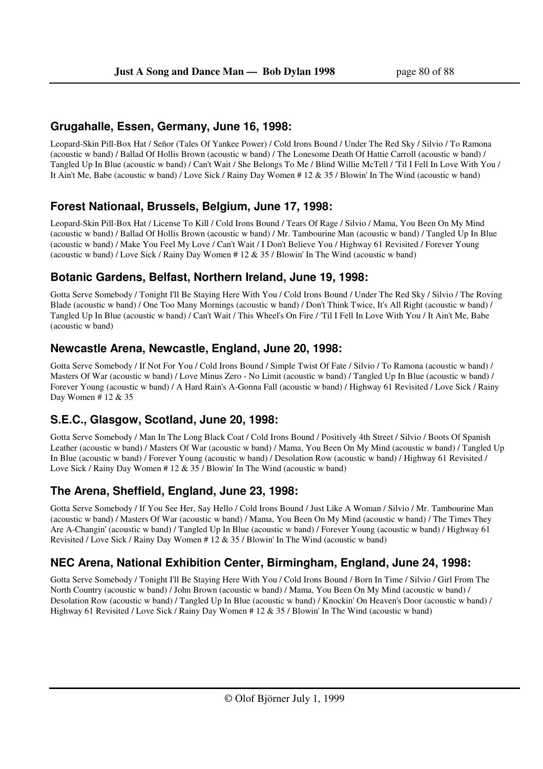#### **Grugahalle, Essen, Germany, June 16, 1998:**

Leopard-Skin Pill-Box Hat / Señor (Tales Of Yankee Power) / Cold Irons Bound / Under The Red Sky / Silvio / To Ramona (acoustic w band) / Ballad Of Hollis Brown (acoustic w band) / The Lonesome Death Of Hattie Carroll (acoustic w band) / Tangled Up In Blue (acoustic w band) / Can't Wait / She Belongs To Me / Blind Willie McTell / 'Til I Fell In Love With You / It Ain't Me, Babe (acoustic w band) / Love Sick / Rainy Day Women # 12 & 35 / Blowin' In The Wind (acoustic w band)

### **Forest Nationaal, Brussels, Belgium, June 17, 1998:**

Leopard-Skin Pill-Box Hat / License To Kill / Cold Irons Bound / Tears Of Rage / Silvio / Mama, You Been On My Mind (acoustic w band) / Ballad Of Hollis Brown (acoustic w band) / Mr. Tambourine Man (acoustic w band) / Tangled Up In Blue (acoustic w band) / Make You Feel My Love / Can't Wait / I Don't Believe You / Highway 61 Revisited / Forever Young (acoustic w band) / Love Sick / Rainy Day Women # 12 & 35 / Blowin' In The Wind (acoustic w band)

#### **Botanic Gardens, Belfast, Northern Ireland, June 19, 1998:**

Gotta Serve Somebody / Tonight I'll Be Staying Here With You / Cold Irons Bound / Under The Red Sky / Silvio / The Roving Blade (acoustic w band) / One Too Many Mornings (acoustic w band) / Don't Think Twice, It's All Right (acoustic w band) / Tangled Up In Blue (acoustic w band) / Can't Wait / This Wheel's On Fire / 'Til I Fell In Love With You / It Ain't Me, Babe (acoustic w band)

#### **Newcastle Arena, Newcastle, England, June 20, 1998:**

Gotta Serve Somebody / If Not For You / Cold Irons Bound / Simple Twist Of Fate / Silvio / To Ramona (acoustic w band) / Masters Of War (acoustic w band) / Love Minus Zero - No Limit (acoustic w band) / Tangled Up In Blue (acoustic w band) / Forever Young (acoustic w band) / A Hard Rain's A-Gonna Fall (acoustic w band) / Highway 61 Revisited / Love Sick / Rainy Day Women # 12 & 35

### **S.E.C., Glasgow, Scotland, June 20, 1998:**

Gotta Serve Somebody / Man In The Long Black Coat / Cold Irons Bound / Positively 4th Street / Silvio / Boots Of Spanish Leather (acoustic w band) / Masters Of War (acoustic w band) / Mama, You Been On My Mind (acoustic w band) / Tangled Up In Blue (acoustic w band) / Forever Young (acoustic w band) / Desolation Row (acoustic w band) / Highway 61 Revisited / Love Sick / Rainy Day Women # 12 & 35 / Blowin' In The Wind (acoustic w band)

### **The Arena, Sheffield, England, June 23, 1998:**

Gotta Serve Somebody / If You See Her, Say Hello / Cold Irons Bound / Just Like A Woman / Silvio / Mr. Tambourine Man (acoustic w band) / Masters Of War (acoustic w band) / Mama, You Been On My Mind (acoustic w band) / The Times They Are A-Changin' (acoustic w band) / Tangled Up In Blue (acoustic w band) / Forever Young (acoustic w band) / Highway 61 Revisited / Love Sick / Rainy Day Women # 12 & 35 / Blowin' In The Wind (acoustic w band)

# **NEC Arena, National Exhibition Center, Birmingham, England, June 24, 1998:**

Gotta Serve Somebody / Tonight I'll Be Staying Here With You / Cold Irons Bound / Born In Time / Silvio / Girl From The North Country (acoustic w band) / John Brown (acoustic w band) / Mama, You Been On My Mind (acoustic w band) / Desolation Row (acoustic w band) / Tangled Up In Blue (acoustic w band) / Knockin' On Heaven's Door (acoustic w band) / Highway 61 Revisited / Love Sick / Rainy Day Women # 12 & 35 / Blowin' In The Wind (acoustic w band)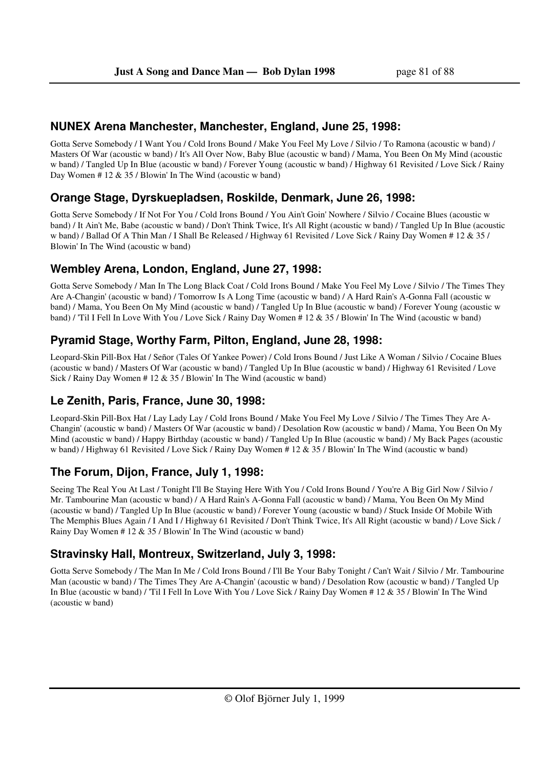#### **NUNEX Arena Manchester, Manchester, England, June 25, 1998:**

Gotta Serve Somebody / I Want You / Cold Irons Bound / Make You Feel My Love / Silvio / To Ramona (acoustic w band) / Masters Of War (acoustic w band) / It's All Over Now, Baby Blue (acoustic w band) / Mama, You Been On My Mind (acoustic w band) / Tangled Up In Blue (acoustic w band) / Forever Young (acoustic w band) / Highway 61 Revisited / Love Sick / Rainy Day Women # 12 & 35 / Blowin' In The Wind (acoustic w band)

### **Orange Stage, Dyrskuepladsen, Roskilde, Denmark, June 26, 1998:**

Gotta Serve Somebody / If Not For You / Cold Irons Bound / You Ain't Goin' Nowhere / Silvio / Cocaine Blues (acoustic w band) / It Ain't Me, Babe (acoustic w band) / Don't Think Twice, It's All Right (acoustic w band) / Tangled Up In Blue (acoustic w band) / Ballad Of A Thin Man / I Shall Be Released / Highway 61 Revisited / Love Sick / Rainy Day Women # 12 & 35 / Blowin' In The Wind (acoustic w band)

### **Wembley Arena, London, England, June 27, 1998:**

Gotta Serve Somebody / Man In The Long Black Coat / Cold Irons Bound / Make You Feel My Love / Silvio / The Times They Are A-Changin' (acoustic w band) / Tomorrow Is A Long Time (acoustic w band) / A Hard Rain's A-Gonna Fall (acoustic w band) / Mama, You Been On My Mind (acoustic w band) / Tangled Up In Blue (acoustic w band) / Forever Young (acoustic w band) / 'Til I Fell In Love With You / Love Sick / Rainy Day Women # 12 & 35 / Blowin' In The Wind (acoustic w band)

### **Pyramid Stage, Worthy Farm, Pilton, England, June 28, 1998:**

Leopard-Skin Pill-Box Hat / Señor (Tales Of Yankee Power) / Cold Irons Bound / Just Like A Woman / Silvio / Cocaine Blues (acoustic w band) / Masters Of War (acoustic w band) / Tangled Up In Blue (acoustic w band) / Highway 61 Revisited / Love Sick / Rainy Day Women # 12 & 35 / Blowin' In The Wind (acoustic w band)

### **Le Zenith, Paris, France, June 30, 1998:**

Leopard-Skin Pill-Box Hat / Lay Lady Lay / Cold Irons Bound / Make You Feel My Love / Silvio / The Times They Are A-Changin' (acoustic w band) / Masters Of War (acoustic w band) / Desolation Row (acoustic w band) / Mama, You Been On My Mind (acoustic w band) / Happy Birthday (acoustic w band) / Tangled Up In Blue (acoustic w band) / My Back Pages (acoustic w band) / Highway 61 Revisited / Love Sick / Rainy Day Women # 12 & 35 / Blowin' In The Wind (acoustic w band)

### **The Forum, Dijon, France, July 1, 1998:**

Seeing The Real You At Last / Tonight I'll Be Staying Here With You / Cold Irons Bound / You're A Big Girl Now / Silvio / Mr. Tambourine Man (acoustic w band) / A Hard Rain's A-Gonna Fall (acoustic w band) / Mama, You Been On My Mind (acoustic w band) / Tangled Up In Blue (acoustic w band) / Forever Young (acoustic w band) / Stuck Inside Of Mobile With The Memphis Blues Again / I And I / Highway 61 Revisited / Don't Think Twice, It's All Right (acoustic w band) / Love Sick / Rainy Day Women # 12 & 35 / Blowin' In The Wind (acoustic w band)

### **Stravinsky Hall, Montreux, Switzerland, July 3, 1998:**

Gotta Serve Somebody / The Man In Me / Cold Irons Bound / I'll Be Your Baby Tonight / Can't Wait / Silvio / Mr. Tambourine Man (acoustic w band) / The Times They Are A-Changin' (acoustic w band) / Desolation Row (acoustic w band) / Tangled Up In Blue (acoustic w band) / 'Til I Fell In Love With You / Love Sick / Rainy Day Women # 12 & 35 / Blowin' In The Wind (acoustic w band)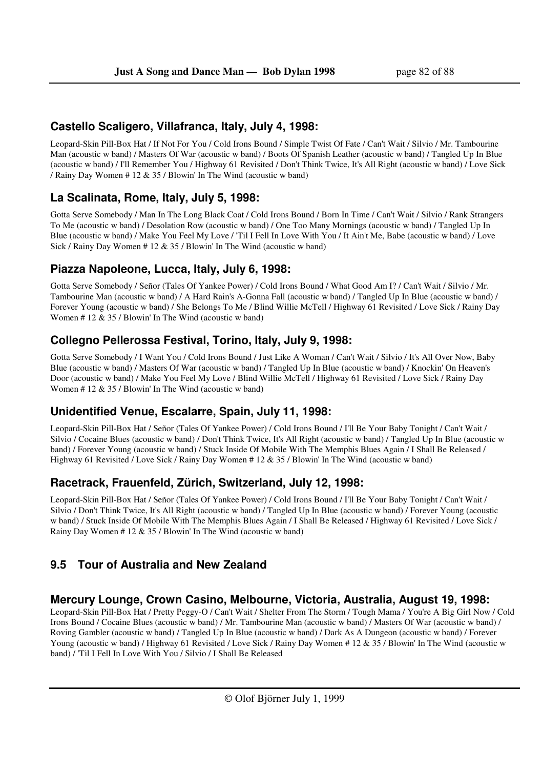#### **Castello Scaligero, Villafranca, Italy, July 4, 1998:**

Leopard-Skin Pill-Box Hat / If Not For You / Cold Irons Bound / Simple Twist Of Fate / Can't Wait / Silvio / Mr. Tambourine Man (acoustic w band) / Masters Of War (acoustic w band) / Boots Of Spanish Leather (acoustic w band) / Tangled Up In Blue (acoustic w band) / I'll Remember You / Highway 61 Revisited / Don't Think Twice, It's All Right (acoustic w band) / Love Sick / Rainy Day Women # 12 & 35 / Blowin' In The Wind (acoustic w band)

#### **La Scalinata, Rome, Italy, July 5, 1998:**

Gotta Serve Somebody / Man In The Long Black Coat / Cold Irons Bound / Born In Time / Can't Wait / Silvio / Rank Strangers To Me (acoustic w band) / Desolation Row (acoustic w band) / One Too Many Mornings (acoustic w band) / Tangled Up In Blue (acoustic w band) / Make You Feel My Love / 'Til I Fell In Love With You / It Ain't Me, Babe (acoustic w band) / Love Sick / Rainy Day Women # 12 & 35 / Blowin' In The Wind (acoustic w band)

#### **Piazza Napoleone, Lucca, Italy, July 6, 1998:**

Gotta Serve Somebody / Señor (Tales Of Yankee Power) / Cold Irons Bound / What Good Am I? / Can't Wait / Silvio / Mr. Tambourine Man (acoustic w band) / A Hard Rain's A-Gonna Fall (acoustic w band) / Tangled Up In Blue (acoustic w band) / Forever Young (acoustic w band) / She Belongs To Me / Blind Willie McTell / Highway 61 Revisited / Love Sick / Rainy Day Women # 12 & 35 / Blowin' In The Wind (acoustic w band)

#### **Collegno Pellerossa Festival, Torino, Italy, July 9, 1998:**

Gotta Serve Somebody / I Want You / Cold Irons Bound / Just Like A Woman / Can't Wait / Silvio / It's All Over Now, Baby Blue (acoustic w band) / Masters Of War (acoustic w band) / Tangled Up In Blue (acoustic w band) / Knockin' On Heaven's Door (acoustic w band) / Make You Feel My Love / Blind Willie McTell / Highway 61 Revisited / Love Sick / Rainy Day Women # 12 & 35 / Blowin' In The Wind (acoustic w band)

### **Unidentified Venue, Escalarre, Spain, July 11, 1998:**

Leopard-Skin Pill-Box Hat / Señor (Tales Of Yankee Power) / Cold Irons Bound / I'll Be Your Baby Tonight / Can't Wait / Silvio / Cocaine Blues (acoustic w band) / Don't Think Twice, It's All Right (acoustic w band) / Tangled Up In Blue (acoustic w band) / Forever Young (acoustic w band) / Stuck Inside Of Mobile With The Memphis Blues Again / I Shall Be Released / Highway 61 Revisited / Love Sick / Rainy Day Women # 12 & 35 / Blowin' In The Wind (acoustic w band)

#### **Racetrack, Frauenfeld, Zürich, Switzerland, July 12, 1998:**

Leopard-Skin Pill-Box Hat / Señor (Tales Of Yankee Power) / Cold Irons Bound / I'll Be Your Baby Tonight / Can't Wait / Silvio / Don't Think Twice, It's All Right (acoustic w band) / Tangled Up In Blue (acoustic w band) / Forever Young (acoustic w band) / Stuck Inside Of Mobile With The Memphis Blues Again / I Shall Be Released / Highway 61 Revisited / Love Sick / Rainy Day Women # 12 & 35 / Blowin' In The Wind (acoustic w band)

# **9.5 Tour of Australia and New Zealand**

#### **Mercury Lounge, Crown Casino, Melbourne, Victoria, Australia, August 19, 1998:**

Leopard-Skin Pill-Box Hat / Pretty Peggy-O / Can't Wait / Shelter From The Storm / Tough Mama / You're A Big Girl Now / Cold Irons Bound / Cocaine Blues (acoustic w band) / Mr. Tambourine Man (acoustic w band) / Masters Of War (acoustic w band) / Roving Gambler (acoustic w band) / Tangled Up In Blue (acoustic w band) / Dark As A Dungeon (acoustic w band) / Forever Young (acoustic w band) / Highway 61 Revisited / Love Sick / Rainy Day Women # 12 & 35 / Blowin' In The Wind (acoustic w band) / 'Til I Fell In Love With You / Silvio / I Shall Be Released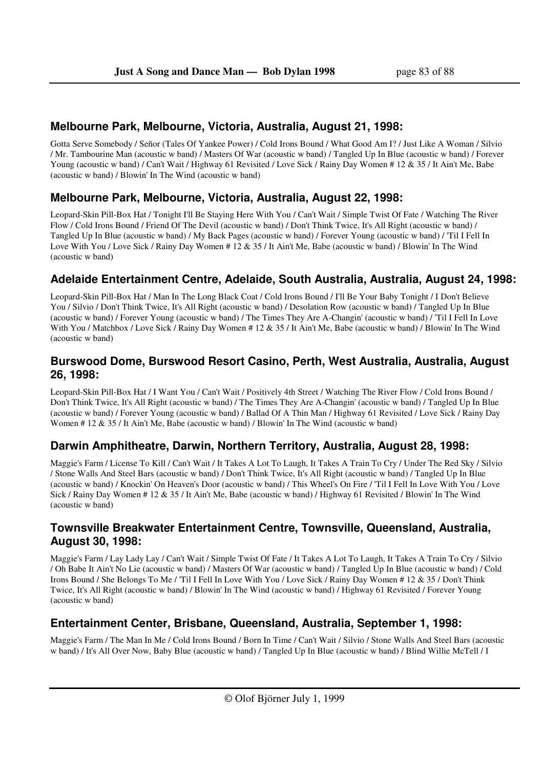### **Melbourne Park, Melbourne, Victoria, Australia, August 21, 1998:**

Gotta Serve Somebody / Señor (Tales Of Yankee Power) / Cold Irons Bound / What Good Am I? / Just Like A Woman / Silvio / Mr. Tambourine Man (acoustic w band) / Masters Of War (acoustic w band) / Tangled Up In Blue (acoustic w band) / Forever Young (acoustic w band) / Can't Wait / Highway 61 Revisited / Love Sick / Rainy Day Women # 12 & 35 / It Ain't Me, Babe (acoustic w band) / Blowin' In The Wind (acoustic w band)

# **Melbourne Park, Melbourne, Victoria, Australia, August 22, 1998:**

Leopard-Skin Pill-Box Hat / Tonight I'll Be Staying Here With You / Can't Wait / Simple Twist Of Fate / Watching The River Flow / Cold Irons Bound / Friend Of The Devil (acoustic w band) / Don't Think Twice, It's All Right (acoustic w band) / Tangled Up In Blue (acoustic w band) / My Back Pages (acoustic w band) / Forever Young (acoustic w band) / 'Til I Fell In Love With You / Love Sick / Rainy Day Women # 12 & 35 / It Ain't Me, Babe (acoustic w band) / Blowin' In The Wind (acoustic w band)

### **Adelaide Entertainment Centre, Adelaide, South Australia, Australia, August 24, 1998:**

Leopard-Skin Pill-Box Hat / Man In The Long Black Coat / Cold Irons Bound / I'll Be Your Baby Tonight / I Don't Believe You / Silvio / Don't Think Twice, It's All Right (acoustic w band) / Desolation Row (acoustic w band) / Tangled Up In Blue (acoustic w band) / Forever Young (acoustic w band) / The Times They Are A-Changin' (acoustic w band) / 'Til I Fell In Love With You / Matchbox / Love Sick / Rainy Day Women # 12 & 35 / It Ain't Me, Babe (acoustic w band) / Blowin' In The Wind (acoustic w band)

### **Burswood Dome, Burswood Resort Casino, Perth, West Australia, Australia, August 26, 1998:**

Leopard-Skin Pill-Box Hat / I Want You / Can't Wait / Positively 4th Street / Watching The River Flow / Cold Irons Bound / Don't Think Twice, It's All Right (acoustic w band) / The Times They Are A-Changin' (acoustic w band) / Tangled Up In Blue (acoustic w band) / Forever Young (acoustic w band) / Ballad Of A Thin Man / Highway 61 Revisited / Love Sick / Rainy Day Women # 12 & 35 / It Ain't Me, Babe (acoustic w band) / Blowin' In The Wind (acoustic w band)

### **Darwin Amphitheatre, Darwin, Northern Territory, Australia, August 28, 1998:**

Maggie's Farm / License To Kill / Can't Wait / It Takes A Lot To Laugh, It Takes A Train To Cry / Under The Red Sky / Silvio / Stone Walls And Steel Bars (acoustic w band) / Don't Think Twice, It's All Right (acoustic w band) / Tangled Up In Blue (acoustic w band) / Knockin' On Heaven's Door (acoustic w band) / This Wheel's On Fire / 'Til I Fell In Love With You / Love Sick / Rainy Day Women # 12 & 35 / It Ain't Me, Babe (acoustic w band) / Highway 61 Revisited / Blowin' In The Wind (acoustic w band)

### **Townsville Breakwater Entertainment Centre, Townsville, Queensland, Australia, August 30, 1998:**

Maggie's Farm / Lay Lady Lay / Can't Wait / Simple Twist Of Fate / It Takes A Lot To Laugh, It Takes A Train To Cry / Silvio / Oh Babe It Ain't No Lie (acoustic w band) / Masters Of War (acoustic w band) / Tangled Up In Blue (acoustic w band) / Cold Irons Bound / She Belongs To Me / 'Til I Fell In Love With You / Love Sick / Rainy Day Women # 12 & 35 / Don't Think Twice, It's All Right (acoustic w band) / Blowin' In The Wind (acoustic w band) / Highway 61 Revisited / Forever Young (acoustic w band)

# **Entertainment Center, Brisbane, Queensland, Australia, September 1, 1998:**

Maggie's Farm / The Man In Me / Cold Irons Bound / Born In Time / Can't Wait / Silvio / Stone Walls And Steel Bars (acoustic w band) / It's All Over Now, Baby Blue (acoustic w band) / Tangled Up In Blue (acoustic w band) / Blind Willie McTell / I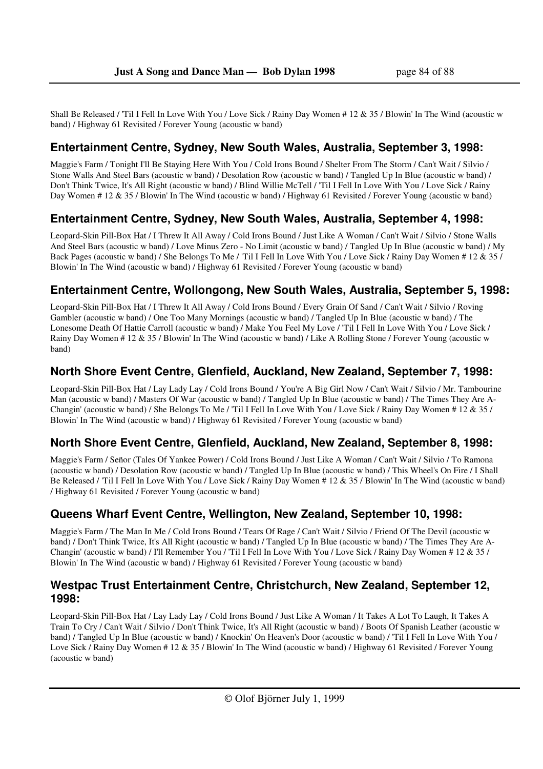Shall Be Released / 'Til I Fell In Love With You / Love Sick / Rainy Day Women # 12 & 35 / Blowin' In The Wind (acoustic w band) / Highway 61 Revisited / Forever Young (acoustic w band)

### **Entertainment Centre, Sydney, New South Wales, Australia, September 3, 1998:**

Maggie's Farm / Tonight I'll Be Staying Here With You / Cold Irons Bound / Shelter From The Storm / Can't Wait / Silvio / Stone Walls And Steel Bars (acoustic w band) / Desolation Row (acoustic w band) / Tangled Up In Blue (acoustic w band) / Don't Think Twice, It's All Right (acoustic w band) / Blind Willie McTell / 'Til I Fell In Love With You / Love Sick / Rainy Day Women # 12 & 35 / Blowin' In The Wind (acoustic w band) / Highway 61 Revisited / Forever Young (acoustic w band)

### **Entertainment Centre, Sydney, New South Wales, Australia, September 4, 1998:**

Leopard-Skin Pill-Box Hat / I Threw It All Away / Cold Irons Bound / Just Like A Woman / Can't Wait / Silvio / Stone Walls And Steel Bars (acoustic w band) / Love Minus Zero - No Limit (acoustic w band) / Tangled Up In Blue (acoustic w band) / My Back Pages (acoustic w band) / She Belongs To Me / 'Til I Fell In Love With You / Love Sick / Rainy Day Women # 12 & 35 / Blowin' In The Wind (acoustic w band) / Highway 61 Revisited / Forever Young (acoustic w band)

# **Entertainment Centre, Wollongong, New South Wales, Australia, September 5, 1998:**

Leopard-Skin Pill-Box Hat / I Threw It All Away / Cold Irons Bound / Every Grain Of Sand / Can't Wait / Silvio / Roving Gambler (acoustic w band) / One Too Many Mornings (acoustic w band) / Tangled Up In Blue (acoustic w band) / The Lonesome Death Of Hattie Carroll (acoustic w band) / Make You Feel My Love / 'Til I Fell In Love With You / Love Sick / Rainy Day Women # 12 & 35 / Blowin' In The Wind (acoustic w band) / Like A Rolling Stone / Forever Young (acoustic w band)

### **North Shore Event Centre, Glenfield, Auckland, New Zealand, September 7, 1998:**

Leopard-Skin Pill-Box Hat / Lay Lady Lay / Cold Irons Bound / You're A Big Girl Now / Can't Wait / Silvio / Mr. Tambourine Man (acoustic w band) / Masters Of War (acoustic w band) / Tangled Up In Blue (acoustic w band) / The Times They Are A-Changin' (acoustic w band) / She Belongs To Me / 'Til I Fell In Love With You / Love Sick / Rainy Day Women # 12 & 35 / Blowin' In The Wind (acoustic w band) / Highway 61 Revisited / Forever Young (acoustic w band)

# **North Shore Event Centre, Glenfield, Auckland, New Zealand, September 8, 1998:**

Maggie's Farm / Señor (Tales Of Yankee Power) / Cold Irons Bound / Just Like A Woman / Can't Wait / Silvio / To Ramona (acoustic w band) / Desolation Row (acoustic w band) / Tangled Up In Blue (acoustic w band) / This Wheel's On Fire / I Shall Be Released / 'Til I Fell In Love With You / Love Sick / Rainy Day Women # 12 & 35 / Blowin' In The Wind (acoustic w band) / Highway 61 Revisited / Forever Young (acoustic w band)

### **Queens Wharf Event Centre, Wellington, New Zealand, September 10, 1998:**

Maggie's Farm / The Man In Me / Cold Irons Bound / Tears Of Rage / Can't Wait / Silvio / Friend Of The Devil (acoustic w band) / Don't Think Twice, It's All Right (acoustic w band) / Tangled Up In Blue (acoustic w band) / The Times They Are A-Changin' (acoustic w band) / I'll Remember You / 'Til I Fell In Love With You / Love Sick / Rainy Day Women # 12 & 35 / Blowin' In The Wind (acoustic w band) / Highway 61 Revisited / Forever Young (acoustic w band)

#### **Westpac Trust Entertainment Centre, Christchurch, New Zealand, September 12, 1998:**

Leopard-Skin Pill-Box Hat / Lay Lady Lay / Cold Irons Bound / Just Like A Woman / It Takes A Lot To Laugh, It Takes A Train To Cry / Can't Wait / Silvio / Don't Think Twice, It's All Right (acoustic w band) / Boots Of Spanish Leather (acoustic w band) / Tangled Up In Blue (acoustic w band) / Knockin' On Heaven's Door (acoustic w band) / 'Til I Fell In Love With You / Love Sick / Rainy Day Women # 12 & 35 / Blowin' In The Wind (acoustic w band) / Highway 61 Revisited / Forever Young (acoustic w band)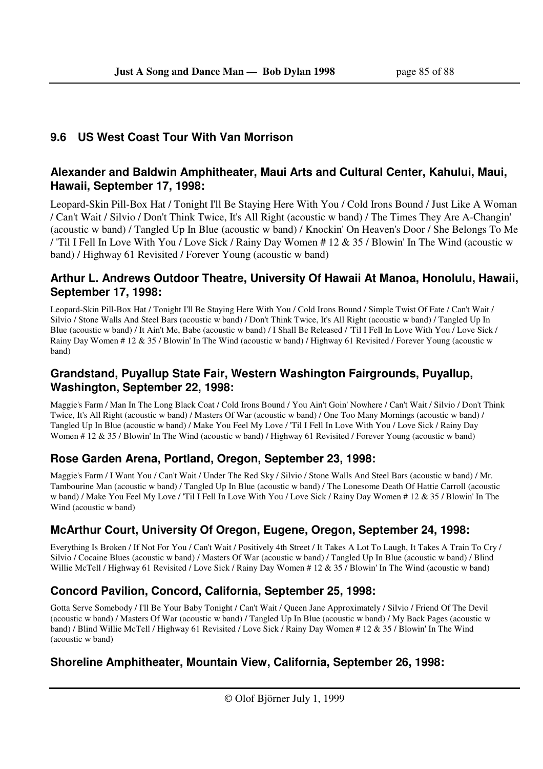# **9.6 US West Coast Tour With Van Morrison**

### **Alexander and Baldwin Amphitheater, Maui Arts and Cultural Center, Kahului, Maui, Hawaii, September 17, 1998:**

Leopard-Skin Pill-Box Hat / Tonight I'll Be Staying Here With You / Cold Irons Bound / Just Like A Woman / Can't Wait / Silvio / Don't Think Twice, It's All Right (acoustic w band) / The Times They Are A-Changin' (acoustic w band) / Tangled Up In Blue (acoustic w band) / Knockin' On Heaven's Door / She Belongs To Me / 'Til I Fell In Love With You / Love Sick / Rainy Day Women # 12 & 35 / Blowin' In The Wind (acoustic w band) / Highway 61 Revisited / Forever Young (acoustic w band)

### **Arthur L. Andrews Outdoor Theatre, University Of Hawaii At Manoa, Honolulu, Hawaii, September 17, 1998:**

Leopard-Skin Pill-Box Hat / Tonight I'll Be Staying Here With You / Cold Irons Bound / Simple Twist Of Fate / Can't Wait / Silvio / Stone Walls And Steel Bars (acoustic w band) / Don't Think Twice, It's All Right (acoustic w band) / Tangled Up In Blue (acoustic w band) / It Ain't Me, Babe (acoustic w band) / I Shall Be Released / 'Til I Fell In Love With You / Love Sick / Rainy Day Women # 12 & 35 / Blowin' In The Wind (acoustic w band) / Highway 61 Revisited / Forever Young (acoustic w band)

### **Grandstand, Puyallup State Fair, Western Washington Fairgrounds, Puyallup, Washington, September 22, 1998:**

Maggie's Farm / Man In The Long Black Coat / Cold Irons Bound / You Ain't Goin' Nowhere / Can't Wait / Silvio / Don't Think Twice, It's All Right (acoustic w band) / Masters Of War (acoustic w band) / One Too Many Mornings (acoustic w band) / Tangled Up In Blue (acoustic w band) / Make You Feel My Love / 'Til I Fell In Love With You / Love Sick / Rainy Day Women # 12 & 35 / Blowin' In The Wind (acoustic w band) / Highway 61 Revisited / Forever Young (acoustic w band)

# **Rose Garden Arena, Portland, Oregon, September 23, 1998:**

Maggie's Farm / I Want You / Can't Wait / Under The Red Sky / Silvio / Stone Walls And Steel Bars (acoustic w band) / Mr. Tambourine Man (acoustic w band) / Tangled Up In Blue (acoustic w band) / The Lonesome Death Of Hattie Carroll (acoustic w band) / Make You Feel My Love / 'Til I Fell In Love With You / Love Sick / Rainy Day Women # 12 & 35 / Blowin' In The Wind (acoustic w band)

# **McArthur Court, University Of Oregon, Eugene, Oregon, September 24, 1998:**

Everything Is Broken / If Not For You / Can't Wait / Positively 4th Street / It Takes A Lot To Laugh, It Takes A Train To Cry / Silvio / Cocaine Blues (acoustic w band) / Masters Of War (acoustic w band) / Tangled Up In Blue (acoustic w band) / Blind Willie McTell / Highway 61 Revisited / Love Sick / Rainy Day Women # 12 & 35 / Blowin' In The Wind (acoustic w band)

# **Concord Pavilion, Concord, California, September 25, 1998:**

Gotta Serve Somebody / I'll Be Your Baby Tonight / Can't Wait / Queen Jane Approximately / Silvio / Friend Of The Devil (acoustic w band) / Masters Of War (acoustic w band) / Tangled Up In Blue (acoustic w band) / My Back Pages (acoustic w band) / Blind Willie McTell / Highway 61 Revisited / Love Sick / Rainy Day Women # 12 & 35 / Blowin' In The Wind (acoustic w band)

# **Shoreline Amphitheater, Mountain View, California, September 26, 1998:**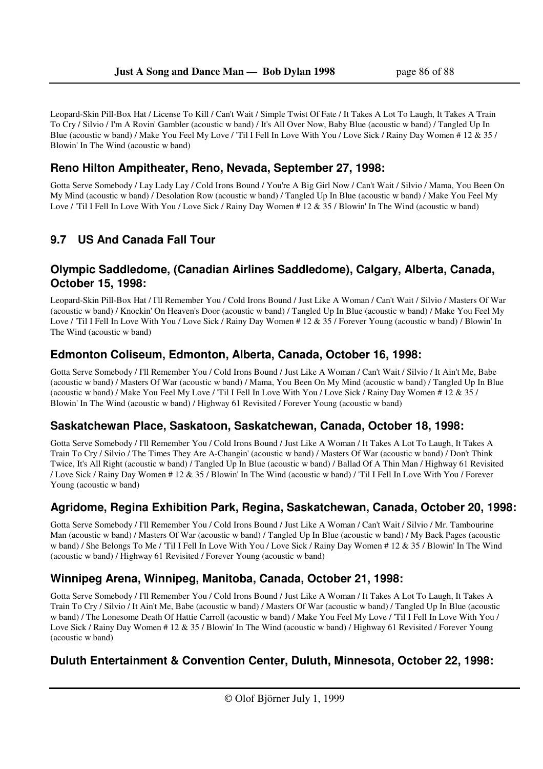Leopard-Skin Pill-Box Hat / License To Kill / Can't Wait / Simple Twist Of Fate / It Takes A Lot To Laugh, It Takes A Train To Cry / Silvio / I'm A Rovin' Gambler (acoustic w band) / It's All Over Now, Baby Blue (acoustic w band) / Tangled Up In Blue (acoustic w band) / Make You Feel My Love / 'Til I Fell In Love With You / Love Sick / Rainy Day Women # 12 & 35 / Blowin' In The Wind (acoustic w band)

### **Reno Hilton Ampitheater, Reno, Nevada, September 27, 1998:**

Gotta Serve Somebody / Lay Lady Lay / Cold Irons Bound / You're A Big Girl Now / Can't Wait / Silvio / Mama, You Been On My Mind (acoustic w band) / Desolation Row (acoustic w band) / Tangled Up In Blue (acoustic w band) / Make You Feel My Love / 'Til I Fell In Love With You / Love Sick / Rainy Day Women # 12 & 35 / Blowin' In The Wind (acoustic w band)

# **9.7 US And Canada Fall Tour**

#### **Olympic Saddledome, (Canadian Airlines Saddledome), Calgary, Alberta, Canada, October 15, 1998:**

Leopard-Skin Pill-Box Hat / I'll Remember You / Cold Irons Bound / Just Like A Woman / Can't Wait / Silvio / Masters Of War (acoustic w band) / Knockin' On Heaven's Door (acoustic w band) / Tangled Up In Blue (acoustic w band) / Make You Feel My Love / 'Til I Fell In Love With You / Love Sick / Rainy Day Women # 12 & 35 / Forever Young (acoustic w band) / Blowin' In The Wind (acoustic w band)

### **Edmonton Coliseum, Edmonton, Alberta, Canada, October 16, 1998:**

Gotta Serve Somebody / I'll Remember You / Cold Irons Bound / Just Like A Woman / Can't Wait / Silvio / It Ain't Me, Babe (acoustic w band) / Masters Of War (acoustic w band) / Mama, You Been On My Mind (acoustic w band) / Tangled Up In Blue (acoustic w band) / Make You Feel My Love / 'Til I Fell In Love With You / Love Sick / Rainy Day Women # 12 & 35 / Blowin' In The Wind (acoustic w band) / Highway 61 Revisited / Forever Young (acoustic w band)

### **Saskatchewan Place, Saskatoon, Saskatchewan, Canada, October 18, 1998:**

Gotta Serve Somebody / I'll Remember You / Cold Irons Bound / Just Like A Woman / It Takes A Lot To Laugh, It Takes A Train To Cry / Silvio / The Times They Are A-Changin' (acoustic w band) / Masters Of War (acoustic w band) / Don't Think Twice, It's All Right (acoustic w band) / Tangled Up In Blue (acoustic w band) / Ballad Of A Thin Man / Highway 61 Revisited / Love Sick / Rainy Day Women # 12 & 35 / Blowin' In The Wind (acoustic w band) / 'Til I Fell In Love With You / Forever Young (acoustic w band)

# **Agridome, Regina Exhibition Park, Regina, Saskatchewan, Canada, October 20, 1998:**

Gotta Serve Somebody / I'll Remember You / Cold Irons Bound / Just Like A Woman / Can't Wait / Silvio / Mr. Tambourine Man (acoustic w band) / Masters Of War (acoustic w band) / Tangled Up In Blue (acoustic w band) / My Back Pages (acoustic w band) / She Belongs To Me / 'Til I Fell In Love With You / Love Sick / Rainy Day Women # 12 & 35 / Blowin' In The Wind (acoustic w band) / Highway 61 Revisited / Forever Young (acoustic w band)

# **Winnipeg Arena, Winnipeg, Manitoba, Canada, October 21, 1998:**

Gotta Serve Somebody / I'll Remember You / Cold Irons Bound / Just Like A Woman / It Takes A Lot To Laugh, It Takes A Train To Cry / Silvio / It Ain't Me, Babe (acoustic w band) / Masters Of War (acoustic w band) / Tangled Up In Blue (acoustic w band) / The Lonesome Death Of Hattie Carroll (acoustic w band) / Make You Feel My Love / 'Til I Fell In Love With You / Love Sick / Rainy Day Women # 12 & 35 / Blowin' In The Wind (acoustic w band) / Highway 61 Revisited / Forever Young (acoustic w band)

# **Duluth Entertainment & Convention Center, Duluth, Minnesota, October 22, 1998:**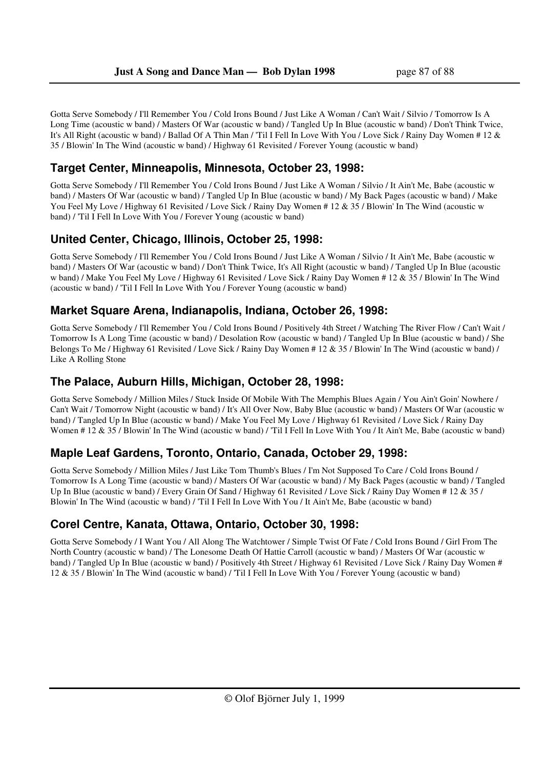Gotta Serve Somebody / I'll Remember You / Cold Irons Bound / Just Like A Woman / Can't Wait / Silvio / Tomorrow Is A Long Time (acoustic w band) / Masters Of War (acoustic w band) / Tangled Up In Blue (acoustic w band) / Don't Think Twice, It's All Right (acoustic w band) / Ballad Of A Thin Man / 'Til I Fell In Love With You / Love Sick / Rainy Day Women # 12 & 35 / Blowin' In The Wind (acoustic w band) / Highway 61 Revisited / Forever Young (acoustic w band)

# **Target Center, Minneapolis, Minnesota, October 23, 1998:**

Gotta Serve Somebody / I'll Remember You / Cold Irons Bound / Just Like A Woman / Silvio / It Ain't Me, Babe (acoustic w band) / Masters Of War (acoustic w band) / Tangled Up In Blue (acoustic w band) / My Back Pages (acoustic w band) / Make You Feel My Love / Highway 61 Revisited / Love Sick / Rainy Day Women # 12 & 35 / Blowin' In The Wind (acoustic w band) / 'Til I Fell In Love With You / Forever Young (acoustic w band)

# **United Center, Chicago, Illinois, October 25, 1998:**

Gotta Serve Somebody / I'll Remember You / Cold Irons Bound / Just Like A Woman / Silvio / It Ain't Me, Babe (acoustic w band) / Masters Of War (acoustic w band) / Don't Think Twice, It's All Right (acoustic w band) / Tangled Up In Blue (acoustic w band) / Make You Feel My Love / Highway 61 Revisited / Love Sick / Rainy Day Women # 12 & 35 / Blowin' In The Wind (acoustic w band) / 'Til I Fell In Love With You / Forever Young (acoustic w band)

### **Market Square Arena, Indianapolis, Indiana, October 26, 1998:**

Gotta Serve Somebody / I'll Remember You / Cold Irons Bound / Positively 4th Street / Watching The River Flow / Can't Wait / Tomorrow Is A Long Time (acoustic w band) / Desolation Row (acoustic w band) / Tangled Up In Blue (acoustic w band) / She Belongs To Me / Highway 61 Revisited / Love Sick / Rainy Day Women # 12 & 35 / Blowin' In The Wind (acoustic w band) / Like A Rolling Stone

### **The Palace, Auburn Hills, Michigan, October 28, 1998:**

Gotta Serve Somebody / Million Miles / Stuck Inside Of Mobile With The Memphis Blues Again / You Ain't Goin' Nowhere / Can't Wait / Tomorrow Night (acoustic w band) / It's All Over Now, Baby Blue (acoustic w band) / Masters Of War (acoustic w band) / Tangled Up In Blue (acoustic w band) / Make You Feel My Love / Highway 61 Revisited / Love Sick / Rainy Day Women # 12 & 35 / Blowin' In The Wind (acoustic w band) / 'Til I Fell In Love With You / It Ain't Me, Babe (acoustic w band)

### **Maple Leaf Gardens, Toronto, Ontario, Canada, October 29, 1998:**

Gotta Serve Somebody / Million Miles / Just Like Tom Thumb's Blues / I'm Not Supposed To Care / Cold Irons Bound / Tomorrow Is A Long Time (acoustic w band) / Masters Of War (acoustic w band) / My Back Pages (acoustic w band) / Tangled Up In Blue (acoustic w band) / Every Grain Of Sand / Highway 61 Revisited / Love Sick / Rainy Day Women # 12 & 35 / Blowin' In The Wind (acoustic w band) / 'Til I Fell In Love With You / It Ain't Me, Babe (acoustic w band)

### **Corel Centre, Kanata, Ottawa, Ontario, October 30, 1998:**

Gotta Serve Somebody / I Want You / All Along The Watchtower / Simple Twist Of Fate / Cold Irons Bound / Girl From The North Country (acoustic w band) / The Lonesome Death Of Hattie Carroll (acoustic w band) / Masters Of War (acoustic w band) / Tangled Up In Blue (acoustic w band) / Positively 4th Street / Highway 61 Revisited / Love Sick / Rainy Day Women # 12 & 35 / Blowin' In The Wind (acoustic w band) / 'Til I Fell In Love With You / Forever Young (acoustic w band)